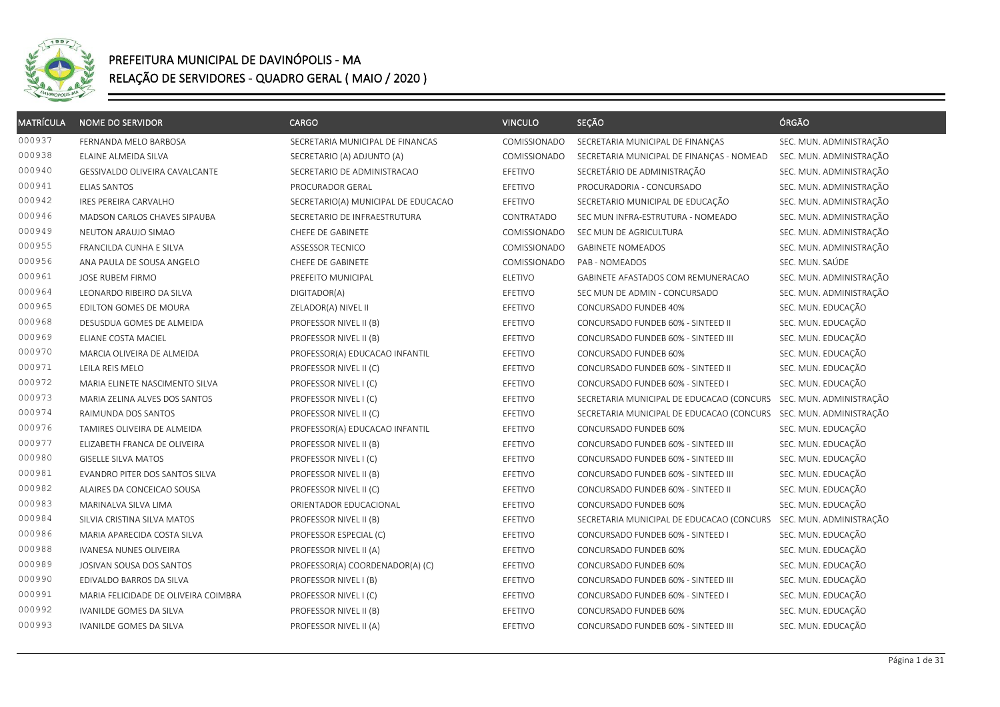

| <b>MATRÍCULA</b> | <b>NOME DO SERVIDOR</b>              | <b>CARGO</b>                        | <b>VINCULO</b> | SEÇÃO                                                             | ÓRGÃO                   |
|------------------|--------------------------------------|-------------------------------------|----------------|-------------------------------------------------------------------|-------------------------|
| 000937           | FERNANDA MELO BARBOSA                | SECRETARIA MUNICIPAL DE FINANCAS    | COMISSIONADO   | SECRETARIA MUNICIPAL DE FINANÇAS                                  | SEC. MUN. ADMINISTRAÇÃO |
| 000938           | ELAINE ALMEIDA SILVA                 | SECRETARIO (A) ADJUNTO (A)          | COMISSIONADO   | SECRETARIA MUNICIPAL DE FINANÇAS - NOMEAD                         | SEC. MUN. ADMINISTRAÇÃO |
| 000940           | GESSIVALDO OLIVEIRA CAVALCANTE       | SECRETARIO DE ADMINISTRACAO         | EFETIVO        | SECRETÁRIO DE ADMINISTRAÇÃO                                       | SEC. MUN. ADMINISTRAÇÃO |
| 000941           | <b>ELIAS SANTOS</b>                  | PROCURADOR GERAL                    | EFETIVO        | PROCURADORIA - CONCURSADO                                         | SEC. MUN. ADMINISTRAÇÃO |
| 000942           | IRES PEREIRA CARVALHO                | SECRETARIO(A) MUNICIPAL DE EDUCACAO | EFETIVO        | SECRETARIO MUNICIPAL DE EDUCAÇÃO                                  | SEC. MUN. ADMINISTRAÇÃO |
| 000946           | MADSON CARLOS CHAVES SIPAUBA         | SECRETARIO DE INFRAESTRUTURA        | CONTRATADO     | SEC MUN INFRA-ESTRUTURA - NOMEADO                                 | SEC. MUN. ADMINISTRAÇÃO |
| 000949           | NEUTON ARAUJO SIMAO                  | CHEFE DE GABINETE                   | COMISSIONADO   | SEC MUN DE AGRICULTURA                                            | SEC. MUN. ADMINISTRAÇÃO |
| 000955           | FRANCILDA CUNHA E SILVA              | <b>ASSESSOR TECNICO</b>             | COMISSIONADO   | <b>GABINETE NOMEADOS</b>                                          | SEC. MUN. ADMINISTRAÇÃO |
| 000956           | ANA PAULA DE SOUSA ANGELO            | CHEFE DE GABINETE                   | COMISSIONADO   | <b>PAB - NOMEADOS</b>                                             | SEC. MUN. SAÚDE         |
| 000961           | JOSE RUBEM FIRMO                     | PREFEITO MUNICIPAL                  | <b>ELETIVO</b> | GABINETE AFASTADOS COM REMUNERACAO                                | SEC. MUN. ADMINISTRAÇÃO |
| 000964           | LEONARDO RIBEIRO DA SILVA            | DIGITADOR(A)                        | EFETIVO        | SEC MUN DE ADMIN - CONCURSADO                                     | SEC. MUN. ADMINISTRAÇÃO |
| 000965           | EDILTON GOMES DE MOURA               | ZELADOR(A) NIVEL II                 | EFETIVO        | CONCURSADO FUNDEB 40%                                             | SEC. MUN. EDUCAÇÃO      |
| 000968           | DESUSDUA GOMES DE ALMEIDA            | PROFESSOR NIVEL II (B)              | EFETIVO        | CONCURSADO FUNDEB 60% - SINTEED II                                | SEC. MUN. EDUCAÇÃO      |
| 000969           | ELIANE COSTA MACIEL                  | PROFESSOR NIVEL II (B)              | EFETIVO        | CONCURSADO FUNDEB 60% - SINTEED III                               | SEC. MUN. EDUCAÇÃO      |
| 000970           | MARCIA OLIVEIRA DE ALMEIDA           | PROFESSOR(A) EDUCACAO INFANTIL      | EFETIVO        | CONCURSADO FUNDEB 60%                                             | SEC. MUN. EDUCAÇÃO      |
| 000971           | LEILA REIS MELO                      | PROFESSOR NIVEL II (C)              | EFETIVO        | CONCURSADO FUNDEB 60% - SINTEED II                                | SEC. MUN. EDUCAÇÃO      |
| 000972           | MARIA ELINETE NASCIMENTO SILVA       | PROFESSOR NIVEL I (C)               | EFETIVO        | CONCURSADO FUNDEB 60% - SINTEED I                                 | SEC. MUN. EDUCAÇÃO      |
| 000973           | MARIA ZELINA ALVES DOS SANTOS        | PROFESSOR NIVEL I (C)               | EFETIVO        | SECRETARIA MUNICIPAL DE EDUCACAO (CONCURS SEC. MUN. ADMINISTRAÇÃO |                         |
| 000974           | RAIMUNDA DOS SANTOS                  | PROFESSOR NIVEL II (C)              | EFETIVO        | SECRETARIA MUNICIPAL DE EDUCACAO (CONCURS SEC. MUN. ADMINISTRAÇÃO |                         |
| 000976           | TAMIRES OLIVEIRA DE ALMEIDA          | PROFESSOR(A) EDUCACAO INFANTIL      | EFETIVO        | CONCURSADO FUNDEB 60%                                             | SEC. MUN. EDUCAÇÃO      |
| 000977           | ELIZABETH FRANCA DE OLIVEIRA         | PROFESSOR NIVEL II (B)              | EFETIVO        | CONCURSADO FUNDEB 60% - SINTEED III                               | SEC. MUN. EDUCAÇÃO      |
| 000980           | <b>GISELLE SILVA MATOS</b>           | PROFESSOR NIVEL I (C)               | EFETIVO        | CONCURSADO FUNDEB 60% - SINTEED III                               | SEC. MUN. EDUCAÇÃO      |
| 000981           | EVANDRO PITER DOS SANTOS SILVA       | PROFESSOR NIVEL II (B)              | EFETIVO        | CONCURSADO FUNDEB 60% - SINTEED III                               | SEC. MUN. EDUCAÇÃO      |
| 000982           | ALAIRES DA CONCEICAO SOUSA           | PROFESSOR NIVEL II (C)              | EFETIVO        | CONCURSADO FUNDEB 60% - SINTEED II                                | SEC. MUN. EDUCAÇÃO      |
| 000983           | MARINALVA SILVA LIMA                 | ORIENTADOR EDUCACIONAL              | EFETIVO        | CONCURSADO FUNDEB 60%                                             | SEC. MUN. EDUCAÇÃO      |
| 000984           | SILVIA CRISTINA SILVA MATOS          | PROFESSOR NIVEL II (B)              | EFETIVO        | SECRETARIA MUNICIPAL DE EDUCACAO (CONCURS                         | SEC. MUN. ADMINISTRAÇÃO |
| 000986           | MARIA APARECIDA COSTA SILVA          | PROFESSOR ESPECIAL (C)              | EFETIVO        | CONCURSADO FUNDEB 60% - SINTEED I                                 | SEC. MUN. EDUCAÇÃO      |
| 000988           | <b>IVANESA NUNES OLIVEIRA</b>        | PROFESSOR NIVEL II (A)              | EFETIVO        | CONCURSADO FUNDEB 60%                                             | SEC. MUN. EDUCAÇÃO      |
| 000989           | JOSIVAN SOUSA DOS SANTOS             | PROFESSOR(A) COORDENADOR(A) (C)     | EFETIVO        | CONCURSADO FUNDEB 60%                                             | SEC. MUN. EDUCAÇÃO      |
| 000990           | EDIVALDO BARROS DA SILVA             | PROFESSOR NIVEL I (B)               | EFETIVO        | CONCURSADO FUNDEB 60% - SINTEED III                               | SEC. MUN. EDUCAÇÃO      |
| 000991           | MARIA FELICIDADE DE OLIVEIRA COIMBRA | PROFESSOR NIVEL I (C)               | EFETIVO        | CONCURSADO FUNDEB 60% - SINTEED I                                 | SEC. MUN. EDUCAÇÃO      |
| 000992           | IVANILDE GOMES DA SILVA              | PROFESSOR NIVEL II (B)              | EFETIVO        | CONCURSADO FUNDEB 60%                                             | SEC. MUN. EDUCAÇÃO      |
| 000993           | IVANILDE GOMES DA SILVA              | PROFESSOR NIVEL II (A)              | EFETIVO        | CONCURSADO FUNDEB 60% - SINTEED III                               | SEC. MUN. EDUCAÇÃO      |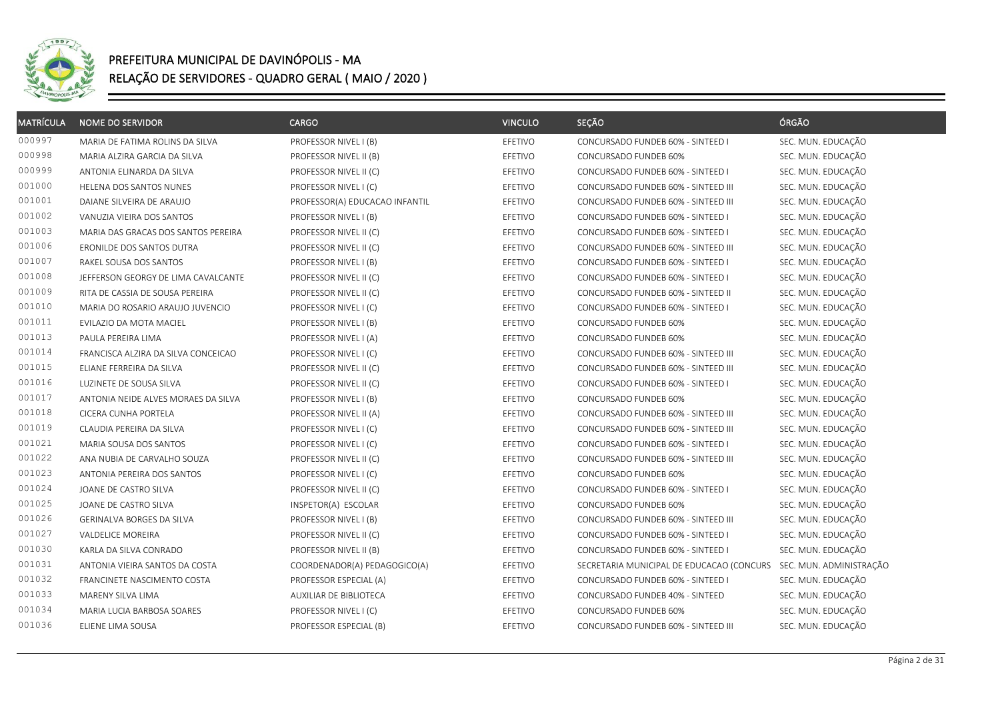

| <b>MATRÍCULA</b> | <b>NOME DO SERVIDOR</b>             | CARGO                          | <b>VINCULO</b> | SEÇÃO                                     | ÓRGÃO                   |
|------------------|-------------------------------------|--------------------------------|----------------|-------------------------------------------|-------------------------|
| 000997           | MARIA DE FATIMA ROLINS DA SILVA     | PROFESSOR NIVEL I (B)          | EFETIVO        | CONCURSADO FUNDEB 60% - SINTEED I         | SEC. MUN. EDUCAÇÃO      |
| 000998           | MARIA ALZIRA GARCIA DA SILVA        | PROFESSOR NIVEL II (B)         | EFETIVO        | CONCURSADO FUNDEB 60%                     | SEC. MUN. EDUCAÇÃO      |
| 000999           | ANTONIA ELINARDA DA SILVA           | PROFESSOR NIVEL II (C)         | EFETIVO        | CONCURSADO FUNDEB 60% - SINTEED I         | SEC. MUN. EDUCAÇÃO      |
| 001000           | HELENA DOS SANTOS NUNES             | PROFESSOR NIVEL I (C)          | EFETIVO        | CONCURSADO FUNDEB 60% - SINTEED III       | SEC. MUN. EDUCAÇÃO      |
| 001001           | DAIANE SILVEIRA DE ARAUJO           | PROFESSOR(A) EDUCACAO INFANTIL | EFETIVO        | CONCURSADO FUNDEB 60% - SINTEED III       | SEC. MUN. EDUCAÇÃO      |
| 001002           | VANUZIA VIEIRA DOS SANTOS           | PROFESSOR NIVEL I (B)          | EFETIVO        | CONCURSADO FUNDEB 60% - SINTEED I         | SEC. MUN. EDUCAÇÃO      |
| 001003           | MARIA DAS GRACAS DOS SANTOS PEREIRA | PROFESSOR NIVEL II (C)         | EFETIVO        | CONCURSADO FUNDEB 60% - SINTEED I         | SEC. MUN. EDUCAÇÃO      |
| 001006           | ERONILDE DOS SANTOS DUTRA           | PROFESSOR NIVEL II (C)         | EFETIVO        | CONCURSADO FUNDEB 60% - SINTEED III       | SEC. MUN. EDUCAÇÃO      |
| 001007           | RAKEL SOUSA DOS SANTOS              | PROFESSOR NIVEL I (B)          | EFETIVO        | CONCURSADO FUNDEB 60% - SINTEED I         | SEC. MUN. EDUCAÇÃO      |
| 001008           | JEFFERSON GEORGY DE LIMA CAVALCANTE | PROFESSOR NIVEL II (C)         | EFETIVO        | CONCURSADO FUNDEB 60% - SINTEED I         | SEC. MUN. EDUCAÇÃO      |
| 001009           | RITA DE CASSIA DE SOUSA PEREIRA     | PROFESSOR NIVEL II (C)         | EFETIVO        | CONCURSADO FUNDEB 60% - SINTEED II        | SEC. MUN. EDUCAÇÃO      |
| 001010           | MARIA DO ROSARIO ARAUJO JUVENCIO    | PROFESSOR NIVEL I (C)          | EFETIVO        | CONCURSADO FUNDEB 60% - SINTEED I         | SEC. MUN. EDUCAÇÃO      |
| 001011           | EVILAZIO DA MOTA MACIEL             | PROFESSOR NIVEL I (B)          | EFETIVO        | CONCURSADO FUNDEB 60%                     | SEC. MUN. EDUCAÇÃO      |
| 001013           | PAULA PEREIRA LIMA                  | PROFESSOR NIVEL I (A)          | EFETIVO        | CONCURSADO FUNDEB 60%                     | SEC. MUN. EDUCAÇÃO      |
| 001014           | FRANCISCA ALZIRA DA SILVA CONCEICAO | PROFESSOR NIVEL I (C)          | EFETIVO        | CONCURSADO FUNDEB 60% - SINTEED III       | SEC. MUN. EDUCAÇÃO      |
| 001015           | ELIANE FERREIRA DA SILVA            | PROFESSOR NIVEL II (C)         | EFETIVO        | CONCURSADO FUNDEB 60% - SINTEED III       | SEC. MUN. EDUCAÇÃO      |
| 001016           | LUZINETE DE SOUSA SILVA             | PROFESSOR NIVEL II (C)         | EFETIVO        | CONCURSADO FUNDEB 60% - SINTEED I         | SEC. MUN. EDUCAÇÃO      |
| 001017           | ANTONIA NEIDE ALVES MORAES DA SILVA | PROFESSOR NIVEL I (B)          | EFETIVO        | CONCURSADO FUNDEB 60%                     | SEC. MUN. EDUCAÇÃO      |
| 001018           | CICERA CUNHA PORTELA                | PROFESSOR NIVEL II (A)         | EFETIVO        | CONCURSADO FUNDEB 60% - SINTEED III       | SEC. MUN. EDUCAÇÃO      |
| 001019           | CLAUDIA PEREIRA DA SILVA            | PROFESSOR NIVEL I (C)          | EFETIVO        | CONCURSADO FUNDEB 60% - SINTEED III       | SEC. MUN. EDUCAÇÃO      |
| 001021           | MARIA SOUSA DOS SANTOS              | PROFESSOR NIVEL I (C)          | EFETIVO        | CONCURSADO FUNDEB 60% - SINTEED I         | SEC. MUN. EDUCAÇÃO      |
| 001022           | ANA NUBIA DE CARVALHO SOUZA         | PROFESSOR NIVEL II (C)         | EFETIVO        | CONCURSADO FUNDEB 60% - SINTEED III       | SEC. MUN. EDUCAÇÃO      |
| 001023           | ANTONIA PEREIRA DOS SANTOS          | PROFESSOR NIVEL I (C)          | EFETIVO        | CONCURSADO FUNDEB 60%                     | SEC. MUN. EDUCAÇÃO      |
| 001024           | JOANE DE CASTRO SILVA               | PROFESSOR NIVEL II (C)         | EFETIVO        | CONCURSADO FUNDEB 60% - SINTEED I         | SEC. MUN. EDUCAÇÃO      |
| 001025           | JOANE DE CASTRO SILVA               | INSPETOR(A) ESCOLAR            | EFETIVO        | CONCURSADO FUNDEB 60%                     | SEC. MUN. EDUCAÇÃO      |
| 001026           | GERINALVA BORGES DA SILVA           | PROFESSOR NIVEL I (B)          | EFETIVO        | CONCURSADO FUNDEB 60% - SINTEED III       | SEC. MUN. EDUCAÇÃO      |
| 001027           | VALDELICE MOREIRA                   | PROFESSOR NIVEL II (C)         | EFETIVO        | CONCURSADO FUNDEB 60% - SINTEED I         | SEC. MUN. EDUCAÇÃO      |
| 001030           | KARLA DA SILVA CONRADO              | PROFESSOR NIVEL II (B)         | EFETIVO        | CONCURSADO FUNDEB 60% - SINTEED I         | SEC. MUN. EDUCAÇÃO      |
| 001031           | ANTONIA VIEIRA SANTOS DA COSTA      | COORDENADOR(A) PEDAGOGICO(A)   | EFETIVO        | SECRETARIA MUNICIPAL DE EDUCACAO (CONCURS | SEC. MUN. ADMINISTRAÇÃO |
| 001032           | FRANCINETE NASCIMENTO COSTA         | PROFESSOR ESPECIAL (A)         | EFETIVO        | CONCURSADO FUNDEB 60% - SINTEED I         | SEC. MUN. EDUCAÇÃO      |
| 001033           | MARENY SILVA LIMA                   | AUXILIAR DE BIBLIOTECA         | EFETIVO        | CONCURSADO FUNDEB 40% - SINTEED           | SEC. MUN. EDUCAÇÃO      |
| 001034           | MARIA LUCIA BARBOSA SOARES          | PROFESSOR NIVEL I (C)          | EFETIVO        | CONCURSADO FUNDEB 60%                     | SEC. MUN. EDUCAÇÃO      |
| 001036           | ELIENE LIMA SOUSA                   | PROFESSOR ESPECIAL (B)         | EFETIVO        | CONCURSADO FUNDEB 60% - SINTEED III       | SEC. MUN. EDUCAÇÃO      |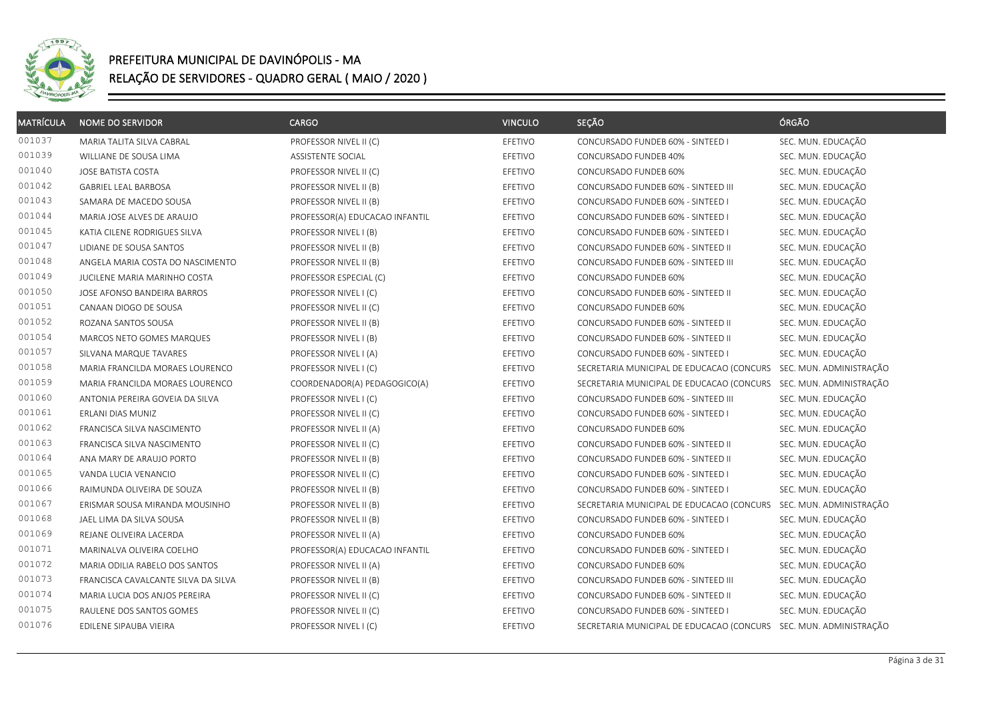

| <b>MATRÍCULA</b> | <b>NOME DO SERVIDOR</b>             | <b>CARGO</b>                   | <b>VINCULO</b> | SEÇÃO                                                             | ÓRGÃO                   |
|------------------|-------------------------------------|--------------------------------|----------------|-------------------------------------------------------------------|-------------------------|
| 001037           | MARIA TALITA SILVA CABRAL           | PROFESSOR NIVEL II (C)         | EFETIVO        | CONCURSADO FUNDEB 60% - SINTEED I                                 | SEC. MUN. EDUCAÇÃO      |
| 001039           | WILLIANE DE SOUSA LIMA              | ASSISTENTE SOCIAL              | EFETIVO        | CONCURSADO FUNDEB 40%                                             | SEC. MUN. EDUCAÇÃO      |
| 001040           | JOSE BATISTA COSTA                  | PROFESSOR NIVEL II (C)         | EFETIVO        | CONCURSADO FUNDEB 60%                                             | SEC. MUN. EDUCAÇÃO      |
| 001042           | <b>GABRIEL LEAL BARBOSA</b>         | PROFESSOR NIVEL II (B)         | EFETIVO        | CONCURSADO FUNDEB 60% - SINTEED III                               | SEC. MUN. EDUCAÇÃO      |
| 001043           | SAMARA DE MACEDO SOUSA              | PROFESSOR NIVEL II (B)         | EFETIVO        | CONCURSADO FUNDEB 60% - SINTEED I                                 | SEC. MUN. EDUCAÇÃO      |
| 001044           | MARIA JOSE ALVES DE ARAUJO          | PROFESSOR(A) EDUCACAO INFANTIL | EFETIVO        | CONCURSADO FUNDEB 60% - SINTEED I                                 | SEC. MUN. EDUCAÇÃO      |
| 001045           | KATIA CILENE RODRIGUES SILVA        | PROFESSOR NIVEL I (B)          | EFETIVO        | CONCURSADO FUNDEB 60% - SINTEED I                                 | SEC. MUN. EDUCAÇÃO      |
| 001047           | LIDIANE DE SOUSA SANTOS             | PROFESSOR NIVEL II (B)         | EFETIVO        | CONCURSADO FUNDEB 60% - SINTEED II                                | SEC. MUN. EDUCAÇÃO      |
| 001048           | ANGELA MARIA COSTA DO NASCIMENTO    | PROFESSOR NIVEL II (B)         | EFETIVO        | CONCURSADO FUNDEB 60% - SINTEED III                               | SEC. MUN. EDUCAÇÃO      |
| 001049           | JUCILENE MARIA MARINHO COSTA        | PROFESSOR ESPECIAL (C)         | EFETIVO        | CONCURSADO FUNDEB 60%                                             | SEC. MUN. EDUCAÇÃO      |
| 001050           | JOSE AFONSO BANDEIRA BARROS         | PROFESSOR NIVEL I (C)          | EFETIVO        | CONCURSADO FUNDEB 60% - SINTEED II                                | SEC. MUN. EDUCAÇÃO      |
| 001051           | CANAAN DIOGO DE SOUSA               | PROFESSOR NIVEL II (C)         | EFETIVO        | CONCURSADO FUNDEB 60%                                             | SEC. MUN. EDUCAÇÃO      |
| 001052           | ROZANA SANTOS SOUSA                 | PROFESSOR NIVEL II (B)         | EFETIVO        | CONCURSADO FUNDEB 60% - SINTEED II                                | SEC. MUN. EDUCAÇÃO      |
| 001054           | MARCOS NETO GOMES MARQUES           | PROFESSOR NIVEL I (B)          | EFETIVO        | CONCURSADO FUNDEB 60% - SINTEED II                                | SEC. MUN. EDUCAÇÃO      |
| 001057           | SILVANA MARQUE TAVARES              | PROFESSOR NIVEL I (A)          | EFETIVO        | CONCURSADO FUNDEB 60% - SINTEED I                                 | SEC. MUN. EDUCAÇÃO      |
| 001058           | MARIA FRANCILDA MORAES LOURENCO     | PROFESSOR NIVEL I (C)          | EFETIVO        | SECRETARIA MUNICIPAL DE EDUCACAO (CONCURS                         | SEC. MUN. ADMINISTRAÇÃO |
| 001059           | MARIA FRANCILDA MORAES LOURENCO     | COORDENADOR(A) PEDAGOGICO(A)   | EFETIVO        | SECRETARIA MUNICIPAL DE EDUCACAO (CONCURS SEC. MUN. ADMINISTRAÇÃO |                         |
| 001060           | ANTONIA PEREIRA GOVEIA DA SILVA     | PROFESSOR NIVEL I (C)          | EFETIVO        | CONCURSADO FUNDEB 60% - SINTEED III                               | SEC. MUN. EDUCAÇÃO      |
| 001061           | ERLANI DIAS MUNIZ                   | PROFESSOR NIVEL II (C)         | EFETIVO        | CONCURSADO FUNDEB 60% - SINTEED I                                 | SEC. MUN. EDUCAÇÃO      |
| 001062           | FRANCISCA SILVA NASCIMENTO          | PROFESSOR NIVEL II (A)         | EFETIVO        | CONCURSADO FUNDEB 60%                                             | SEC. MUN. EDUCAÇÃO      |
| 001063           | FRANCISCA SILVA NASCIMENTO          | PROFESSOR NIVEL II (C)         | EFETIVO        | CONCURSADO FUNDEB 60% - SINTEED II                                | SEC. MUN. EDUCAÇÃO      |
| 001064           | ANA MARY DE ARAUJO PORTO            | PROFESSOR NIVEL II (B)         | EFETIVO        | CONCURSADO FUNDEB 60% - SINTEED II                                | SEC. MUN. EDUCAÇÃO      |
| 001065           | VANDA LUCIA VENANCIO                | PROFESSOR NIVEL II (C)         | EFETIVO        | CONCURSADO FUNDEB 60% - SINTEED I                                 | SEC. MUN. EDUCAÇÃO      |
| 001066           | RAIMUNDA OLIVEIRA DE SOUZA          | PROFESSOR NIVEL II (B)         | EFETIVO        | CONCURSADO FUNDEB 60% - SINTEED I                                 | SEC. MUN. EDUCAÇÃO      |
| 001067           | ERISMAR SOUSA MIRANDA MOUSINHO      | PROFESSOR NIVEL II (B)         | EFETIVO        | SECRETARIA MUNICIPAL DE EDUCACAO (CONCURS                         | SEC. MUN. ADMINISTRAÇÃO |
| 001068           | JAEL LIMA DA SILVA SOUSA            | PROFESSOR NIVEL II (B)         | EFETIVO        | CONCURSADO FUNDEB 60% - SINTEED I                                 | SEC. MUN. EDUCAÇÃO      |
| 001069           | REJANE OLIVEIRA LACERDA             | PROFESSOR NIVEL II (A)         | EFETIVO        | CONCURSADO FUNDEB 60%                                             | SEC. MUN. EDUCAÇÃO      |
| 001071           | MARINALVA OLIVEIRA COELHO           | PROFESSOR(A) EDUCACAO INFANTIL | EFETIVO        | CONCURSADO FUNDEB 60% - SINTEED I                                 | SEC. MUN. EDUCAÇÃO      |
| 001072           | MARIA ODILIA RABELO DOS SANTOS      | PROFESSOR NIVEL II (A)         | EFETIVO        | CONCURSADO FUNDEB 60%                                             | SEC. MUN. EDUCAÇÃO      |
| 001073           | FRANCISCA CAVALCANTE SILVA DA SILVA | PROFESSOR NIVEL II (B)         | EFETIVO        | CONCURSADO FUNDEB 60% - SINTEED III                               | SEC. MUN. EDUCAÇÃO      |
| 001074           | MARIA LUCIA DOS ANJOS PEREIRA       | PROFESSOR NIVEL II (C)         | EFETIVO        | CONCURSADO FUNDEB 60% - SINTEED II                                | SEC. MUN. EDUCAÇÃO      |
| 001075           | RAULENE DOS SANTOS GOMES            | PROFESSOR NIVEL II (C)         | EFETIVO        | CONCURSADO FUNDEB 60% - SINTEED I                                 | SEC. MUN. EDUCAÇÃO      |
| 001076           | EDILENE SIPAUBA VIEIRA              | PROFESSOR NIVEL I (C)          | EFETIVO        | SECRETARIA MUNICIPAL DE EDUCACAO (CONCURS SEC. MUN. ADMINISTRAÇÃO |                         |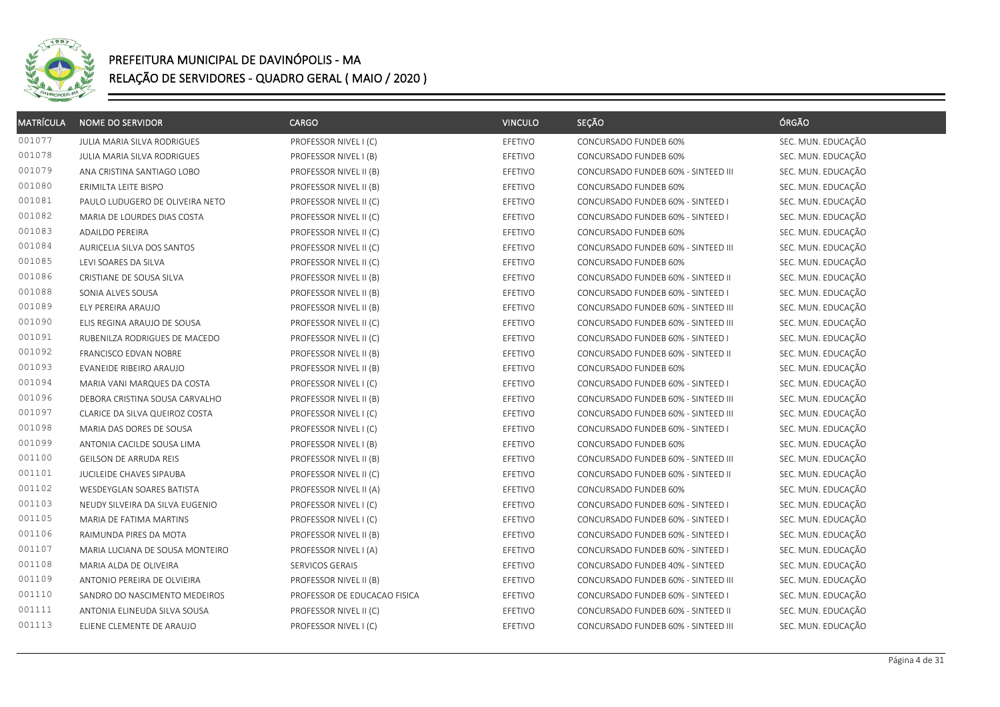

| <b>MATRÍCULA</b> | <b>NOME DO SERVIDOR</b>         | <b>CARGO</b>                 | <b>VINCULO</b> | SEÇÃO                               | ÓRGÃO              |
|------------------|---------------------------------|------------------------------|----------------|-------------------------------------|--------------------|
| 001077           | JULIA MARIA SILVA RODRIGUES     | PROFESSOR NIVEL I (C)        | EFETIVO        | CONCURSADO FUNDEB 60%               | SEC. MUN. EDUCAÇÃO |
| 001078           | JULIA MARIA SILVA RODRIGUES     | PROFESSOR NIVEL I (B)        | EFETIVO        | CONCURSADO FUNDEB 60%               | SEC. MUN. EDUCAÇÃO |
| 001079           | ANA CRISTINA SANTIAGO LOBO      | PROFESSOR NIVEL II (B)       | EFETIVO        | CONCURSADO FUNDEB 60% - SINTEED III | SEC. MUN. EDUCAÇÃO |
| 001080           | ERIMILTA LEITE BISPO            | PROFESSOR NIVEL II (B)       | EFETIVO        | CONCURSADO FUNDEB 60%               | SEC. MUN. EDUCAÇÃO |
| 001081           | PAULO LUDUGERO DE OLIVEIRA NETO | PROFESSOR NIVEL II (C)       | EFETIVO        | CONCURSADO FUNDEB 60% - SINTEED I   | SEC. MUN. EDUCAÇÃO |
| 001082           | MARIA DE LOURDES DIAS COSTA     | PROFESSOR NIVEL II (C)       | EFETIVO        | CONCURSADO FUNDEB 60% - SINTEED I   | SEC. MUN. EDUCAÇÃO |
| 001083           | ADAILDO PEREIRA                 | PROFESSOR NIVEL II (C)       | EFETIVO        | CONCURSADO FUNDEB 60%               | SEC. MUN. EDUCAÇÃO |
| 001084           | AURICELIA SILVA DOS SANTOS      | PROFESSOR NIVEL II (C)       | EFETIVO        | CONCURSADO FUNDEB 60% - SINTEED III | SEC. MUN. EDUCAÇÃO |
| 001085           | LEVI SOARES DA SILVA            | PROFESSOR NIVEL II (C)       | EFETIVO        | CONCURSADO FUNDEB 60%               | SEC. MUN. EDUCAÇÃO |
| 001086           | CRISTIANE DE SOUSA SILVA        | PROFESSOR NIVEL II (B)       | EFETIVO        | CONCURSADO FUNDEB 60% - SINTEED II  | SEC. MUN. EDUCAÇÃO |
| 001088           | SONIA ALVES SOUSA               | PROFESSOR NIVEL II (B)       | EFETIVO        | CONCURSADO FUNDEB 60% - SINTEED I   | SEC. MUN. EDUCAÇÃO |
| 001089           | ELY PEREIRA ARAUJO              | PROFESSOR NIVEL II (B)       | EFETIVO        | CONCURSADO FUNDEB 60% - SINTEED III | SEC. MUN. EDUCAÇÃO |
| 001090           | ELIS REGINA ARAUJO DE SOUSA     | PROFESSOR NIVEL II (C)       | EFETIVO        | CONCURSADO FUNDEB 60% - SINTEED III | SEC. MUN. EDUCAÇÃO |
| 001091           | RUBENILZA RODRIGUES DE MACEDO   | PROFESSOR NIVEL II (C)       | EFETIVO        | CONCURSADO FUNDEB 60% - SINTEED I   | SEC. MUN. EDUCAÇÃO |
| 001092           | FRANCISCO EDVAN NOBRE           | PROFESSOR NIVEL II (B)       | EFETIVO        | CONCURSADO FUNDEB 60% - SINTEED II  | SEC. MUN. EDUCAÇÃO |
| 001093           | EVANEIDE RIBEIRO ARAUJO         | PROFESSOR NIVEL II (B)       | EFETIVO        | CONCURSADO FUNDEB 60%               | SEC. MUN. EDUCAÇÃO |
| 001094           | MARIA VANI MARQUES DA COSTA     | PROFESSOR NIVEL I (C)        | EFETIVO        | CONCURSADO FUNDEB 60% - SINTEED I   | SEC. MUN. EDUCAÇÃO |
| 001096           | DEBORA CRISTINA SOUSA CARVALHO  | PROFESSOR NIVEL II (B)       | EFETIVO        | CONCURSADO FUNDEB 60% - SINTEED III | SEC. MUN. EDUCAÇÃO |
| 001097           | CLARICE DA SILVA QUEIROZ COSTA  | PROFESSOR NIVEL I (C)        | EFETIVO        | CONCURSADO FUNDEB 60% - SINTEED III | SEC. MUN. EDUCAÇÃO |
| 001098           | MARIA DAS DORES DE SOUSA        | PROFESSOR NIVEL I (C)        | EFETIVO        | CONCURSADO FUNDEB 60% - SINTEED I   | SEC. MUN. EDUCAÇÃO |
| 001099           | ANTONIA CACILDE SOUSA LIMA      | PROFESSOR NIVEL I (B)        | EFETIVO        | CONCURSADO FUNDEB 60%               | SEC. MUN. EDUCAÇÃO |
| 001100           | <b>GEILSON DE ARRUDA REIS</b>   | PROFESSOR NIVEL II (B)       | EFETIVO        | CONCURSADO FUNDEB 60% - SINTEED III | SEC. MUN. EDUCAÇÃO |
| 001101           | JUCILEIDE CHAVES SIPAUBA        | PROFESSOR NIVEL II (C)       | EFETIVO        | CONCURSADO FUNDEB 60% - SINTEED II  | SEC. MUN. EDUCAÇÃO |
| 001102           | WESDEYGLAN SOARES BATISTA       | PROFESSOR NIVEL II (A)       | EFETIVO        | CONCURSADO FUNDEB 60%               | SEC. MUN. EDUCAÇÃO |
| 001103           | NEUDY SILVEIRA DA SILVA EUGENIO | PROFESSOR NIVEL I (C)        | EFETIVO        | CONCURSADO FUNDEB 60% - SINTEED I   | SEC. MUN. EDUCAÇÃO |
| 001105           | MARIA DE FATIMA MARTINS         | PROFESSOR NIVEL I (C)        | EFETIVO        | CONCURSADO FUNDEB 60% - SINTEED I   | SEC. MUN. EDUCAÇÃO |
| 001106           | RAIMUNDA PIRES DA MOTA          | PROFESSOR NIVEL II (B)       | EFETIVO        | CONCURSADO FUNDEB 60% - SINTEED I   | SEC. MUN. EDUCAÇÃO |
| 001107           | MARIA LUCIANA DE SOUSA MONTEIRO | PROFESSOR NIVEL I (A)        | EFETIVO        | CONCURSADO FUNDEB 60% - SINTEED I   | SEC. MUN. EDUCAÇÃO |
| 001108           | MARIA ALDA DE OLIVEIRA          | SERVICOS GERAIS              | EFETIVO        | CONCURSADO FUNDEB 40% - SINTEED     | SEC. MUN. EDUCAÇÃO |
| 001109           | ANTONIO PEREIRA DE OLVIEIRA     | PROFESSOR NIVEL II (B)       | EFETIVO        | CONCURSADO FUNDEB 60% - SINTEED III | SEC. MUN. EDUCAÇÃO |
| 001110           | SANDRO DO NASCIMENTO MEDEIROS   | PROFESSOR DE EDUCACAO FISICA | EFETIVO        | CONCURSADO FUNDEB 60% - SINTEED I   | SEC. MUN. EDUCAÇÃO |
| 001111           | ANTONIA ELINEUDA SILVA SOUSA    | PROFESSOR NIVEL II (C)       | EFETIVO        | CONCURSADO FUNDEB 60% - SINTEED II  | SEC. MUN. EDUCAÇÃO |
| 001113           | ELIENE CLEMENTE DE ARAUJO       | PROFESSOR NIVEL I (C)        | EFETIVO        | CONCURSADO FUNDEB 60% - SINTEED III | SEC. MUN. EDUCAÇÃO |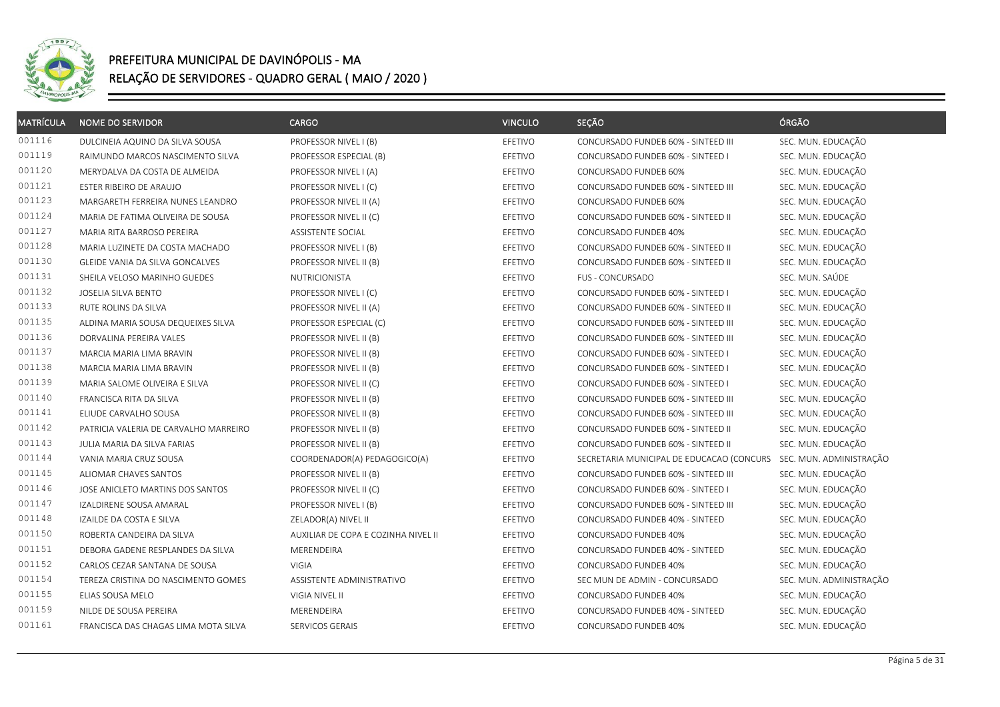

| <b>MATRÍCULA</b> | <b>NOME DO SERVIDOR</b>               | <b>CARGO</b>                        | <b>VINCULO</b> | SEÇÃO                                     | ÓRGÃO                   |
|------------------|---------------------------------------|-------------------------------------|----------------|-------------------------------------------|-------------------------|
| 001116           | DULCINEIA AQUINO DA SILVA SOUSA       | PROFESSOR NIVEL I (B)               | EFETIVO        | CONCURSADO FUNDEB 60% - SINTEED III       | SEC. MUN. EDUCAÇÃO      |
| 001119           | RAIMUNDO MARCOS NASCIMENTO SILVA      | PROFESSOR ESPECIAL (B)              | EFETIVO        | CONCURSADO FUNDEB 60% - SINTEED I         | SEC. MUN. EDUCAÇÃO      |
| 001120           | MERYDALVA DA COSTA DE ALMEIDA         | PROFESSOR NIVEL I (A)               | EFETIVO        | CONCURSADO FUNDEB 60%                     | SEC. MUN. EDUCAÇÃO      |
| 001121           | ESTER RIBEIRO DE ARAUJO               | PROFESSOR NIVEL I (C)               | EFETIVO        | CONCURSADO FUNDEB 60% - SINTEED III       | SEC. MUN. EDUCAÇÃO      |
| 001123           | MARGARETH FERREIRA NUNES LEANDRO      | PROFESSOR NIVEL II (A)              | EFETIVO        | CONCURSADO FUNDEB 60%                     | SEC. MUN. EDUCAÇÃO      |
| 001124           | MARIA DE FATIMA OLIVEIRA DE SOUSA     | PROFESSOR NIVEL II (C)              | EFETIVO        | CONCURSADO FUNDEB 60% - SINTEED II        | SEC. MUN. EDUCAÇÃO      |
| 001127           | MARIA RITA BARROSO PEREIRA            | ASSISTENTE SOCIAL                   | EFETIVO        | CONCURSADO FUNDEB 40%                     | SEC. MUN. EDUCAÇÃO      |
| 001128           | MARIA LUZINETE DA COSTA MACHADO       | PROFESSOR NIVEL I (B)               | EFETIVO        | CONCURSADO FUNDEB 60% - SINTEED II        | SEC. MUN. EDUCAÇÃO      |
| 001130           | GLEIDE VANIA DA SILVA GONCALVES       | PROFESSOR NIVEL II (B)              | EFETIVO        | CONCURSADO FUNDEB 60% - SINTEED II        | SEC. MUN. EDUCAÇÃO      |
| 001131           | SHEILA VELOSO MARINHO GUEDES          | NUTRICIONISTA                       | EFETIVO        | <b>FUS - CONCURSADO</b>                   | SEC. MUN. SAÚDE         |
| 001132           | JOSELIA SILVA BENTO                   | PROFESSOR NIVEL I (C)               | EFETIVO        | CONCURSADO FUNDEB 60% - SINTEED I         | SEC. MUN. EDUCAÇÃO      |
| 001133           | RUTE ROLINS DA SILVA                  | PROFESSOR NIVEL II (A)              | EFETIVO        | CONCURSADO FUNDEB 60% - SINTEED II        | SEC. MUN. EDUCAÇÃO      |
| 001135           | ALDINA MARIA SOUSA DEQUEIXES SILVA    | PROFESSOR ESPECIAL (C)              | EFETIVO        | CONCURSADO FUNDEB 60% - SINTEED III       | SEC. MUN. EDUCAÇÃO      |
| 001136           | DORVALINA PEREIRA VALES               | PROFESSOR NIVEL II (B)              | EFETIVO        | CONCURSADO FUNDEB 60% - SINTEED III       | SEC. MUN. EDUCAÇÃO      |
| 001137           | MARCIA MARIA LIMA BRAVIN              | PROFESSOR NIVEL II (B)              | EFETIVO        | CONCURSADO FUNDEB 60% - SINTEED I         | SEC. MUN. EDUCAÇÃO      |
| 001138           | MARCIA MARIA LIMA BRAVIN              | PROFESSOR NIVEL II (B)              | EFETIVO        | CONCURSADO FUNDEB 60% - SINTEED I         | SEC. MUN. EDUCAÇÃO      |
| 001139           | MARIA SALOME OLIVEIRA E SILVA         | PROFESSOR NIVEL II (C)              | EFETIVO        | CONCURSADO FUNDEB 60% - SINTEED I         | SEC. MUN. EDUCAÇÃO      |
| 001140           | FRANCISCA RITA DA SILVA               | PROFESSOR NIVEL II (B)              | EFETIVO        | CONCURSADO FUNDEB 60% - SINTEED III       | SEC. MUN. EDUCAÇÃO      |
| 001141           | ELIUDE CARVALHO SOUSA                 | PROFESSOR NIVEL II (B)              | EFETIVO        | CONCURSADO FUNDEB 60% - SINTEED III       | SEC. MUN. EDUCAÇÃO      |
| 001142           | PATRICIA VALERIA DE CARVALHO MARREIRO | PROFESSOR NIVEL II (B)              | EFETIVO        | CONCURSADO FUNDEB 60% - SINTEED II        | SEC. MUN. EDUCAÇÃO      |
| 001143           | JULIA MARIA DA SILVA FARIAS           | PROFESSOR NIVEL II (B)              | EFETIVO        | CONCURSADO FUNDEB 60% - SINTEED II        | SEC. MUN. EDUCAÇÃO      |
| 001144           | VANIA MARIA CRUZ SOUSA                | COORDENADOR(A) PEDAGOGICO(A)        | EFETIVO        | SECRETARIA MUNICIPAL DE EDUCACAO (CONCURS | SEC. MUN. ADMINISTRAÇÃO |
| 001145           | ALIOMAR CHAVES SANTOS                 | PROFESSOR NIVEL II (B)              | EFETIVO        | CONCURSADO FUNDEB 60% - SINTEED III       | SEC. MUN. EDUCAÇÃO      |
| 001146           | JOSE ANICLETO MARTINS DOS SANTOS      | PROFESSOR NIVEL II (C)              | EFETIVO        | CONCURSADO FUNDEB 60% - SINTEED I         | SEC. MUN. EDUCAÇÃO      |
| 001147           | IZALDIRENE SOUSA AMARAL               | PROFESSOR NIVEL I (B)               | EFETIVO        | CONCURSADO FUNDEB 60% - SINTEED III       | SEC. MUN. EDUCAÇÃO      |
| 001148           | IZAILDE DA COSTA E SILVA              | ZELADOR(A) NIVEL II                 | EFETIVO        | CONCURSADO FUNDEB 40% - SINTEED           | SEC. MUN. EDUCAÇÃO      |
| 001150           | ROBERTA CANDEIRA DA SILVA             | AUXILIAR DE COPA E COZINHA NIVEL II | EFETIVO        | CONCURSADO FUNDEB 40%                     | SEC. MUN. EDUCAÇÃO      |
| 001151           | DEBORA GADENE RESPLANDES DA SILVA     | MERENDEIRA                          | EFETIVO        | CONCURSADO FUNDEB 40% - SINTEED           | SEC. MUN. EDUCAÇÃO      |
| 001152           | CARLOS CEZAR SANTANA DE SOUSA         | VIGIA                               | EFETIVO        | CONCURSADO FUNDEB 40%                     | SEC. MUN. EDUCAÇÃO      |
| 001154           | TEREZA CRISTINA DO NASCIMENTO GOMES   | ASSISTENTE ADMINISTRATIVO           | EFETIVO        | SEC MUN DE ADMIN - CONCURSADO             | SEC. MUN. ADMINISTRAÇÃO |
| 001155           | ELIAS SOUSA MELO                      | VIGIA NIVEL II                      | EFETIVO        | CONCURSADO FUNDEB 40%                     | SEC. MUN. EDUCAÇÃO      |
| 001159           | NILDE DE SOUSA PEREIRA                | MERENDEIRA                          | EFETIVO        | CONCURSADO FUNDEB 40% - SINTEED           | SEC. MUN. EDUCAÇÃO      |
| 001161           | FRANCISCA DAS CHAGAS LIMA MOTA SILVA  | SERVICOS GERAIS                     | EFETIVO        | CONCURSADO FUNDEB 40%                     | SEC. MUN. EDUCAÇÃO      |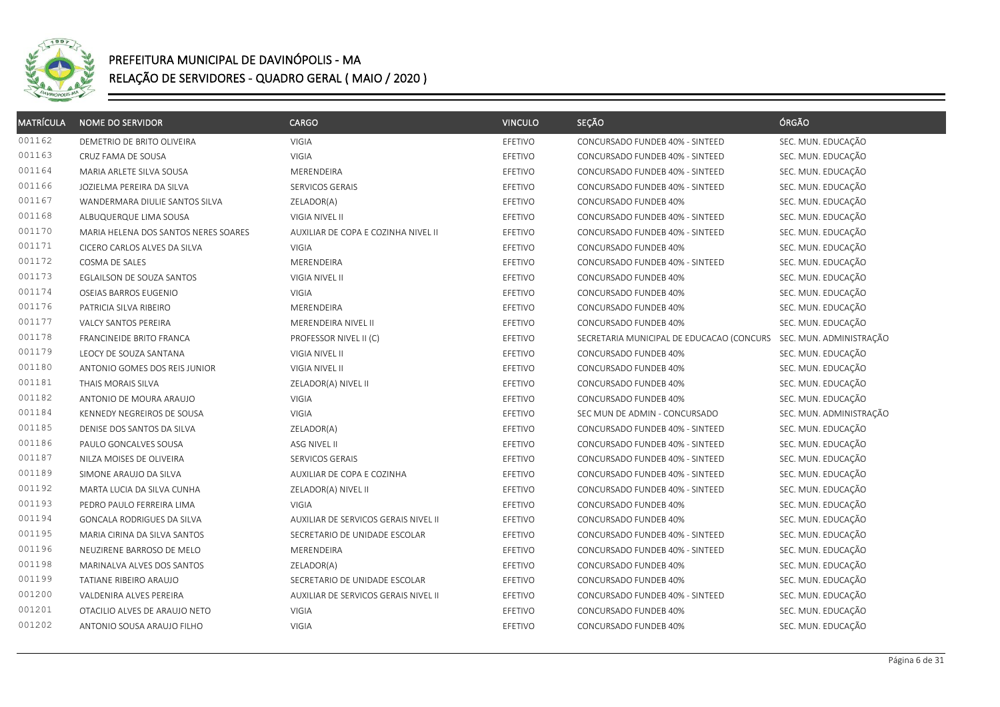

| <b>MATRÍCULA</b> | <b>NOME DO SERVIDOR</b>              | <b>CARGO</b>                         | <b>VINCULO</b> | SEÇÃO                                     | ÓRGÃO                   |
|------------------|--------------------------------------|--------------------------------------|----------------|-------------------------------------------|-------------------------|
| 001162           | DEMETRIO DE BRITO OLIVEIRA           | VIGIA                                | EFETIVO        | CONCURSADO FUNDEB 40% - SINTEED           | SEC. MUN. EDUCAÇÃO      |
| 001163           | CRUZ FAMA DE SOUSA                   | VIGIA                                | EFETIVO        | CONCURSADO FUNDEB 40% - SINTEED           | SEC. MUN. EDUCAÇÃO      |
| 001164           | MARIA ARLETE SILVA SOUSA             | MERENDEIRA                           | EFETIVO        | CONCURSADO FUNDEB 40% - SINTEED           | SEC. MUN. EDUCAÇÃO      |
| 001166           | JOZIELMA PEREIRA DA SILVA            | SERVICOS GERAIS                      | EFETIVO        | CONCURSADO FUNDEB 40% - SINTEED           | SEC. MUN. EDUCAÇÃO      |
| 001167           | WANDERMARA DIULIE SANTOS SILVA       | ZELADOR(A)                           | EFETIVO        | CONCURSADO FUNDEB 40%                     | SEC. MUN. EDUCAÇÃO      |
| 001168           | ALBUQUERQUE LIMA SOUSA               | VIGIA NIVEL II                       | EFETIVO        | CONCURSADO FUNDEB 40% - SINTEED           | SEC. MUN. EDUCAÇÃO      |
| 001170           | MARIA HELENA DOS SANTOS NERES SOARES | AUXILIAR DE COPA E COZINHA NIVEL II  | EFETIVO        | CONCURSADO FUNDEB 40% - SINTEED           | SEC. MUN. EDUCAÇÃO      |
| 001171           | CICERO CARLOS ALVES DA SILVA         | VIGIA                                | EFETIVO        | CONCURSADO FUNDEB 40%                     | SEC. MUN. EDUCAÇÃO      |
| 001172           | COSMA DE SALES                       | <b>MERENDEIRA</b>                    | EFETIVO        | CONCURSADO FUNDEB 40% - SINTEED           | SEC. MUN. EDUCAÇÃO      |
| 001173           | EGLAILSON DE SOUZA SANTOS            | VIGIA NIVEL II                       | EFETIVO        | CONCURSADO FUNDEB 40%                     | SEC. MUN. EDUCAÇÃO      |
| 001174           | OSEIAS BARROS EUGENIO                | VIGIA                                | EFETIVO        | CONCURSADO FUNDEB 40%                     | SEC. MUN. EDUCAÇÃO      |
| 001176           | PATRICIA SILVA RIBEIRO               | MERENDEIRA                           | EFETIVO        | CONCURSADO FUNDEB 40%                     | SEC. MUN. EDUCAÇÃO      |
| 001177           | VALCY SANTOS PEREIRA                 | MERENDEIRA NIVEL II                  | EFETIVO        | CONCURSADO FUNDEB 40%                     | SEC. MUN. EDUCAÇÃO      |
| 001178           | FRANCINEIDE BRITO FRANCA             | PROFESSOR NIVEL II (C)               | EFETIVO        | SECRETARIA MUNICIPAL DE EDUCACAO (CONCURS | SEC. MUN. ADMINISTRAÇÃO |
| 001179           | LEOCY DE SOUZA SANTANA               | VIGIA NIVEL II                       | EFETIVO        | CONCURSADO FUNDEB 40%                     | SEC. MUN. EDUCAÇÃO      |
| 001180           | ANTONIO GOMES DOS REIS JUNIOR        | VIGIA NIVEL II                       | EFETIVO        | CONCURSADO FUNDEB 40%                     | SEC. MUN. EDUCAÇÃO      |
| 001181           | THAIS MORAIS SILVA                   | ZELADOR(A) NIVEL II                  | EFETIVO        | CONCURSADO FUNDEB 40%                     | SEC. MUN. EDUCAÇÃO      |
| 001182           | ANTONIO DE MOURA ARAUJO              | VIGIA                                | EFETIVO        | CONCURSADO FUNDEB 40%                     | SEC. MUN. EDUCAÇÃO      |
| 001184           | KENNEDY NEGREIROS DE SOUSA           | <b>VIGIA</b>                         | EFETIVO        | SEC MUN DE ADMIN - CONCURSADO             | SEC. MUN. ADMINISTRAÇÃO |
| 001185           | DENISE DOS SANTOS DA SILVA           | ZELADOR(A)                           | EFETIVO        | CONCURSADO FUNDEB 40% - SINTEED           | SEC. MUN. EDUCAÇÃO      |
| 001186           | PAULO GONCALVES SOUSA                | ASG NIVEL II                         | EFETIVO        | CONCURSADO FUNDEB 40% - SINTEED           | SEC. MUN. EDUCAÇÃO      |
| 001187           | NILZA MOISES DE OLIVEIRA             | SERVICOS GERAIS                      | EFETIVO        | CONCURSADO FUNDEB 40% - SINTEED           | SEC. MUN. EDUCAÇÃO      |
| 001189           | SIMONE ARAUJO DA SILVA               | AUXILIAR DE COPA E COZINHA           | EFETIVO        | CONCURSADO FUNDEB 40% - SINTEED           | SEC. MUN. EDUCAÇÃO      |
| 001192           | MARTA LUCIA DA SILVA CUNHA           | ZELADOR(A) NIVEL II                  | EFETIVO        | CONCURSADO FUNDEB 40% - SINTEED           | SEC. MUN. EDUCAÇÃO      |
| 001193           | PEDRO PAULO FERREIRA LIMA            | <b>VIGIA</b>                         | EFETIVO        | CONCURSADO FUNDEB 40%                     | SEC. MUN. EDUCAÇÃO      |
| 001194           | GONCALA RODRIGUES DA SILVA           | AUXILIAR DE SERVICOS GERAIS NIVEL II | EFETIVO        | CONCURSADO FUNDEB 40%                     | SEC. MUN. EDUCAÇÃO      |
| 001195           | MARIA CIRINA DA SILVA SANTOS         | SECRETARIO DE UNIDADE ESCOLAR        | EFETIVO        | CONCURSADO FUNDEB 40% - SINTEED           | SEC. MUN. EDUCAÇÃO      |
| 001196           | NEUZIRENE BARROSO DE MELO            | MERENDEIRA                           | EFETIVO        | CONCURSADO FUNDEB 40% - SINTEED           | SEC. MUN. EDUCAÇÃO      |
| 001198           | MARINALVA ALVES DOS SANTOS           | ZELADOR(A)                           | EFETIVO        | CONCURSADO FUNDEB 40%                     | SEC. MUN. EDUCAÇÃO      |
| 001199           | TATIANE RIBEIRO ARAUJO               | SECRETARIO DE UNIDADE ESCOLAR        | EFETIVO        | CONCURSADO FUNDEB 40%                     | SEC. MUN. EDUCAÇÃO      |
| 001200           | VALDENIRA ALVES PEREIRA              | AUXILIAR DE SERVICOS GERAIS NIVEL II | EFETIVO        | CONCURSADO FUNDEB 40% - SINTEED           | SEC. MUN. EDUCAÇÃO      |
| 001201           | OTACILIO ALVES DE ARAUJO NETO        | <b>VIGIA</b>                         | EFETIVO        | CONCURSADO FUNDEB 40%                     | SEC. MUN. EDUCAÇÃO      |
| 001202           | ANTONIO SOUSA ARAUJO FILHO           | VIGIA                                | EFETIVO        | CONCURSADO FUNDEB 40%                     | SEC. MUN. EDUCAÇÃO      |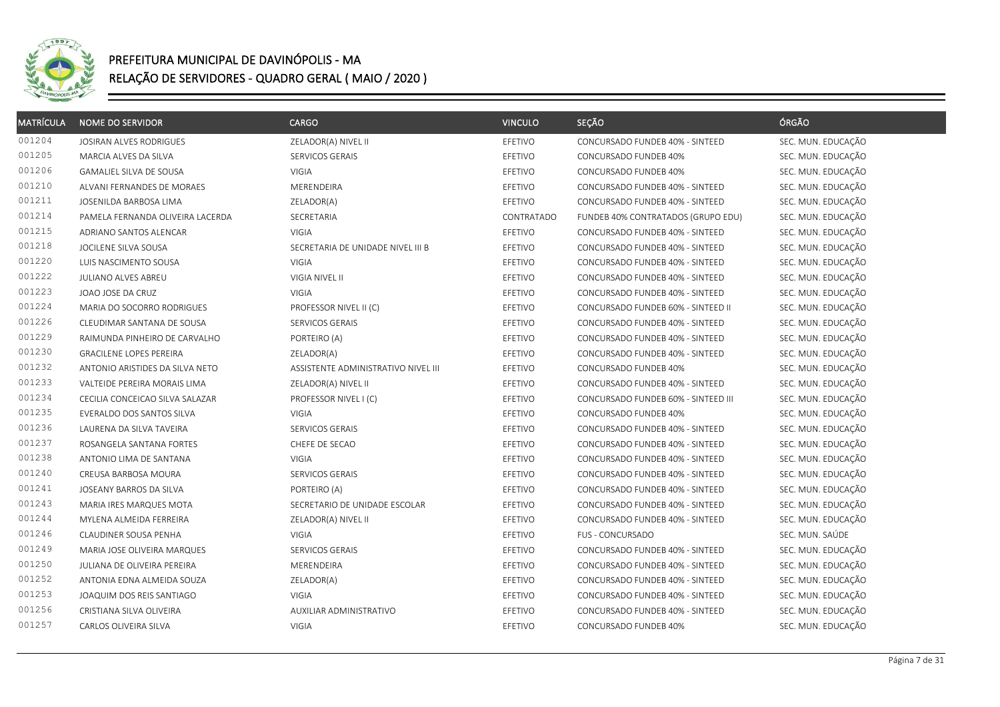

| <b>MATRÍCULA</b> | <b>NOME DO SERVIDOR</b>          | <b>CARGO</b>                        | <b>VINCULO</b> | SEÇÃO                               | ÓRGÃO              |
|------------------|----------------------------------|-------------------------------------|----------------|-------------------------------------|--------------------|
| 001204           | JOSIRAN ALVES RODRIGUES          | ZELADOR(A) NIVEL II                 | EFETIVO        | CONCURSADO FUNDEB 40% - SINTEED     | SEC. MUN. EDUCAÇÃO |
| 001205           | MARCIA ALVES DA SILVA            | SERVICOS GERAIS                     | EFETIVO        | CONCURSADO FUNDEB 40%               | SEC. MUN. EDUCAÇÃO |
| 001206           | GAMALIEL SILVA DE SOUSA          | VIGIA                               | EFETIVO        | CONCURSADO FUNDEB 40%               | SEC. MUN. EDUCAÇÃO |
| 001210           | ALVANI FERNANDES DE MORAES       | MERENDEIRA                          | EFETIVO        | CONCURSADO FUNDEB 40% - SINTEED     | SEC. MUN. EDUCAÇÃO |
| 001211           | JOSENILDA BARBOSA LIMA           | ZELADOR(A)                          | EFETIVO        | CONCURSADO FUNDEB 40% - SINTEED     | SEC. MUN. EDUCAÇÃO |
| 001214           | PAMELA FERNANDA OLIVEIRA LACERDA | SECRETARIA                          | CONTRATADO     | FUNDEB 40% CONTRATADOS (GRUPO EDU)  | SEC. MUN. EDUCAÇÃO |
| 001215           | ADRIANO SANTOS ALENCAR           | VIGIA                               | EFETIVO        | CONCURSADO FUNDEB 40% - SINTEED     | SEC. MUN. EDUCAÇÃO |
| 001218           | JOCILENE SILVA SOUSA             | SECRETARIA DE UNIDADE NIVEL III B   | EFETIVO        | CONCURSADO FUNDEB 40% - SINTEED     | SEC. MUN. EDUCAÇÃO |
| 001220           | LUIS NASCIMENTO SOUSA            | VIGIA                               | EFETIVO        | CONCURSADO FUNDEB 40% - SINTEED     | SEC. MUN. EDUCAÇÃO |
| 001222           | JULIANO ALVES ABREU              | VIGIA NIVEL II                      | EFETIVO        | CONCURSADO FUNDEB 40% - SINTEED     | SEC. MUN. EDUCAÇÃO |
| 001223           | JOAO JOSE DA CRUZ                | <b>VIGIA</b>                        | EFETIVO        | CONCURSADO FUNDEB 40% - SINTEED     | SEC. MUN. EDUCAÇÃO |
| 001224           | MARIA DO SOCORRO RODRIGUES       | PROFESSOR NIVEL II (C)              | EFETIVO        | CONCURSADO FUNDEB 60% - SINTEED II  | SEC. MUN. EDUCAÇÃO |
| 001226           | CLEUDIMAR SANTANA DE SOUSA       | SERVICOS GERAIS                     | EFETIVO        | CONCURSADO FUNDEB 40% - SINTEED     | SEC. MUN. EDUCAÇÃO |
| 001229           | RAIMUNDA PINHEIRO DE CARVALHO    | PORTEIRO (A)                        | EFETIVO        | CONCURSADO FUNDEB 40% - SINTEED     | SEC. MUN. EDUCAÇÃO |
| 001230           | <b>GRACILENE LOPES PEREIRA</b>   | ZELADOR(A)                          | EFETIVO        | CONCURSADO FUNDEB 40% - SINTEED     | SEC. MUN. EDUCAÇÃO |
| 001232           | ANTONIO ARISTIDES DA SILVA NETO  | ASSISTENTE ADMINISTRATIVO NIVEL III | EFETIVO        | CONCURSADO FUNDEB 40%               | SEC. MUN. EDUCAÇÃO |
| 001233           | VALTEIDE PEREIRA MORAIS LIMA     | ZELADOR(A) NIVEL II                 | EFETIVO        | CONCURSADO FUNDEB 40% - SINTEED     | SEC. MUN. EDUCAÇÃO |
| 001234           | CECILIA CONCEICAO SILVA SALAZAR  | PROFESSOR NIVEL I (C)               | EFETIVO        | CONCURSADO FUNDEB 60% - SINTEED III | SEC. MUN. EDUCAÇÃO |
| 001235           | EVERALDO DOS SANTOS SILVA        | <b>VIGIA</b>                        | EFETIVO        | CONCURSADO FUNDEB 40%               | SEC. MUN. EDUCAÇÃO |
| 001236           | LAURENA DA SILVA TAVEIRA         | SERVICOS GERAIS                     | EFETIVO        | CONCURSADO FUNDEB 40% - SINTEED     | SEC. MUN. EDUCAÇÃO |
| 001237           | ROSANGELA SANTANA FORTES         | CHEFE DE SECAO                      | EFETIVO        | CONCURSADO FUNDEB 40% - SINTEED     | SEC. MUN. EDUCAÇÃO |
| 001238           | ANTONIO LIMA DE SANTANA          | VIGIA                               | EFETIVO        | CONCURSADO FUNDEB 40% - SINTEED     | SEC. MUN. EDUCAÇÃO |
| 001240           | CREUSA BARBOSA MOURA             | SERVICOS GERAIS                     | EFETIVO        | CONCURSADO FUNDEB 40% - SINTEED     | SEC. MUN. EDUCAÇÃO |
| 001241           | JOSEANY BARROS DA SILVA          | PORTEIRO (A)                        | EFETIVO        | CONCURSADO FUNDEB 40% - SINTEED     | SEC. MUN. EDUCAÇÃO |
| 001243           | MARIA IRES MARQUES MOTA          | SECRETARIO DE UNIDADE ESCOLAR       | EFETIVO        | CONCURSADO FUNDEB 40% - SINTEED     | SEC. MUN. EDUCAÇÃO |
| 001244           | MYLENA ALMEIDA FERREIRA          | ZELADOR(A) NIVEL II                 | EFETIVO        | CONCURSADO FUNDEB 40% - SINTEED     | SEC. MUN. EDUCAÇÃO |
| 001246           | CLAUDINER SOUSA PENHA            | VIGIA                               | EFETIVO        | FUS - CONCURSADO                    | SEC. MUN. SAÚDE    |
| 001249           | MARIA JOSE OLIVEIRA MARQUES      | SERVICOS GERAIS                     | EFETIVO        | CONCURSADO FUNDEB 40% - SINTEED     | SEC. MUN. EDUCAÇÃO |
| 001250           | JULIANA DE OLIVEIRA PEREIRA      | MERENDEIRA                          | EFETIVO        | CONCURSADO FUNDEB 40% - SINTEED     | SEC. MUN. EDUCAÇÃO |
| 001252           | ANTONIA EDNA ALMEIDA SOUZA       | ZELADOR(A)                          | EFETIVO        | CONCURSADO FUNDEB 40% - SINTEED     | SEC. MUN. EDUCAÇÃO |
| 001253           | JOAQUIM DOS REIS SANTIAGO        | VIGIA                               | EFETIVO        | CONCURSADO FUNDEB 40% - SINTEED     | SEC. MUN. EDUCAÇÃO |
| 001256           | CRISTIANA SILVA OLIVEIRA         | AUXILIAR ADMINISTRATIVO             | EFETIVO        | CONCURSADO FUNDEB 40% - SINTEED     | SEC. MUN. EDUCAÇÃO |
| 001257           | CARLOS OLIVEIRA SILVA            | <b>VIGIA</b>                        | EFETIVO        | CONCURSADO FUNDEB 40%               | SEC. MUN. EDUCAÇÃO |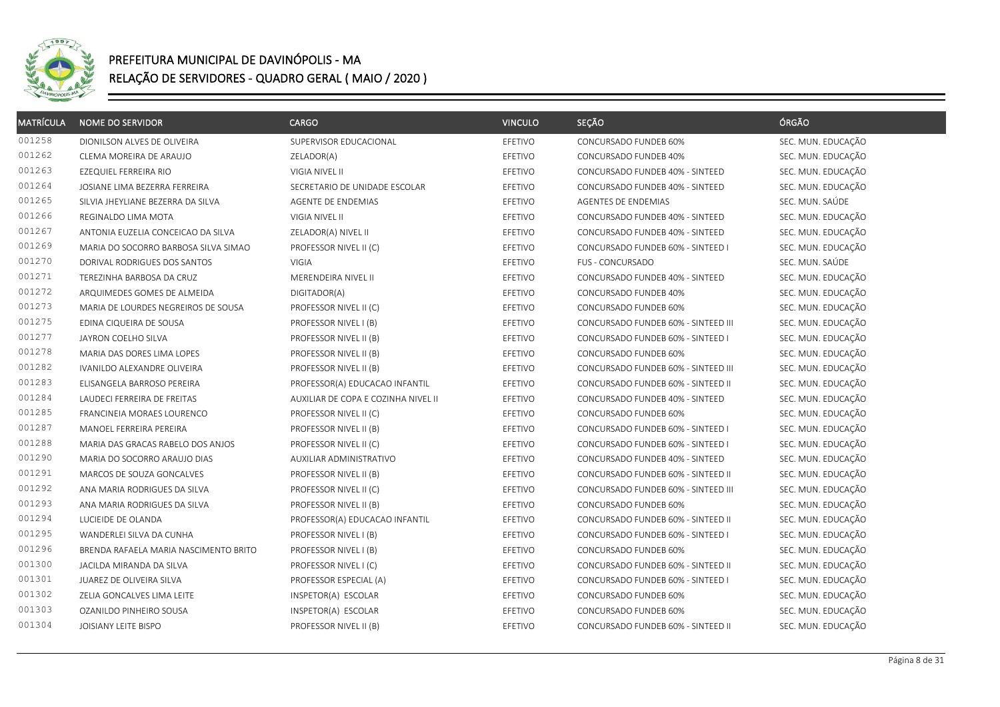

| <b>MATRÍCULA</b> | <b>NOME DO SERVIDOR</b>               | CARGO                               | <b>VINCULO</b> | SEÇÃO                               | ÓRGÃO              |
|------------------|---------------------------------------|-------------------------------------|----------------|-------------------------------------|--------------------|
| 001258           | DIONILSON ALVES DE OLIVEIRA           | SUPERVISOR EDUCACIONAL              | EFETIVO        | CONCURSADO FUNDEB 60%               | SEC. MUN. EDUCAÇÃO |
| 001262           | CLEMA MOREIRA DE ARAUJO               | ZELADOR(A)                          | EFETIVO        | CONCURSADO FUNDEB 40%               | SEC. MUN. EDUCAÇÃO |
| 001263           | EZEQUIEL FERREIRA RIO                 | VIGIA NIVEL II                      | EFETIVO        | CONCURSADO FUNDEB 40% - SINTEED     | SEC. MUN. EDUCAÇÃO |
| 001264           | JOSIANE LIMA BEZERRA FERREIRA         | SECRETARIO DE UNIDADE ESCOLAR       | EFETIVO        | CONCURSADO FUNDEB 40% - SINTEED     | SEC. MUN. EDUCAÇÃO |
| 001265           | SILVIA JHEYLIANE BEZERRA DA SILVA     | AGENTE DE ENDEMIAS                  | EFETIVO        | AGENTES DE ENDEMIAS                 | SEC. MUN. SAÚDE    |
| 001266           | REGINALDO LIMA MOTA                   | VIGIA NIVEL II                      | EFETIVO        | CONCURSADO FUNDEB 40% - SINTEED     | SEC. MUN. EDUCAÇÃO |
| 001267           | ANTONIA EUZELIA CONCEICAO DA SILVA    | ZELADOR(A) NIVEL II                 | EFETIVO        | CONCURSADO FUNDEB 40% - SINTEED     | SEC. MUN. EDUCAÇÃO |
| 001269           | MARIA DO SOCORRO BARBOSA SILVA SIMAO  | PROFESSOR NIVEL II (C)              | EFETIVO        | CONCURSADO FUNDEB 60% - SINTEED I   | SEC. MUN. EDUCAÇÃO |
| 001270           | DORIVAL RODRIGUES DOS SANTOS          | VIGIA                               | EFETIVO        | FUS - CONCURSADO                    | SEC. MUN. SAÚDE    |
| 001271           | TEREZINHA BARBOSA DA CRUZ             | MERENDEIRA NIVEL II                 | EFETIVO        | CONCURSADO FUNDEB 40% - SINTEED     | SEC. MUN. EDUCAÇÃO |
| 001272           | ARQUIMEDES GOMES DE ALMEIDA           | DIGITADOR(A)                        | EFETIVO        | CONCURSADO FUNDEB 40%               | SEC. MUN. EDUCAÇÃO |
| 001273           | MARIA DE LOURDES NEGREIROS DE SOUSA   | PROFESSOR NIVEL II (C)              | EFETIVO        | CONCURSADO FUNDEB 60%               | SEC. MUN. EDUCAÇÃO |
| 001275           | EDINA CIQUEIRA DE SOUSA               | PROFESSOR NIVEL I (B)               | EFETIVO        | CONCURSADO FUNDEB 60% - SINTEED III | SEC. MUN. EDUCAÇÃO |
| 001277           | JAYRON COELHO SILVA                   | PROFESSOR NIVEL II (B)              | EFETIVO        | CONCURSADO FUNDEB 60% - SINTEED I   | SEC. MUN. EDUCAÇÃO |
| 001278           | MARIA DAS DORES LIMA LOPES            | PROFESSOR NIVEL II (B)              | EFETIVO        | CONCURSADO FUNDEB 60%               | SEC. MUN. EDUCAÇÃO |
| 001282           | IVANILDO ALEXANDRE OLIVEIRA           | PROFESSOR NIVEL II (B)              | EFETIVO        | CONCURSADO FUNDEB 60% - SINTEED III | SEC. MUN. EDUCAÇÃO |
| 001283           | ELISANGELA BARROSO PEREIRA            | PROFESSOR(A) EDUCACAO INFANTIL      | EFETIVO        | CONCURSADO FUNDEB 60% - SINTEED II  | SEC. MUN. EDUCAÇÃO |
| 001284           | LAUDECI FERREIRA DE FREITAS           | AUXILIAR DE COPA E COZINHA NIVEL II | EFETIVO        | CONCURSADO FUNDEB 40% - SINTEED     | SEC. MUN. EDUCAÇÃO |
| 001285           | FRANCINEIA MORAES LOURENCO            | PROFESSOR NIVEL II (C)              | EFETIVO        | CONCURSADO FUNDEB 60%               | SEC. MUN. EDUCAÇÃO |
| 001287           | MANOEL FERREIRA PEREIRA               | PROFESSOR NIVEL II (B)              | EFETIVO        | CONCURSADO FUNDEB 60% - SINTEED I   | SEC. MUN. EDUCAÇÃO |
| 001288           | MARIA DAS GRACAS RABELO DOS ANJOS     | PROFESSOR NIVEL II (C)              | EFETIVO        | CONCURSADO FUNDEB 60% - SINTEED I   | SEC. MUN. EDUCAÇÃO |
| 001290           | MARIA DO SOCORRO ARAUJO DIAS          | AUXILIAR ADMINISTRATIVO             | EFETIVO        | CONCURSADO FUNDEB 40% - SINTEED     | SEC. MUN. EDUCAÇÃO |
| 001291           | MARCOS DE SOUZA GONCALVES             | PROFESSOR NIVEL II (B)              | EFETIVO        | CONCURSADO FUNDEB 60% - SINTEED II  | SEC. MUN. EDUCAÇÃO |
| 001292           | ANA MARIA RODRIGUES DA SILVA          | PROFESSOR NIVEL II (C)              | EFETIVO        | CONCURSADO FUNDEB 60% - SINTEED III | SEC. MUN. EDUCAÇÃO |
| 001293           | ANA MARIA RODRIGUES DA SILVA          | PROFESSOR NIVEL II (B)              | EFETIVO        | CONCURSADO FUNDEB 60%               | SEC. MUN. EDUCAÇÃO |
| 001294           | LUCIEIDE DE OLANDA                    | PROFESSOR(A) EDUCACAO INFANTIL      | EFETIVO        | CONCURSADO FUNDEB 60% - SINTEED II  | SEC. MUN. EDUCAÇÃO |
| 001295           | WANDERLEI SILVA DA CUNHA              | PROFESSOR NIVEL I (B)               | EFETIVO        | CONCURSADO FUNDEB 60% - SINTEED I   | SEC. MUN. EDUCAÇÃO |
| 001296           | BRENDA RAFAELA MARIA NASCIMENTO BRITO | PROFESSOR NIVEL I (B)               | EFETIVO        | CONCURSADO FUNDEB 60%               | SEC. MUN. EDUCAÇÃO |
| 001300           | JACILDA MIRANDA DA SILVA              | PROFESSOR NIVEL I (C)               | EFETIVO        | CONCURSADO FUNDEB 60% - SINTEED II  | SEC. MUN. EDUCAÇÃO |
| 001301           | JUAREZ DE OLIVEIRA SILVA              | PROFESSOR ESPECIAL (A)              | EFETIVO        | CONCURSADO FUNDEB 60% - SINTEED I   | SEC. MUN. EDUCAÇÃO |
| 001302           | ZELIA GONCALVES LIMA LEITE            | INSPETOR(A) ESCOLAR                 | EFETIVO        | CONCURSADO FUNDEB 60%               | SEC. MUN. EDUCAÇÃO |
| 001303           | OZANILDO PINHEIRO SOUSA               | INSPETOR(A) ESCOLAR                 | EFETIVO        | CONCURSADO FUNDEB 60%               | SEC. MUN. EDUCAÇÃO |
| 001304           | JOISIANY LEITE BISPO                  | PROFESSOR NIVEL II (B)              | EFETIVO        | CONCURSADO FUNDEB 60% - SINTEED II  | SEC. MUN. EDUCAÇÃO |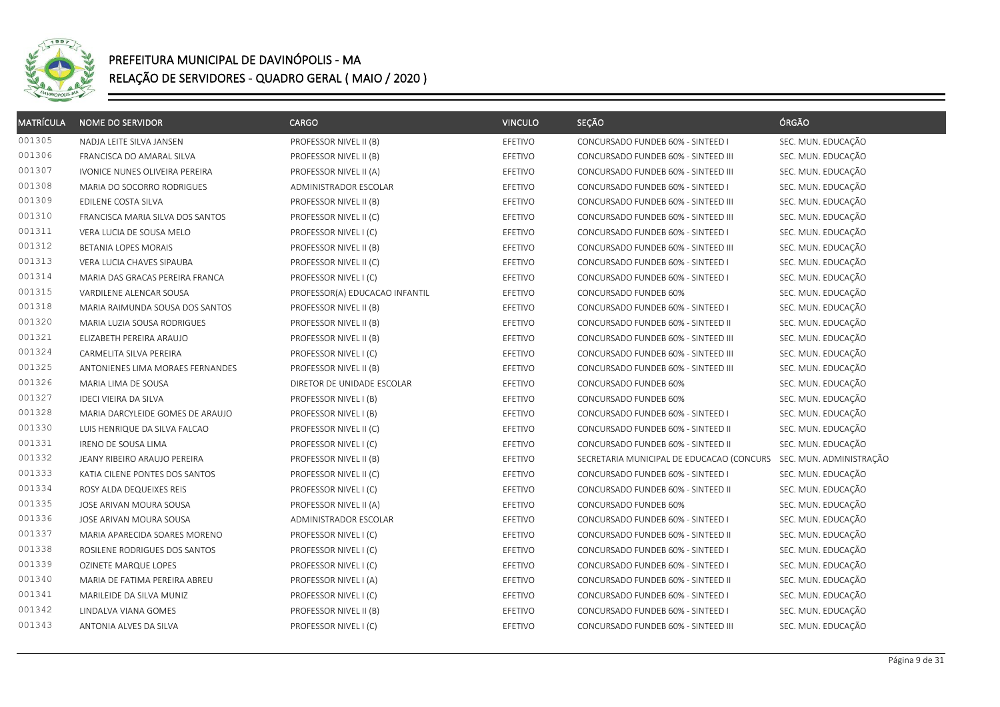

| <b>MATRÍCULA</b> | <b>NOME DO SERVIDOR</b>          | <b>CARGO</b>                   | <b>VINCULO</b> | SEÇÃO                                     | ÓRGÃO                   |
|------------------|----------------------------------|--------------------------------|----------------|-------------------------------------------|-------------------------|
| 001305           | NADJA LEITE SILVA JANSEN         | PROFESSOR NIVEL II (B)         | EFETIVO        | CONCURSADO FUNDEB 60% - SINTEED I         | SEC. MUN. EDUCAÇÃO      |
| 001306           | FRANCISCA DO AMARAL SILVA        | PROFESSOR NIVEL II (B)         | EFETIVO        | CONCURSADO FUNDEB 60% - SINTEED III       | SEC. MUN. EDUCAÇÃO      |
| 001307           | IVONICE NUNES OLIVEIRA PEREIRA   | PROFESSOR NIVEL II (A)         | EFETIVO        | CONCURSADO FUNDEB 60% - SINTEED III       | SEC. MUN. EDUCAÇÃO      |
| 001308           | MARIA DO SOCORRO RODRIGUES       | ADMINISTRADOR ESCOLAR          | EFETIVO        | CONCURSADO FUNDEB 60% - SINTEED I         | SEC. MUN. EDUCAÇÃO      |
| 001309           | EDILENE COSTA SILVA              | PROFESSOR NIVEL II (B)         | EFETIVO        | CONCURSADO FUNDEB 60% - SINTEED III       | SEC. MUN. EDUCAÇÃO      |
| 001310           | FRANCISCA MARIA SILVA DOS SANTOS | PROFESSOR NIVEL II (C)         | EFETIVO        | CONCURSADO FUNDEB 60% - SINTEED III       | SEC. MUN. EDUCAÇÃO      |
| 001311           | VERA LUCIA DE SOUSA MELO         | PROFESSOR NIVEL I (C)          | EFETIVO        | CONCURSADO FUNDEB 60% - SINTEED I         | SEC. MUN. EDUCAÇÃO      |
| 001312           | <b>BETANIA LOPES MORAIS</b>      | PROFESSOR NIVEL II (B)         | EFETIVO        | CONCURSADO FUNDEB 60% - SINTEED III       | SEC. MUN. EDUCAÇÃO      |
| 001313           | VERA LUCIA CHAVES SIPAUBA        | PROFESSOR NIVEL II (C)         | EFETIVO        | CONCURSADO FUNDEB 60% - SINTEED I         | SEC. MUN. EDUCAÇÃO      |
| 001314           | MARIA DAS GRACAS PEREIRA FRANCA  | PROFESSOR NIVEL I (C)          | EFETIVO        | CONCURSADO FUNDEB 60% - SINTEED I         | SEC. MUN. EDUCAÇÃO      |
| 001315           | VARDILENE ALENCAR SOUSA          | PROFESSOR(A) EDUCACAO INFANTIL | EFETIVO        | CONCURSADO FUNDEB 60%                     | SEC. MUN. EDUCAÇÃO      |
| 001318           | MARIA RAIMUNDA SOUSA DOS SANTOS  | PROFESSOR NIVEL II (B)         | EFETIVO        | CONCURSADO FUNDEB 60% - SINTEED I         | SEC. MUN. EDUCAÇÃO      |
| 001320           | MARIA LUZIA SOUSA RODRIGUES      | PROFESSOR NIVEL II (B)         | EFETIVO        | CONCURSADO FUNDEB 60% - SINTEED II        | SEC. MUN. EDUCAÇÃO      |
| 001321           | ELIZABETH PEREIRA ARAUJO         | PROFESSOR NIVEL II (B)         | EFETIVO        | CONCURSADO FUNDEB 60% - SINTEED III       | SEC. MUN. EDUCAÇÃO      |
| 001324           | CARMELITA SILVA PEREIRA          | PROFESSOR NIVEL I (C)          | EFETIVO        | CONCURSADO FUNDEB 60% - SINTEED III       | SEC. MUN. EDUCAÇÃO      |
| 001325           | ANTONIENES LIMA MORAES FERNANDES | PROFESSOR NIVEL II (B)         | EFETIVO        | CONCURSADO FUNDEB 60% - SINTEED III       | SEC. MUN. EDUCAÇÃO      |
| 001326           | MARIA LIMA DE SOUSA              | DIRETOR DE UNIDADE ESCOLAR     | EFETIVO        | CONCURSADO FUNDEB 60%                     | SEC. MUN. EDUCAÇÃO      |
| 001327           | IDECI VIEIRA DA SILVA            | PROFESSOR NIVEL I (B)          | EFETIVO        | CONCURSADO FUNDEB 60%                     | SEC. MUN. EDUCAÇÃO      |
| 001328           | MARIA DARCYLEIDE GOMES DE ARAUJO | PROFESSOR NIVEL I (B)          | EFETIVO        | CONCURSADO FUNDEB 60% - SINTEED I         | SEC. MUN. EDUCAÇÃO      |
| 001330           | LUIS HENRIQUE DA SILVA FALCAO    | PROFESSOR NIVEL II (C)         | EFETIVO        | CONCURSADO FUNDEB 60% - SINTEED II        | SEC. MUN. EDUCAÇÃO      |
| 001331           | IRENO DE SOUSA LIMA              | PROFESSOR NIVEL I (C)          | EFETIVO        | CONCURSADO FUNDEB 60% - SINTEED II        | SEC. MUN. EDUCAÇÃO      |
| 001332           | JEANY RIBEIRO ARAUJO PEREIRA     | PROFESSOR NIVEL II (B)         | EFETIVO        | SECRETARIA MUNICIPAL DE EDUCACAO (CONCURS | SEC. MUN. ADMINISTRAÇÃO |
| 001333           | KATIA CILENE PONTES DOS SANTOS   | PROFESSOR NIVEL II (C)         | EFETIVO        | CONCURSADO FUNDEB 60% - SINTEED I         | SEC. MUN. EDUCAÇÃO      |
| 001334           | ROSY ALDA DEQUEIXES REIS         | PROFESSOR NIVEL I (C)          | EFETIVO        | CONCURSADO FUNDEB 60% - SINTEED II        | SEC. MUN. EDUCAÇÃO      |
| 001335           | JOSE ARIVAN MOURA SOUSA          | PROFESSOR NIVEL II (A)         | EFETIVO        | CONCURSADO FUNDEB 60%                     | SEC. MUN. EDUCAÇÃO      |
| 001336           | JOSE ARIVAN MOURA SOUSA          | ADMINISTRADOR ESCOLAR          | EFETIVO        | CONCURSADO FUNDEB 60% - SINTEED I         | SEC. MUN. EDUCAÇÃO      |
| 001337           | MARIA APARECIDA SOARES MORENO    | PROFESSOR NIVEL I (C)          | EFETIVO        | CONCURSADO FUNDEB 60% - SINTEED II        | SEC. MUN. EDUCAÇÃO      |
| 001338           | ROSILENE RODRIGUES DOS SANTOS    | PROFESSOR NIVEL I (C)          | EFETIVO        | CONCURSADO FUNDEB 60% - SINTEED I         | SEC. MUN. EDUCAÇÃO      |
| 001339           | OZINETE MARQUE LOPES             | PROFESSOR NIVEL I (C)          | EFETIVO        | CONCURSADO FUNDEB 60% - SINTEED I         | SEC. MUN. EDUCAÇÃO      |
| 001340           | MARIA DE FATIMA PEREIRA ABREU    | PROFESSOR NIVEL I (A)          | EFETIVO        | CONCURSADO FUNDEB 60% - SINTEED II        | SEC. MUN. EDUCAÇÃO      |
| 001341           | MARILEIDE DA SILVA MUNIZ         | PROFESSOR NIVEL I (C)          | EFETIVO        | CONCURSADO FUNDEB 60% - SINTEED I         | SEC. MUN. EDUCAÇÃO      |
| 001342           | LINDALVA VIANA GOMES             | PROFESSOR NIVEL II (B)         | EFETIVO        | CONCURSADO FUNDEB 60% - SINTEED I         | SEC. MUN. EDUCAÇÃO      |
| 001343           | ANTONIA ALVES DA SILVA           | PROFESSOR NIVEL I (C)          | EFETIVO        | CONCURSADO FUNDEB 60% - SINTEED III       | SEC. MUN. EDUCAÇÃO      |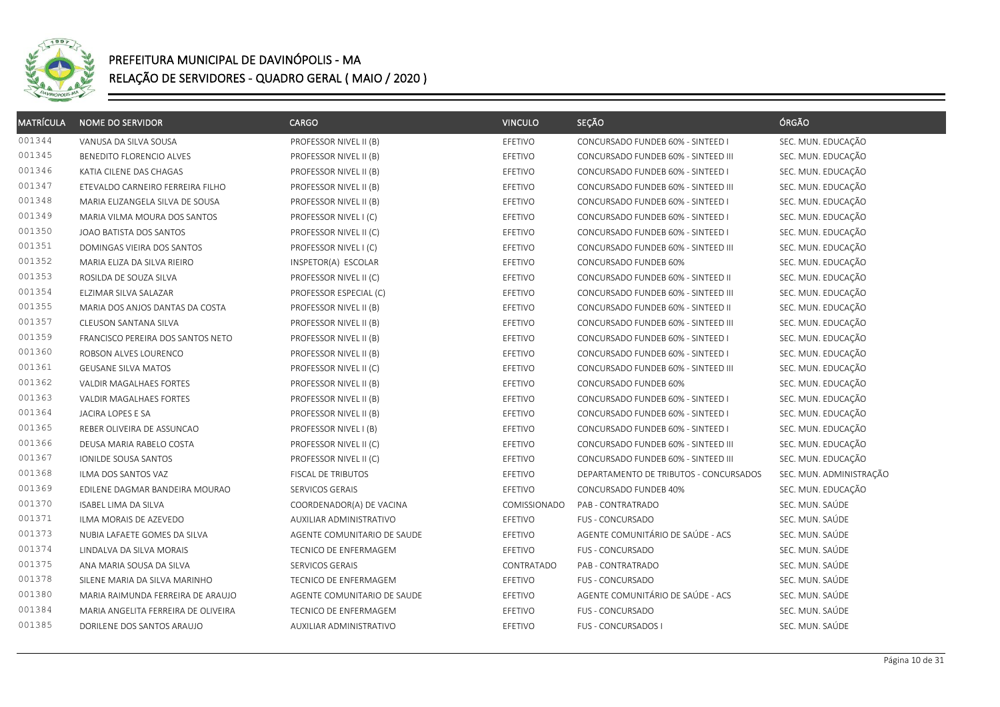

| <b>MATRÍCULA</b> | <b>NOME DO SERVIDOR</b>             | CARGO                       | <b>VINCULO</b> | SEÇÃO                                  | ÓRGÃO                   |
|------------------|-------------------------------------|-----------------------------|----------------|----------------------------------------|-------------------------|
| 001344           | VANUSA DA SILVA SOUSA               | PROFESSOR NIVEL II (B)      | EFETIVO        | CONCURSADO FUNDEB 60% - SINTEED I      | SEC. MUN. EDUCAÇÃO      |
| 001345           | BENEDITO FLORENCIO ALVES            | PROFESSOR NIVEL II (B)      | EFETIVO        | CONCURSADO FUNDEB 60% - SINTEED III    | SEC. MUN. EDUCAÇÃO      |
| 001346           | KATIA CILENE DAS CHAGAS             | PROFESSOR NIVEL II (B)      | EFETIVO        | CONCURSADO FUNDEB 60% - SINTEED I      | SEC. MUN. EDUCAÇÃO      |
| 001347           | ETEVALDO CARNEIRO FERREIRA FILHO    | PROFESSOR NIVEL II (B)      | EFETIVO        | CONCURSADO FUNDEB 60% - SINTEED III    | SEC. MUN. EDUCAÇÃO      |
| 001348           | MARIA ELIZANGELA SILVA DE SOUSA     | PROFESSOR NIVEL II (B)      | EFETIVO        | CONCURSADO FUNDEB 60% - SINTEED I      | SEC. MUN. EDUCAÇÃO      |
| 001349           | MARIA VILMA MOURA DOS SANTOS        | PROFESSOR NIVEL I (C)       | EFETIVO        | CONCURSADO FUNDEB 60% - SINTEED I      | SEC. MUN. EDUCAÇÃO      |
| 001350           | JOAO BATISTA DOS SANTOS             | PROFESSOR NIVEL II (C)      | EFETIVO        | CONCURSADO FUNDEB 60% - SINTEED I      | SEC. MUN. EDUCAÇÃO      |
| 001351           | DOMINGAS VIEIRA DOS SANTOS          | PROFESSOR NIVEL I (C)       | EFETIVO        | CONCURSADO FUNDEB 60% - SINTEED III    | SEC. MUN. EDUCAÇÃO      |
| 001352           | MARIA ELIZA DA SILVA RIEIRO         | INSPETOR(A) ESCOLAR         | EFETIVO        | CONCURSADO FUNDEB 60%                  | SEC. MUN. EDUCAÇÃO      |
| 001353           | ROSILDA DE SOUZA SILVA              | PROFESSOR NIVEL II (C)      | EFETIVO        | CONCURSADO FUNDEB 60% - SINTEED II     | SEC. MUN. EDUCAÇÃO      |
| 001354           | ELZIMAR SILVA SALAZAR               | PROFESSOR ESPECIAL (C)      | EFETIVO        | CONCURSADO FUNDEB 60% - SINTEED III    | SEC. MUN. EDUCAÇÃO      |
| 001355           | MARIA DOS ANJOS DANTAS DA COSTA     | PROFESSOR NIVEL II (B)      | EFETIVO        | CONCURSADO FUNDEB 60% - SINTEED II     | SEC. MUN. EDUCAÇÃO      |
| 001357           | CLEUSON SANTANA SILVA               | PROFESSOR NIVEL II (B)      | EFETIVO        | CONCURSADO FUNDEB 60% - SINTEED III    | SEC. MUN. EDUCAÇÃO      |
| 001359           | FRANCISCO PEREIRA DOS SANTOS NETO   | PROFESSOR NIVEL II (B)      | EFETIVO        | CONCURSADO FUNDEB 60% - SINTEED I      | SEC. MUN. EDUCAÇÃO      |
| 001360           | ROBSON ALVES LOURENCO               | PROFESSOR NIVEL II (B)      | EFETIVO        | CONCURSADO FUNDEB 60% - SINTEED I      | SEC. MUN. EDUCAÇÃO      |
| 001361           | <b>GEUSANE SILVA MATOS</b>          | PROFESSOR NIVEL II (C)      | EFETIVO        | CONCURSADO FUNDEB 60% - SINTEED III    | SEC. MUN. EDUCAÇÃO      |
| 001362           | VALDIR MAGALHAES FORTES             | PROFESSOR NIVEL II (B)      | EFETIVO        | CONCURSADO FUNDEB 60%                  | SEC. MUN. EDUCAÇÃO      |
| 001363           | VALDIR MAGALHAES FORTES             | PROFESSOR NIVEL II (B)      | EFETIVO        | CONCURSADO FUNDEB 60% - SINTEED I      | SEC. MUN. EDUCAÇÃO      |
| 001364           | JACIRA LOPES E SA                   | PROFESSOR NIVEL II (B)      | EFETIVO        | CONCURSADO FUNDEB 60% - SINTEED I      | SEC. MUN. EDUCAÇÃO      |
| 001365           | REBER OLIVEIRA DE ASSUNCAO          | PROFESSOR NIVEL I (B)       | EFETIVO        | CONCURSADO FUNDEB 60% - SINTEED I      | SEC. MUN. EDUCAÇÃO      |
| 001366           | DEUSA MARIA RABELO COSTA            | PROFESSOR NIVEL II (C)      | EFETIVO        | CONCURSADO FUNDEB 60% - SINTEED III    | SEC. MUN. EDUCAÇÃO      |
| 001367           | IONILDE SOUSA SANTOS                | PROFESSOR NIVEL II (C)      | EFETIVO        | CONCURSADO FUNDEB 60% - SINTEED III    | SEC. MUN. EDUCAÇÃO      |
| 001368           | ILMA DOS SANTOS VAZ                 | FISCAL DE TRIBUTOS          | EFETIVO        | DEPARTAMENTO DE TRIBUTOS - CONCURSADOS | SEC. MUN. ADMINISTRAÇÃO |
| 001369           | EDILENE DAGMAR BANDEIRA MOURAO      | SERVICOS GERAIS             | EFETIVO        | CONCURSADO FUNDEB 40%                  | SEC. MUN. EDUCAÇÃO      |
| 001370           | ISABEL LIMA DA SILVA                | COORDENADOR(A) DE VACINA    | COMISSIONADO   | PAB - CONTRATRADO                      | SEC. MUN. SAÚDE         |
| 001371           | ILMA MORAIS DE AZEVEDO              | AUXILIAR ADMINISTRATIVO     | EFETIVO        | <b>FUS - CONCURSADO</b>                | SEC. MUN. SAÚDE         |
| 001373           | NUBIA LAFAETE GOMES DA SILVA        | AGENTE COMUNITARIO DE SAUDE | EFETIVO        | AGENTE COMUNITÁRIO DE SAÚDE - ACS      | SEC. MUN. SAÚDE         |
| 001374           | LINDALVA DA SILVA MORAIS            | TECNICO DE ENFERMAGEM       | EFETIVO        | FUS - CONCURSADO                       | SEC. MUN. SAÚDE         |
| 001375           | ANA MARIA SOUSA DA SILVA            | SERVICOS GERAIS             | CONTRATADO     | PAB - CONTRATRADO                      | SEC. MUN. SAÚDE         |
| 001378           | SILENE MARIA DA SILVA MARINHO       | TECNICO DE ENFERMAGEM       | EFETIVO        | <b>FUS - CONCURSADO</b>                | SEC. MUN. SAÚDE         |
| 001380           | MARIA RAIMUNDA FERREIRA DE ARAUJO   | AGENTE COMUNITARIO DE SAUDE | EFETIVO        | AGENTE COMUNITÁRIO DE SAÚDE - ACS      | SEC. MUN. SAÚDE         |
| 001384           | MARIA ANGELITA FERREIRA DE OLIVEIRA | TECNICO DE ENFERMAGEM       | EFETIVO        | FUS - CONCURSADO                       | SEC. MUN. SAÚDE         |
| 001385           | DORILENE DOS SANTOS ARAUJO          | AUXILIAR ADMINISTRATIVO     | EFETIVO        | FUS - CONCURSADOS I                    | SEC. MUN. SAÚDE         |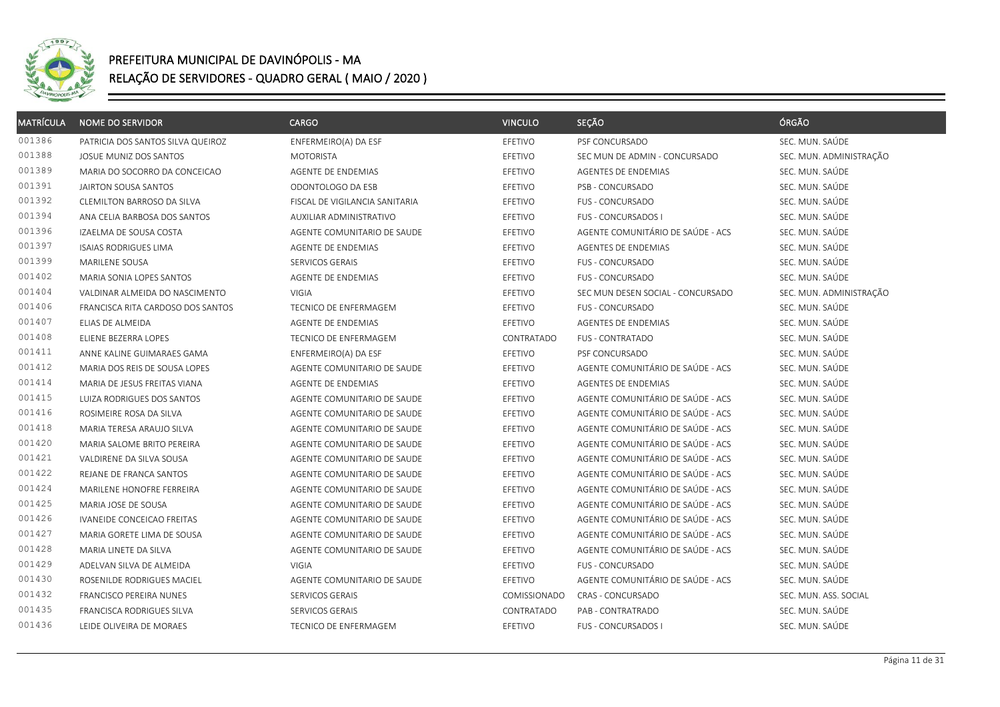

| <b>MATRÍCULA</b> | <b>NOME DO SERVIDOR</b>           | <b>CARGO</b>                   | <b>VINCULO</b> | SEÇÃO                             | ÓRGÃO                   |
|------------------|-----------------------------------|--------------------------------|----------------|-----------------------------------|-------------------------|
| 001386           | PATRICIA DOS SANTOS SILVA QUEIROZ | ENFERMEIRO(A) DA ESF           | EFETIVO        | PSF CONCURSADO                    | SEC. MUN. SAÚDE         |
| 001388           | JOSUE MUNIZ DOS SANTOS            | MOTORISTA                      | EFETIVO        | SEC MUN DE ADMIN - CONCURSADO     | SEC. MUN. ADMINISTRAÇÃO |
| 001389           | MARIA DO SOCORRO DA CONCEICAO     | AGENTE DE ENDEMIAS             | EFETIVO        | <b>AGENTES DE ENDEMIAS</b>        | SEC. MUN. SAÚDE         |
| 001391           | JAIRTON SOUSA SANTOS              | ODONTOLOGO DA ESB              | EFETIVO        | PSB - CONCURSADO                  | SEC. MUN. SAÚDE         |
| 001392           | CLEMILTON BARROSO DA SILVA        | FISCAL DE VIGILANCIA SANITARIA | EFETIVO        | FUS - CONCURSADO                  | SEC. MUN. SAÚDE         |
| 001394           | ANA CELIA BARBOSA DOS SANTOS      | AUXILIAR ADMINISTRATIVO        | EFETIVO        | <b>FUS - CONCURSADOS I</b>        | SEC. MUN. SAÚDE         |
| 001396           | IZAELMA DE SOUSA COSTA            | AGENTE COMUNITARIO DE SAUDE    | EFETIVO        | AGENTE COMUNITÁRIO DE SAÚDE - ACS | SEC. MUN. SAÚDE         |
| 001397           | <b>ISAIAS RODRIGUES LIMA</b>      | AGENTE DE ENDEMIAS             | EFETIVO        | <b>AGENTES DE ENDEMIAS</b>        | SEC. MUN. SAÚDE         |
| 001399           | MARILENE SOUSA                    | SERVICOS GERAIS                | EFETIVO        | FUS - CONCURSADO                  | SEC. MUN. SAÚDE         |
| 001402           | MARIA SONIA LOPES SANTOS          | AGENTE DE ENDEMIAS             | EFETIVO        | FUS - CONCURSADO                  | SEC. MUN. SAÚDE         |
| 001404           | VALDINAR ALMEIDA DO NASCIMENTO    | VIGIA                          | EFETIVO        | SEC MUN DESEN SOCIAL - CONCURSADO | SEC. MUN. ADMINISTRAÇÃO |
| 001406           | FRANCISCA RITA CARDOSO DOS SANTOS | TECNICO DE ENFERMAGEM          | EFETIVO        | <b>FUS - CONCURSADO</b>           | SEC. MUN. SAÚDE         |
| 001407           | ELIAS DE ALMEIDA                  | <b>AGENTE DE ENDEMIAS</b>      | EFETIVO        | <b>AGENTES DE ENDEMIAS</b>        | SEC. MUN. SAÚDE         |
| 001408           | ELIENE BEZERRA LOPES              | TECNICO DE ENFERMAGEM          | CONTRATADO     | <b>FUS - CONTRATADO</b>           | SEC. MUN. SAÚDE         |
| 001411           | ANNE KALINE GUIMARAES GAMA        | ENFERMEIRO(A) DA ESF           | EFETIVO        | PSF CONCURSADO                    | SEC. MUN. SAÚDE         |
| 001412           | MARIA DOS REIS DE SOUSA LOPES     | AGENTE COMUNITARIO DE SAUDE    | EFETIVO        | AGENTE COMUNITÁRIO DE SAÚDE - ACS | SEC. MUN. SAÚDE         |
| 001414           | MARIA DE JESUS FREITAS VIANA      | AGENTE DE ENDEMIAS             | EFETIVO        | <b>AGENTES DE ENDEMIAS</b>        | SEC. MUN. SAÚDE         |
| 001415           | LUIZA RODRIGUES DOS SANTOS        | AGENTE COMUNITARIO DE SAUDE    | EFETIVO        | AGENTE COMUNITÁRIO DE SAÚDE - ACS | SEC. MUN. SAÚDE         |
| 001416           | ROSIMEIRE ROSA DA SILVA           | AGENTE COMUNITARIO DE SAUDE    | EFETIVO        | AGENTE COMUNITÁRIO DE SAÚDE - ACS | SEC. MUN. SAÚDE         |
| 001418           | MARIA TERESA ARAUJO SILVA         | AGENTE COMUNITARIO DE SAUDE    | EFETIVO        | AGENTE COMUNITÁRIO DE SAÚDE - ACS | SEC. MUN. SAÚDE         |
| 001420           | MARIA SALOME BRITO PEREIRA        | AGENTE COMUNITARIO DE SAUDE    | EFETIVO        | AGENTE COMUNITÁRIO DE SAÚDE - ACS | SEC. MUN. SAÚDE         |
| 001421           | VALDIRENE DA SILVA SOUSA          | AGENTE COMUNITARIO DE SAUDE    | EFETIVO        | AGENTE COMUNITÁRIO DE SAÚDE - ACS | SEC. MUN. SAÚDE         |
| 001422           | REJANE DE FRANCA SANTOS           | AGENTE COMUNITARIO DE SAUDE    | EFETIVO        | AGENTE COMUNITÁRIO DE SAÚDE - ACS | SEC. MUN. SAÚDE         |
| 001424           | MARILENE HONOFRE FERREIRA         | AGENTE COMUNITARIO DE SAUDE    | EFETIVO        | AGENTE COMUNITÁRIO DE SAÚDE - ACS | SEC. MUN. SAÚDE         |
| 001425           | MARIA JOSE DE SOUSA               | AGENTE COMUNITARIO DE SAUDE    | EFETIVO        | AGENTE COMUNITÁRIO DE SAÚDE - ACS | SEC. MUN. SAÚDE         |
| 001426           | <b>IVANEIDE CONCEICAO FREITAS</b> | AGENTE COMUNITARIO DE SAUDE    | EFETIVO        | AGENTE COMUNITÁRIO DE SAÚDE - ACS | SEC. MUN. SAÚDE         |
| 001427           | MARIA GORETE LIMA DE SOUSA        | AGENTE COMUNITARIO DE SAUDE    | EFETIVO        | AGENTE COMUNITÁRIO DE SAÚDE - ACS | SEC. MUN. SAÚDE         |
| 001428           | MARIA LINETE DA SILVA             | AGENTE COMUNITARIO DE SAUDE    | EFETIVO        | AGENTE COMUNITÁRIO DE SAÚDE - ACS | SEC. MUN. SAÚDE         |
| 001429           | ADELVAN SILVA DE ALMEIDA          | VIGIA                          | EFETIVO        | FUS - CONCURSADO                  | SEC. MUN. SAÚDE         |
| 001430           | ROSENILDE RODRIGUES MACIEL        | AGENTE COMUNITARIO DE SAUDE    | EFETIVO        | AGENTE COMUNITÁRIO DE SAÚDE - ACS | SEC. MUN. SAÚDE         |
| 001432           | FRANCISCO PEREIRA NUNES           | SERVICOS GERAIS                | COMISSIONADO   | CRAS - CONCURSADO                 | SEC. MUN. ASS. SOCIAL   |
| 001435           | FRANCISCA RODRIGUES SILVA         | SERVICOS GERAIS                | CONTRATADO     | PAB - CONTRATRADO                 | SEC. MUN. SAÚDE         |
| 001436           | LEIDE OLIVEIRA DE MORAES          | TECNICO DE ENFERMAGEM          | EFETIVO        | FUS - CONCURSADOS I               | SEC. MUN. SAÚDE         |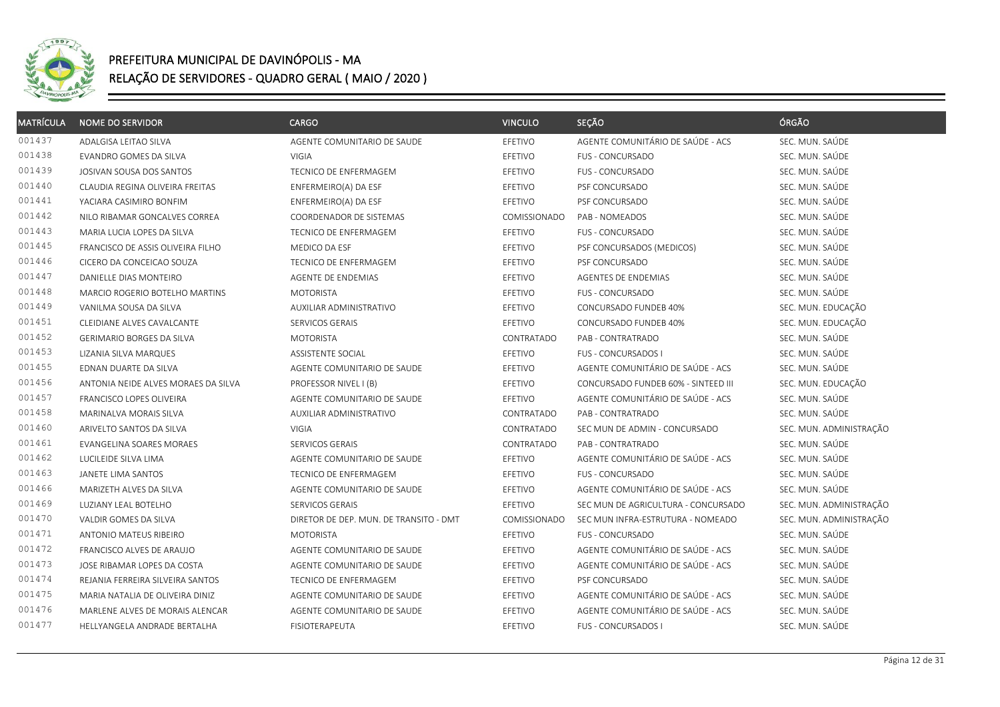

| <b>MATRÍCULA</b> | <b>NOME DO SERVIDOR</b>             | CARGO                                  | <b>VINCULO</b> | SEÇÃO                               | ÓRGÃO                   |
|------------------|-------------------------------------|----------------------------------------|----------------|-------------------------------------|-------------------------|
| 001437           | ADALGISA LEITAO SILVA               | AGENTE COMUNITARIO DE SAUDE            | EFETIVO        | AGENTE COMUNITÁRIO DE SAÚDE - ACS   | SEC. MUN. SAÚDE         |
| 001438           | EVANDRO GOMES DA SILVA              | VIGIA                                  | EFETIVO        | FUS - CONCURSADO                    | SEC. MUN. SAÚDE         |
| 001439           | JOSIVAN SOUSA DOS SANTOS            | TECNICO DE ENFERMAGEM                  | EFETIVO        | FUS - CONCURSADO                    | SEC. MUN. SAÚDE         |
| 001440           | CLAUDIA REGINA OLIVEIRA FREITAS     | ENFERMEIRO(A) DA ESF                   | EFETIVO        | PSF CONCURSADO                      | SEC. MUN. SAÚDE         |
| 001441           | YACIARA CASIMIRO BONFIM             | ENFERMEIRO(A) DA ESF                   | EFETIVO        | PSF CONCURSADO                      | SEC. MUN. SAÚDE         |
| 001442           | NILO RIBAMAR GONCALVES CORREA       | COORDENADOR DE SISTEMAS                | COMISSIONADO   | PAB - NOMEADOS                      | SEC. MUN. SAÚDE         |
| 001443           | MARIA LUCIA LOPES DA SILVA          | TECNICO DE ENFERMAGEM                  | EFETIVO        | FUS - CONCURSADO                    | SEC. MUN. SAÚDE         |
| 001445           | FRANCISCO DE ASSIS OLIVEIRA FILHO   | MEDICO DA ESF                          | EFETIVO        | PSF CONCURSADOS (MEDICOS)           | SEC. MUN. SAÚDE         |
| 001446           | CICERO DA CONCEICAO SOUZA           | TECNICO DE ENFERMAGEM                  | EFETIVO        | PSF CONCURSADO                      | SEC. MUN. SAÚDE         |
| 001447           | DANIELLE DIAS MONTEIRO              | AGENTE DE ENDEMIAS                     | EFETIVO        | <b>AGENTES DE ENDEMIAS</b>          | SEC. MUN. SAÚDE         |
| 001448           | MARCIO ROGERIO BOTELHO MARTINS      | <b>MOTORISTA</b>                       | EFETIVO        | FUS - CONCURSADO                    | SEC. MUN. SAÚDE         |
| 001449           | VANILMA SOUSA DA SILVA              | AUXILIAR ADMINISTRATIVO                | EFETIVO        | CONCURSADO FUNDEB 40%               | SEC. MUN. EDUCAÇÃO      |
| 001451           | CLEIDIANE ALVES CAVALCANTE          | SERVICOS GERAIS                        | EFETIVO        | CONCURSADO FUNDEB 40%               | SEC. MUN. EDUCAÇÃO      |
| 001452           | <b>GERIMARIO BORGES DA SILVA</b>    | <b>MOTORISTA</b>                       | CONTRATADO     | PAB - CONTRATRADO                   | SEC. MUN. SAÚDE         |
| 001453           | LIZANIA SILVA MARQUES               | <b>ASSISTENTE SOCIAL</b>               | EFETIVO        | <b>FUS - CONCURSADOS I</b>          | SEC. MUN. SAÚDE         |
| 001455           | EDNAN DUARTE DA SILVA               | AGENTE COMUNITARIO DE SAUDE            | EFETIVO        | AGENTE COMUNITÁRIO DE SAÚDE - ACS   | SEC. MUN. SAÚDE         |
| 001456           | ANTONIA NEIDE ALVES MORAES DA SILVA | PROFESSOR NIVEL I (B)                  | EFETIVO        | CONCURSADO FUNDEB 60% - SINTEED III | SEC. MUN. EDUCAÇÃO      |
| 001457           | FRANCISCO LOPES OLIVEIRA            | AGENTE COMUNITARIO DE SAUDE            | EFETIVO        | AGENTE COMUNITÁRIO DE SAÚDE - ACS   | SEC. MUN. SAÚDE         |
| 001458           | MARINALVA MORAIS SILVA              | AUXILIAR ADMINISTRATIVO                | CONTRATADO     | PAB - CONTRATRADO                   | SEC. MUN. SAÚDE         |
| 001460           | ARIVELTO SANTOS DA SILVA            | <b>VIGIA</b>                           | CONTRATADO     | SEC MUN DE ADMIN - CONCURSADO       | SEC. MUN. ADMINISTRAÇÃO |
| 001461           | EVANGELINA SOARES MORAES            | SERVICOS GERAIS                        | CONTRATADO     | PAB - CONTRATRADO                   | SEC. MUN. SAÚDE         |
| 001462           | LUCILEIDE SILVA LIMA                | AGENTE COMUNITARIO DE SAUDE            | EFETIVO        | AGENTE COMUNITÁRIO DE SAÚDE - ACS   | SEC. MUN. SAÚDE         |
| 001463           | JANETE LIMA SANTOS                  | TECNICO DE ENFERMAGEM                  | EFETIVO        | FUS - CONCURSADO                    | SEC. MUN. SAÚDE         |
| 001466           | MARIZETH ALVES DA SILVA             | AGENTE COMUNITARIO DE SAUDE            | EFETIVO        | AGENTE COMUNITÁRIO DE SAÚDE - ACS   | SEC. MUN. SAÚDE         |
| 001469           | LUZIANY LEAL BOTELHO                | SERVICOS GERAIS                        | EFETIVO        | SEC MUN DE AGRICULTURA - CONCURSADO | SEC. MUN. ADMINISTRAÇÃO |
| 001470           | VALDIR GOMES DA SILVA               | DIRETOR DE DEP. MUN. DE TRANSITO - DMT | COMISSIONADO   | SEC MUN INFRA-ESTRUTURA - NOMEADO   | SEC. MUN. ADMINISTRAÇÃO |
| 001471           | ANTONIO MATEUS RIBEIRO              | <b>MOTORISTA</b>                       | EFETIVO        | FUS - CONCURSADO                    | SEC. MUN. SAÚDE         |
| 001472           | FRANCISCO ALVES DE ARAUJO           | AGENTE COMUNITARIO DE SAUDE            | EFETIVO        | AGENTE COMUNITÁRIO DE SAÚDE - ACS   | SEC. MUN. SAÚDE         |
| 001473           | JOSE RIBAMAR LOPES DA COSTA         | AGENTE COMUNITARIO DE SAUDE            | EFETIVO        | AGENTE COMUNITÁRIO DE SAÚDE - ACS   | SEC. MUN. SAÚDE         |
| 001474           | REJANIA FERREIRA SILVEIRA SANTOS    | TECNICO DE ENFERMAGEM                  | EFETIVO        | PSF CONCURSADO                      | SEC. MUN. SAÚDE         |
| 001475           | MARIA NATALIA DE OLIVEIRA DINIZ     | AGENTE COMUNITARIO DE SAUDE            | EFETIVO        | AGENTE COMUNITÁRIO DE SAÚDE - ACS   | SEC. MUN. SAÚDE         |
| 001476           | MARLENE ALVES DE MORAIS ALENCAR     | AGENTE COMUNITARIO DE SAUDE            | EFETIVO        | AGENTE COMUNITÁRIO DE SAÚDE - ACS   | SEC. MUN. SAÚDE         |
| 001477           | HELLYANGELA ANDRADE BERTALHA        | FISIOTERAPEUTA                         | EFETIVO        | FUS - CONCURSADOS I                 | SEC. MUN. SAÚDE         |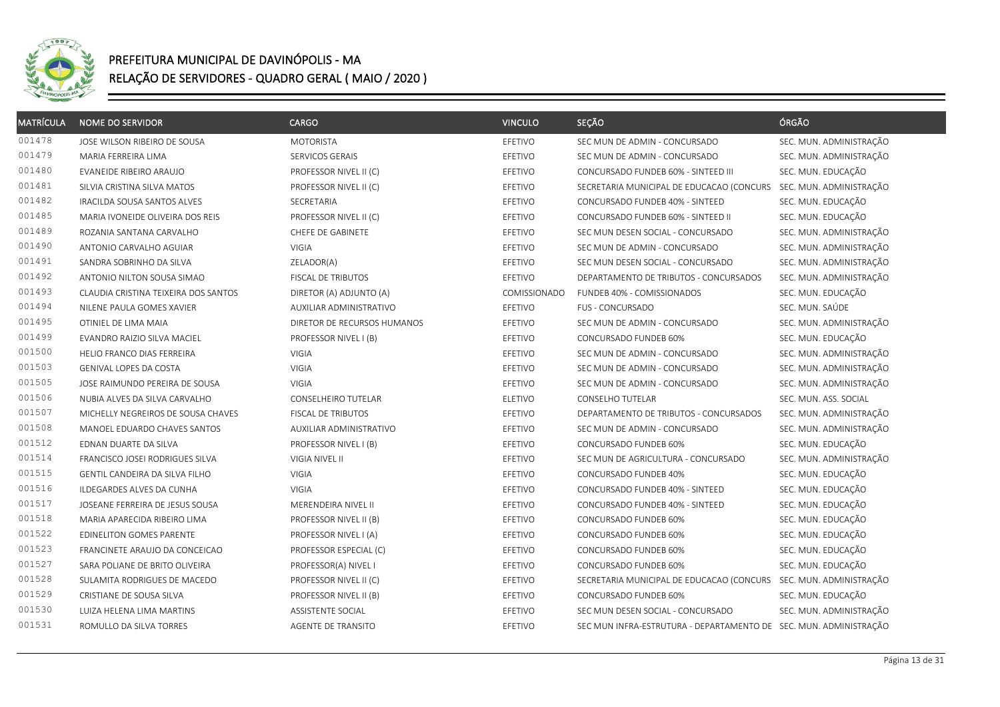

| MATRÍCULA | <b>NOME DO SERVIDOR</b>              | CARGO                       | <b>VINCULO</b> | SEÇÃO                                                             | ÓRGÃO                   |
|-----------|--------------------------------------|-----------------------------|----------------|-------------------------------------------------------------------|-------------------------|
| 001478    | JOSE WILSON RIBEIRO DE SOUSA         | <b>MOTORISTA</b>            | EFETIVO        | SEC MUN DE ADMIN - CONCURSADO                                     | SEC. MUN. ADMINISTRAÇÃO |
| 001479    | MARIA FERREIRA LIMA                  | SERVICOS GERAIS             | EFETIVO        | SEC MUN DE ADMIN - CONCURSADO                                     | SEC. MUN. ADMINISTRAÇÃO |
| 001480    | EVANEIDE RIBEIRO ARAUJO              | PROFESSOR NIVEL II (C)      | EFETIVO        | CONCURSADO FUNDEB 60% - SINTEED III                               | SEC. MUN. EDUCAÇÃO      |
| 001481    | SILVIA CRISTINA SILVA MATOS          | PROFESSOR NIVEL II (C)      | EFETIVO        | SECRETARIA MUNICIPAL DE EDUCACAO (CONCURS                         | SEC. MUN. ADMINISTRAÇÃO |
| 001482    | IRACILDA SOUSA SANTOS ALVES          | SECRETARIA                  | EFETIVO        | CONCURSADO FUNDEB 40% - SINTEED                                   | SEC. MUN. EDUCAÇÃO      |
| 001485    | MARIA IVONEIDE OLIVEIRA DOS REIS     | PROFESSOR NIVEL II (C)      | EFETIVO        | CONCURSADO FUNDEB 60% - SINTEED II                                | SEC. MUN. EDUCAÇÃO      |
| 001489    | ROZANIA SANTANA CARVALHO             | CHEFE DE GABINETE           | EFETIVO        | SEC MUN DESEN SOCIAL - CONCURSADO                                 | SEC. MUN. ADMINISTRAÇÃO |
| 001490    | ANTONIO CARVALHO AGUIAR              | VIGIA                       | EFETIVO        | SEC MUN DE ADMIN - CONCURSADO                                     | SEC. MUN. ADMINISTRAÇÃO |
| 001491    | SANDRA SOBRINHO DA SILVA             | ZELADOR(A)                  | EFETIVO        | SEC MUN DESEN SOCIAL - CONCURSADO                                 | SEC. MUN. ADMINISTRAÇÃO |
| 001492    | ANTONIO NILTON SOUSA SIMAO           | FISCAL DE TRIBUTOS          | EFETIVO        | DEPARTAMENTO DE TRIBUTOS - CONCURSADOS                            | SEC. MUN. ADMINISTRAÇÃO |
| 001493    | CLAUDIA CRISTINA TEIXEIRA DOS SANTOS | DIRETOR (A) ADJUNTO (A)     | COMISSIONADO   | FUNDEB 40% - COMISSIONADOS                                        | SEC. MUN. EDUCAÇÃO      |
| 001494    | NILENE PAULA GOMES XAVIER            | AUXILIAR ADMINISTRATIVO     | <b>EFETIVO</b> | <b>FUS - CONCURSADO</b>                                           | SEC. MUN. SAÚDE         |
| 001495    | OTINIEL DE LIMA MAIA                 | DIRETOR DE RECURSOS HUMANOS | EFETIVO        | SEC MUN DE ADMIN - CONCURSADO                                     | SEC. MUN. ADMINISTRAÇÃO |
| 001499    | EVANDRO RAIZIO SILVA MACIEL          | PROFESSOR NIVEL I (B)       | EFETIVO        | CONCURSADO FUNDEB 60%                                             | SEC. MUN. EDUCAÇÃO      |
| 001500    | HELIO FRANCO DIAS FERREIRA           | VIGIA                       | EFETIVO        | SEC MUN DE ADMIN - CONCURSADO                                     | SEC. MUN. ADMINISTRAÇÃO |
| 001503    | <b>GENIVAL LOPES DA COSTA</b>        | <b>VIGIA</b>                | EFETIVO        | SEC MUN DE ADMIN - CONCURSADO                                     | SEC. MUN. ADMINISTRAÇÃO |
| 001505    | JOSE RAIMUNDO PEREIRA DE SOUSA       | <b>VIGIA</b>                | EFETIVO        | SEC MUN DE ADMIN - CONCURSADO                                     | SEC. MUN. ADMINISTRAÇÃO |
| 001506    | NUBIA ALVES DA SILVA CARVALHO        | CONSELHEIRO TUTELAR         | ELETIVO        | CONSELHO TUTELAR                                                  | SEC. MUN. ASS. SOCIAL   |
| 001507    | MICHELLY NEGREIROS DE SOUSA CHAVES   | FISCAL DE TRIBUTOS          | EFETIVO        | DEPARTAMENTO DE TRIBUTOS - CONCURSADOS                            | SEC. MUN. ADMINISTRAÇÃO |
| 001508    | MANOEL EDUARDO CHAVES SANTOS         | AUXILIAR ADMINISTRATIVO     | EFETIVO        | SEC MUN DE ADMIN - CONCURSADO                                     | SEC. MUN. ADMINISTRAÇÃO |
| 001512    | EDNAN DUARTE DA SILVA                | PROFESSOR NIVEL I (B)       | EFETIVO        | CONCURSADO FUNDEB 60%                                             | SEC. MUN. EDUCAÇÃO      |
| 001514    | FRANCISCO JOSEI RODRIGUES SILVA      | VIGIA NIVEL II              | EFETIVO        | SEC MUN DE AGRICULTURA - CONCURSADO                               | SEC. MUN. ADMINISTRAÇÃO |
| 001515    | GENTIL CANDEIRA DA SILVA FILHO       | VIGIA                       | EFETIVO        | CONCURSADO FUNDEB 40%                                             | SEC. MUN. EDUCAÇÃO      |
| 001516    | ILDEGARDES ALVES DA CUNHA            | VIGIA                       | EFETIVO        | CONCURSADO FUNDEB 40% - SINTEED                                   | SEC. MUN. EDUCAÇÃO      |
| 001517    | JOSEANE FERREIRA DE JESUS SOUSA      | MERENDEIRA NIVEL II         | EFETIVO        | CONCURSADO FUNDEB 40% - SINTEED                                   | SEC. MUN. EDUCAÇÃO      |
| 001518    | MARIA APARECIDA RIBEIRO LIMA         | PROFESSOR NIVEL II (B)      | EFETIVO        | CONCURSADO FUNDEB 60%                                             | SEC. MUN. EDUCAÇÃO      |
| 001522    | EDINELITON GOMES PARENTE             | PROFESSOR NIVEL I (A)       | EFETIVO        | CONCURSADO FUNDEB 60%                                             | SEC. MUN. EDUCAÇÃO      |
| 001523    | FRANCINETE ARAUJO DA CONCEICAO       | PROFESSOR ESPECIAL (C)      | EFETIVO        | CONCURSADO FUNDEB 60%                                             | SEC. MUN. EDUCAÇÃO      |
| 001527    | SARA POLIANE DE BRITO OLIVEIRA       | PROFESSOR(A) NIVEL I        | EFETIVO        | CONCURSADO FUNDEB 60%                                             | SEC. MUN. EDUCAÇÃO      |
| 001528    | SULAMITA RODRIGUES DE MACEDO         | PROFESSOR NIVEL II (C)      | EFETIVO        | SECRETARIA MUNICIPAL DE EDUCACAO (CONCURS SEC. MUN. ADMINISTRAÇÃO |                         |
| 001529    | CRISTIANE DE SOUSA SILVA             | PROFESSOR NIVEL II (B)      | EFETIVO        | CONCURSADO FUNDEB 60%                                             | SEC. MUN. EDUCAÇÃO      |
| 001530    | LUIZA HELENA LIMA MARTINS            | ASSISTENTE SOCIAL           | EFETIVO        | SEC MUN DESEN SOCIAL - CONCURSADO                                 | SEC. MUN. ADMINISTRAÇÃO |
| 001531    | ROMULLO DA SILVA TORRES              | AGENTE DE TRANSITO          | EFETIVO        | SEC MUN INFRA-ESTRUTURA - DEPARTAMENTO DE SEC. MUN. ADMINISTRAÇÃO |                         |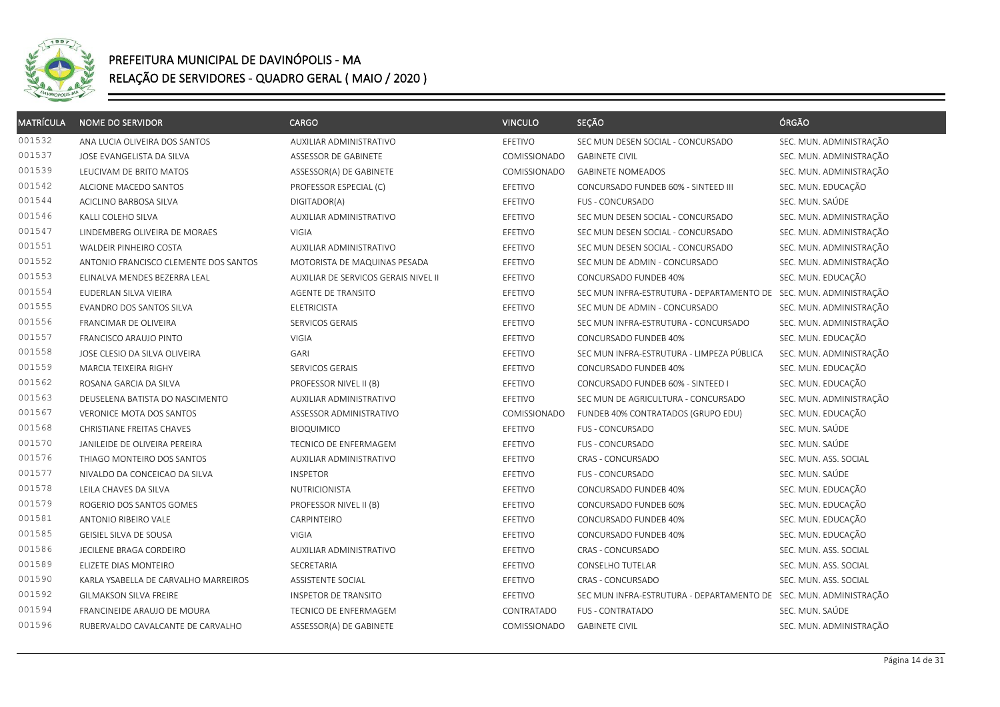

| <b>MATRÍCULA</b> | <b>NOME DO SERVIDOR</b>               | <b>CARGO</b>                         | <b>VINCULO</b>      | SEÇÃO                                                             | ÓRGÃO                   |
|------------------|---------------------------------------|--------------------------------------|---------------------|-------------------------------------------------------------------|-------------------------|
| 001532           | ANA LUCIA OLIVEIRA DOS SANTOS         | AUXILIAR ADMINISTRATIVO              | EFETIVO             | SEC MUN DESEN SOCIAL - CONCURSADO                                 | SEC. MUN. ADMINISTRAÇÃO |
| 001537           | JOSE EVANGELISTA DA SILVA             | ASSESSOR DE GABINETE                 | <b>COMISSIONADO</b> | <b>GABINETE CIVIL</b>                                             | SEC. MUN. ADMINISTRAÇÃO |
| 001539           | LEUCIVAM DE BRITO MATOS               | ASSESSOR(A) DE GABINETE              | <b>COMISSIONADO</b> | <b>GABINETE NOMEADOS</b>                                          | SEC. MUN. ADMINISTRAÇÃO |
| 001542           | ALCIONE MACEDO SANTOS                 | PROFESSOR ESPECIAL (C)               | EFETIVO             | CONCURSADO FUNDEB 60% - SINTEED III                               | SEC. MUN. EDUCAÇÃO      |
| 001544           | ACICLINO BARBOSA SILVA                | DIGITADOR(A)                         | EFETIVO             | <b>FUS - CONCURSADO</b>                                           | SEC. MUN. SAÚDE         |
| 001546           | KALLI COLEHO SILVA                    | AUXILIAR ADMINISTRATIVO              | EFETIVO             | SEC MUN DESEN SOCIAL - CONCURSADO                                 | SEC. MUN. ADMINISTRAÇÃO |
| 001547           | LINDEMBERG OLIVEIRA DE MORAES         | <b>VIGIA</b>                         | EFETIVO             | SEC MUN DESEN SOCIAL - CONCURSADO                                 | SEC. MUN. ADMINISTRAÇÃO |
| 001551           | WALDEIR PINHEIRO COSTA                | AUXILIAR ADMINISTRATIVO              | EFETIVO             | SEC MUN DESEN SOCIAL - CONCURSADO                                 | SEC. MUN. ADMINISTRAÇÃO |
| 001552           | ANTONIO FRANCISCO CLEMENTE DOS SANTOS | MOTORISTA DE MAQUINAS PESADA         | EFETIVO             | SEC MUN DE ADMIN - CONCURSADO                                     | SEC. MUN. ADMINISTRAÇÃO |
| 001553           | ELINALVA MENDES BEZERRA LEAL          | AUXILIAR DE SERVICOS GERAIS NIVEL II | EFETIVO             | CONCURSADO FUNDEB 40%                                             | SEC. MUN. EDUCAÇÃO      |
| 001554           | EUDERLAN SILVA VIEIRA                 | AGENTE DE TRANSITO                   | EFETIVO             | SEC MUN INFRA-ESTRUTURA - DEPARTAMENTO DE SEC. MUN. ADMINISTRAÇÃO |                         |
| 001555           | EVANDRO DOS SANTOS SILVA              | <b>ELETRICISTA</b>                   | EFETIVO             | SEC MUN DE ADMIN - CONCURSADO                                     | SEC. MUN. ADMINISTRAÇÃO |
| 001556           | FRANCIMAR DE OLIVEIRA                 | SERVICOS GERAIS                      | EFETIVO             | SEC MUN INFRA-ESTRUTURA - CONCURSADO                              | SEC. MUN. ADMINISTRAÇÃO |
| 001557           | FRANCISCO ARAUJO PINTO                | VIGIA                                | EFETIVO             | CONCURSADO FUNDEB 40%                                             | SEC. MUN. EDUCAÇÃO      |
| 001558           | JOSE CLESIO DA SILVA OLIVEIRA         | GARI                                 | EFETIVO             | SEC MUN INFRA-ESTRUTURA - LIMPEZA PÚBLICA                         | SEC. MUN. ADMINISTRAÇÃO |
| 001559           | MARCIA TEIXEIRA RIGHY                 | SERVICOS GERAIS                      | EFETIVO             | CONCURSADO FUNDEB 40%                                             | SEC. MUN. EDUCAÇÃO      |
| 001562           | ROSANA GARCIA DA SILVA                | PROFESSOR NIVEL II (B)               | EFETIVO             | CONCURSADO FUNDEB 60% - SINTEED I                                 | SEC. MUN. EDUCAÇÃO      |
| 001563           | DEUSELENA BATISTA DO NASCIMENTO       | AUXILIAR ADMINISTRATIVO              | EFETIVO             | SEC MUN DE AGRICULTURA - CONCURSADO                               | SEC. MUN. ADMINISTRAÇÃO |
| 001567           | VERONICE MOTA DOS SANTOS              | ASSESSOR ADMINISTRATIVO              | COMISSIONADO        | FUNDEB 40% CONTRATADOS (GRUPO EDU)                                | SEC. MUN. EDUCAÇÃO      |
| 001568           | CHRISTIANE FREITAS CHAVES             | <b>BIOQUIMICO</b>                    | EFETIVO             | FUS - CONCURSADO                                                  | SEC. MUN. SAÚDE         |
| 001570           | JANILEIDE DE OLIVEIRA PEREIRA         | TECNICO DE ENFERMAGEM                | EFETIVO             | <b>FUS - CONCURSADO</b>                                           | SEC. MUN. SAÚDE         |
| 001576           | THIAGO MONTEIRO DOS SANTOS            | AUXILIAR ADMINISTRATIVO              | EFETIVO             | CRAS - CONCURSADO                                                 | SEC. MUN. ASS. SOCIAL   |
| 001577           | NIVALDO DA CONCEICAO DA SILVA         | <b>INSPETOR</b>                      | EFETIVO             | FUS - CONCURSADO                                                  | SEC. MUN. SAÚDE         |
| 001578           | LEILA CHAVES DA SILVA                 | <b>NUTRICIONISTA</b>                 | EFETIVO             | CONCURSADO FUNDEB 40%                                             | SEC. MUN. EDUCAÇÃO      |
| 001579           | ROGERIO DOS SANTOS GOMES              | PROFESSOR NIVEL II (B)               | EFETIVO             | CONCURSADO FUNDEB 60%                                             | SEC. MUN. EDUCAÇÃO      |
| 001581           | ANTONIO RIBEIRO VALE                  | CARPINTEIRO                          | EFETIVO             | CONCURSADO FUNDEB 40%                                             | SEC. MUN. EDUCAÇÃO      |
| 001585           | GEISIEL SILVA DE SOUSA                | VIGIA                                | EFETIVO             | CONCURSADO FUNDEB 40%                                             | SEC. MUN. EDUCAÇÃO      |
| 001586           | JECILENE BRAGA CORDEIRO               | AUXILIAR ADMINISTRATIVO              | EFETIVO             | <b>CRAS - CONCURSADO</b>                                          | SEC. MUN. ASS. SOCIAL   |
| 001589           | ELIZETE DIAS MONTEIRO                 | SECRETARIA                           | EFETIVO             | <b>CONSELHO TUTELAR</b>                                           | SEC. MUN. ASS. SOCIAL   |
| 001590           | KARLA YSABELLA DE CARVALHO MARREIROS  | ASSISTENTE SOCIAL                    | EFETIVO             | CRAS - CONCURSADO                                                 | SEC. MUN. ASS. SOCIAL   |
| 001592           | GILMAKSON SILVA FREIRE                | <b>INSPETOR DE TRANSITO</b>          | EFETIVO             | SEC MUN INFRA-ESTRUTURA - DEPARTAMENTO DE SEC. MUN. ADMINISTRAÇÃO |                         |
| 001594           | FRANCINEIDE ARAUJO DE MOURA           | TECNICO DE ENFERMAGEM                | CONTRATADO          | <b>FUS - CONTRATADO</b>                                           | SEC. MUN. SAÚDE         |
| 001596           | RUBERVALDO CAVALCANTE DE CARVALHO     | ASSESSOR(A) DE GABINETE              | COMISSIONADO        | <b>GABINETE CIVIL</b>                                             | SEC. MUN. ADMINISTRAÇÃO |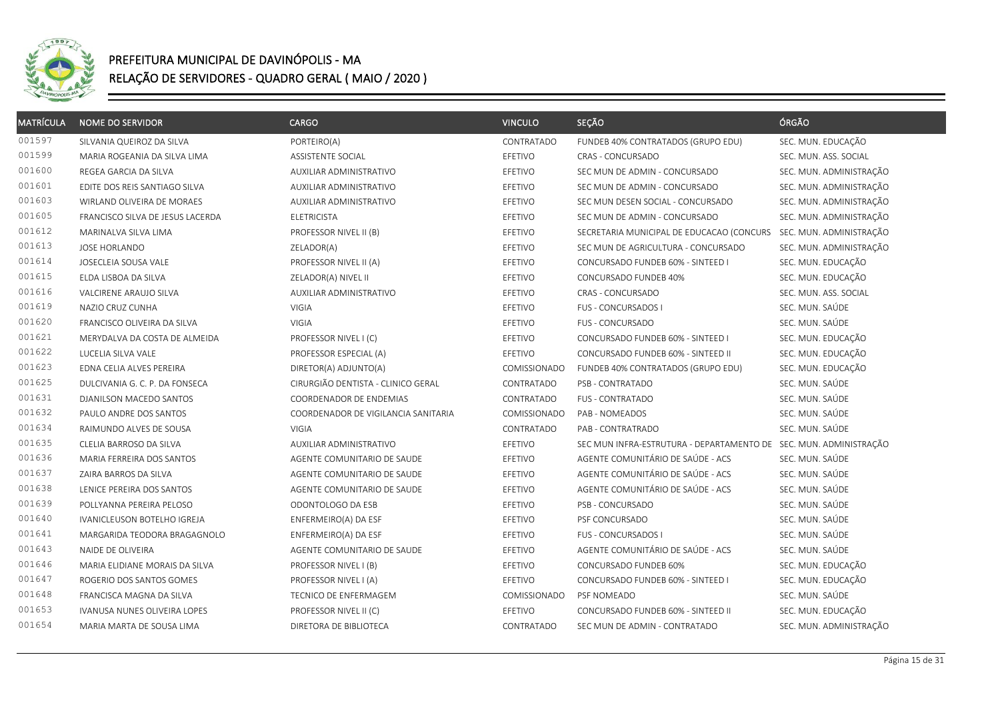

| <b>MATRÍCULA</b> | <b>NOME DO SERVIDOR</b>          | <b>CARGO</b>                        | <b>VINCULO</b> | SEÇÃO                                                             | ÓRGÃO                   |
|------------------|----------------------------------|-------------------------------------|----------------|-------------------------------------------------------------------|-------------------------|
| 001597           | SILVANIA QUEIROZ DA SILVA        | PORTEIRO(A)                         | CONTRATADO     | FUNDEB 40% CONTRATADOS (GRUPO EDU)                                | SEC. MUN. EDUCAÇÃO      |
| 001599           | MARIA ROGEANIA DA SILVA LIMA     | ASSISTENTE SOCIAL                   | EFETIVO        | CRAS - CONCURSADO                                                 | SEC. MUN. ASS. SOCIAL   |
| 001600           | REGEA GARCIA DA SILVA            | <b>AUXILIAR ADMINISTRATIVO</b>      | EFETIVO        | SEC MUN DE ADMIN - CONCURSADO                                     | SEC. MUN. ADMINISTRAÇÃO |
| 001601           | EDITE DOS REIS SANTIAGO SILVA    | AUXILIAR ADMINISTRATIVO             | EFETIVO        | SEC MUN DE ADMIN - CONCURSADO                                     | SEC. MUN. ADMINISTRAÇÃO |
| 001603           | WIRLAND OLIVEIRA DE MORAES       | AUXILIAR ADMINISTRATIVO             | EFETIVO        | SEC MUN DESEN SOCIAL - CONCURSADO                                 | SEC. MUN. ADMINISTRAÇÃO |
| 001605           | FRANCISCO SILVA DE JESUS LACERDA | <b>ELETRICISTA</b>                  | EFETIVO        | SEC MUN DE ADMIN - CONCURSADO                                     | SEC. MUN. ADMINISTRAÇÃO |
| 001612           | MARINALVA SILVA LIMA             | PROFESSOR NIVEL II (B)              | EFETIVO        | SECRETARIA MUNICIPAL DE EDUCACAO (CONCURS                         | SEC. MUN. ADMINISTRAÇÃO |
| 001613           | <b>JOSE HORLANDO</b>             | ZELADOR(A)                          | EFETIVO        | SEC MUN DE AGRICULTURA - CONCURSADO                               | SEC. MUN. ADMINISTRAÇÃO |
| 001614           | JOSECLEIA SOUSA VALE             | PROFESSOR NIVEL II (A)              | EFETIVO        | CONCURSADO FUNDEB 60% - SINTEED I                                 | SEC. MUN. EDUCAÇÃO      |
| 001615           | ELDA LISBOA DA SILVA             | ZELADOR(A) NIVEL II                 | EFETIVO        | CONCURSADO FUNDEB 40%                                             | SEC. MUN. EDUCAÇÃO      |
| 001616           | VALCIRENE ARAUJO SILVA           | AUXILIAR ADMINISTRATIVO             | EFETIVO        | CRAS - CONCURSADO                                                 | SEC. MUN. ASS. SOCIAL   |
| 001619           | NAZIO CRUZ CUNHA                 | VIGIA                               | EFETIVO        | <b>FUS - CONCURSADOS I</b>                                        | SEC. MUN. SAÚDE         |
| 001620           | FRANCISCO OLIVEIRA DA SILVA      | <b>VIGIA</b>                        | EFETIVO        | <b>FUS - CONCURSADO</b>                                           | SEC. MUN. SAÚDE         |
| 001621           | MERYDALVA DA COSTA DE ALMEIDA    | PROFESSOR NIVEL I (C)               | EFETIVO        | CONCURSADO FUNDEB 60% - SINTEED I                                 | SEC. MUN. EDUCAÇÃO      |
| 001622           | LUCELIA SILVA VALE               | PROFESSOR ESPECIAL (A)              | EFETIVO        | CONCURSADO FUNDEB 60% - SINTEED II                                | SEC. MUN. EDUCAÇÃO      |
| 001623           | EDNA CELIA ALVES PEREIRA         | DIRETOR(A) ADJUNTO(A)               | COMISSIONADO   | FUNDEB 40% CONTRATADOS (GRUPO EDU)                                | SEC. MUN. EDUCAÇÃO      |
| 001625           | DULCIVANIA G. C. P. DA FONSECA   | CIRURGIÃO DENTISTA - CLINICO GERAL  | CONTRATADO     | PSB - CONTRATADO                                                  | SEC. MUN. SAÚDE         |
| 001631           | DJANILSON MACEDO SANTOS          | COORDENADOR DE ENDEMIAS             | CONTRATADO     | <b>FUS - CONTRATADO</b>                                           | SEC. MUN. SAÚDE         |
| 001632           | PAULO ANDRE DOS SANTOS           | COORDENADOR DE VIGILANCIA SANITARIA | COMISSIONADO   | PAB - NOMEADOS                                                    | SEC. MUN. SAÚDE         |
| 001634           | RAIMUNDO ALVES DE SOUSA          | <b>VIGIA</b>                        | CONTRATADO     | PAB - CONTRATRADO                                                 | SEC. MUN. SAÚDE         |
| 001635           | CLELIA BARROSO DA SILVA          | AUXILIAR ADMINISTRATIVO             | EFETIVO        | SEC MUN INFRA-ESTRUTURA - DEPARTAMENTO DE SEC. MUN. ADMINISTRAÇÃO |                         |
| 001636           | MARIA FERREIRA DOS SANTOS        | AGENTE COMUNITARIO DE SAUDE         | EFETIVO        | AGENTE COMUNITÁRIO DE SAÚDE - ACS                                 | SEC. MUN. SAÚDE         |
| 001637           | ZAIRA BARROS DA SILVA            | AGENTE COMUNITARIO DE SAUDE         | EFETIVO        | AGENTE COMUNITÁRIO DE SAÚDE - ACS                                 | SEC. MUN. SAÚDE         |
| 001638           | LENICE PEREIRA DOS SANTOS        | AGENTE COMUNITARIO DE SAUDE         | EFETIVO        | AGENTE COMUNITÁRIO DE SAÚDE - ACS                                 | SEC. MUN. SAÚDE         |
| 001639           | POLLYANNA PEREIRA PELOSO         | ODONTOLOGO DA ESB                   | EFETIVO        | PSB - CONCURSADO                                                  | SEC. MUN. SAÚDE         |
| 001640           | IVANICLEUSON BOTELHO IGREJA      | ENFERMEIRO(A) DA ESF                | EFETIVO        | PSF CONCURSADO                                                    | SEC. MUN. SAÚDE         |
| 001641           | MARGARIDA TEODORA BRAGAGNOLO     | ENFERMEIRO(A) DA ESF                | EFETIVO        | <b>FUS - CONCURSADOS I</b>                                        | SEC. MUN. SAÚDE         |
| 001643           | NAIDE DE OLIVEIRA                | AGENTE COMUNITARIO DE SAUDE         | EFETIVO        | AGENTE COMUNITÁRIO DE SAÚDE - ACS                                 | SEC. MUN. SAÚDE         |
| 001646           | MARIA ELIDIANE MORAIS DA SILVA   | PROFESSOR NIVEL I (B)               | EFETIVO        | CONCURSADO FUNDEB 60%                                             | SEC. MUN. EDUCAÇÃO      |
| 001647           | ROGERIO DOS SANTOS GOMES         | PROFESSOR NIVEL I (A)               | EFETIVO        | CONCURSADO FUNDEB 60% - SINTEED I                                 | SEC. MUN. EDUCAÇÃO      |
| 001648           | FRANCISCA MAGNA DA SILVA         | TECNICO DE ENFERMAGEM               | COMISSIONADO   | PSF NOMEADO                                                       | SEC. MUN. SAÚDE         |
| 001653           | IVANUSA NUNES OLIVEIRA LOPES     | PROFESSOR NIVEL II (C)              | EFETIVO        | CONCURSADO FUNDEB 60% - SINTEED II                                | SEC. MUN. EDUCAÇÃO      |
| 001654           | MARIA MARTA DE SOUSA LIMA        | DIRETORA DE BIBLIOTECA              | CONTRATADO     | SEC MUN DE ADMIN - CONTRATADO                                     | SEC. MUN. ADMINISTRAÇÃO |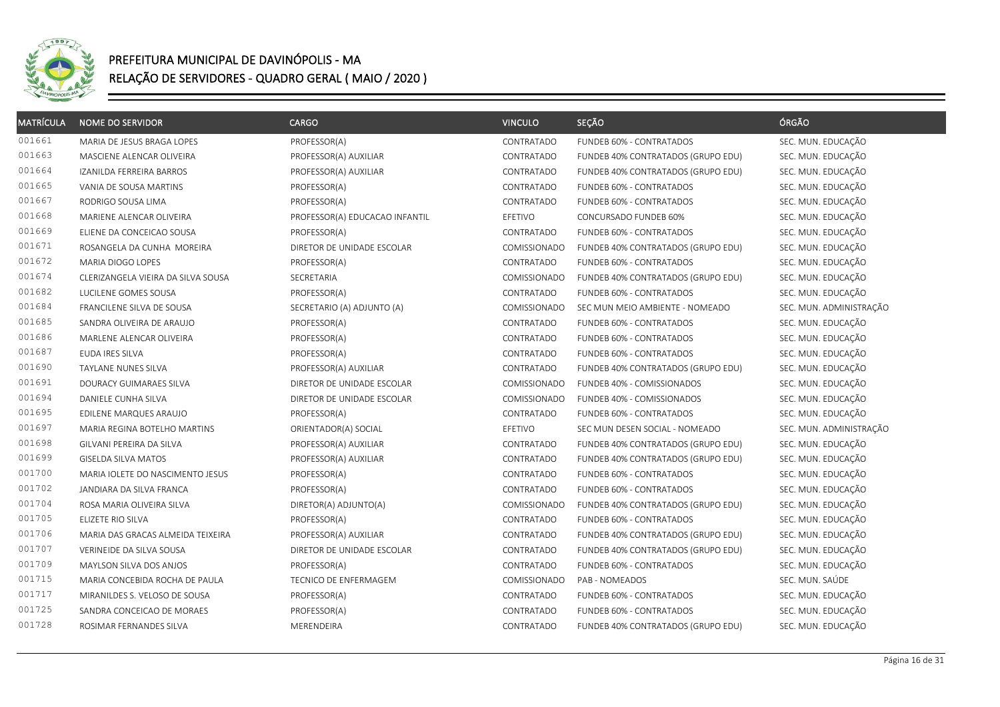

| <b>MATRÍCULA</b> | <b>NOME DO SERVIDOR</b>            | <b>CARGO</b>                   | <b>VINCULO</b> | SEÇÃO                              | ÓRGÃO                   |
|------------------|------------------------------------|--------------------------------|----------------|------------------------------------|-------------------------|
| 001661           | MARIA DE JESUS BRAGA LOPES         | PROFESSOR(A)                   | CONTRATADO     | FUNDEB 60% - CONTRATADOS           | SEC. MUN. EDUCAÇÃO      |
| 001663           | MASCIENE ALENCAR OLIVEIRA          | PROFESSOR(A) AUXILIAR          | CONTRATADO     | FUNDEB 40% CONTRATADOS (GRUPO EDU) | SEC. MUN. EDUCAÇÃO      |
| 001664           | IZANILDA FERREIRA BARROS           | PROFESSOR(A) AUXILIAR          | CONTRATADO     | FUNDEB 40% CONTRATADOS (GRUPO EDU) | SEC. MUN. EDUCAÇÃO      |
| 001665           | VANIA DE SOUSA MARTINS             | PROFESSOR(A)                   | CONTRATADO     | FUNDEB 60% - CONTRATADOS           | SEC. MUN. EDUCAÇÃO      |
| 001667           | RODRIGO SOUSA LIMA                 | PROFESSOR(A)                   | CONTRATADO     | FUNDEB 60% - CONTRATADOS           | SEC. MUN. EDUCAÇÃO      |
| 001668           | MARIENE ALENCAR OLIVEIRA           | PROFESSOR(A) EDUCACAO INFANTIL | EFETIVO        | CONCURSADO FUNDEB 60%              | SEC. MUN. EDUCAÇÃO      |
| 001669           | ELIENE DA CONCEICAO SOUSA          | PROFESSOR(A)                   | CONTRATADO     | FUNDEB 60% - CONTRATADOS           | SEC. MUN. EDUCAÇÃO      |
| 001671           | ROSANGELA DA CUNHA MOREIRA         | DIRETOR DE UNIDADE ESCOLAR     | COMISSIONADO   | FUNDEB 40% CONTRATADOS (GRUPO EDU) | SEC. MUN. EDUCAÇÃO      |
| 001672           | MARIA DIOGO LOPES                  | PROFESSOR(A)                   | CONTRATADO     | FUNDEB 60% - CONTRATADOS           | SEC. MUN. EDUCAÇÃO      |
| 001674           | CLERIZANGELA VIEIRA DA SILVA SOUSA | SECRETARIA                     | COMISSIONADO   | FUNDEB 40% CONTRATADOS (GRUPO EDU) | SEC. MUN. EDUCAÇÃO      |
| 001682           | LUCILENE GOMES SOUSA               | PROFESSOR(A)                   | CONTRATADO     | FUNDEB 60% - CONTRATADOS           | SEC. MUN. EDUCAÇÃO      |
| 001684           | FRANCILENE SILVA DE SOUSA          | SECRETARIO (A) ADJUNTO (A)     | COMISSIONADO   | SEC MUN MEIO AMBIENTE - NOMEADO    | SEC. MUN. ADMINISTRAÇÃO |
| 001685           | SANDRA OLIVEIRA DE ARAUJO          | PROFESSOR(A)                   | CONTRATADO     | FUNDEB 60% - CONTRATADOS           | SEC. MUN. EDUCAÇÃO      |
| 001686           | MARLENE ALENCAR OLIVEIRA           | PROFESSOR(A)                   | CONTRATADO     | FUNDEB 60% - CONTRATADOS           | SEC. MUN. EDUCAÇÃO      |
| 001687           | EUDA IRES SILVA                    | PROFESSOR(A)                   | CONTRATADO     | FUNDEB 60% - CONTRATADOS           | SEC. MUN. EDUCAÇÃO      |
| 001690           | TAYLANE NUNES SILVA                | PROFESSOR(A) AUXILIAR          | CONTRATADO     | FUNDEB 40% CONTRATADOS (GRUPO EDU) | SEC. MUN. EDUCAÇÃO      |
| 001691           | DOURACY GUIMARAES SILVA            | DIRETOR DE UNIDADE ESCOLAR     | COMISSIONADO   | FUNDEB 40% - COMISSIONADOS         | SEC. MUN. EDUCAÇÃO      |
| 001694           | DANIELE CUNHA SILVA                | DIRETOR DE UNIDADE ESCOLAR     | COMISSIONADO   | FUNDEB 40% - COMISSIONADOS         | SEC. MUN. EDUCAÇÃO      |
| 001695           | EDILENE MARQUES ARAUJO             | PROFESSOR(A)                   | CONTRATADO     | FUNDEB 60% - CONTRATADOS           | SEC. MUN. EDUCAÇÃO      |
| 001697           | MARIA REGINA BOTELHO MARTINS       | ORIENTADOR(A) SOCIAL           | EFETIVO        | SEC MUN DESEN SOCIAL - NOMEADO     | SEC. MUN. ADMINISTRAÇÃO |
| 001698           | GILVANI PEREIRA DA SILVA           | PROFESSOR(A) AUXILIAR          | CONTRATADO     | FUNDEB 40% CONTRATADOS (GRUPO EDU) | SEC. MUN. EDUCAÇÃO      |
| 001699           | GISELDA SILVA MATOS                | PROFESSOR(A) AUXILIAR          | CONTRATADO     | FUNDEB 40% CONTRATADOS (GRUPO EDU) | SEC. MUN. EDUCAÇÃO      |
| 001700           | MARIA IOLETE DO NASCIMENTO JESUS   | PROFESSOR(A)                   | CONTRATADO     | FUNDEB 60% - CONTRATADOS           | SEC. MUN. EDUCAÇÃO      |
| 001702           | JANDIARA DA SILVA FRANCA           | PROFESSOR(A)                   | CONTRATADO     | FUNDEB 60% - CONTRATADOS           | SEC. MUN. EDUCAÇÃO      |
| 001704           | ROSA MARIA OLIVEIRA SILVA          | DIRETOR(A) ADJUNTO(A)          | COMISSIONADO   | FUNDEB 40% CONTRATADOS (GRUPO EDU) | SEC. MUN. EDUCAÇÃO      |
| 001705           | ELIZETE RIO SILVA                  | PROFESSOR(A)                   | CONTRATADO     | FUNDEB 60% - CONTRATADOS           | SEC. MUN. EDUCAÇÃO      |
| 001706           | MARIA DAS GRACAS ALMEIDA TEIXEIRA  | PROFESSOR(A) AUXILIAR          | CONTRATADO     | FUNDEB 40% CONTRATADOS (GRUPO EDU) | SEC. MUN. EDUCAÇÃO      |
| 001707           | VERINEIDE DA SILVA SOUSA           | DIRETOR DE UNIDADE ESCOLAR     | CONTRATADO     | FUNDEB 40% CONTRATADOS (GRUPO EDU) | SEC. MUN. EDUCAÇÃO      |
| 001709           | MAYLSON SILVA DOS ANJOS            | PROFESSOR(A)                   | CONTRATADO     | FUNDEB 60% - CONTRATADOS           | SEC. MUN. EDUCAÇÃO      |
| 001715           | MARIA CONCEBIDA ROCHA DE PAULA     | TECNICO DE ENFERMAGEM          | COMISSIONADO   | PAB - NOMEADOS                     | SEC. MUN. SAÚDE         |
| 001717           | MIRANILDES S. VELOSO DE SOUSA      | PROFESSOR(A)                   | CONTRATADO     | FUNDEB 60% - CONTRATADOS           | SEC. MUN. EDUCAÇÃO      |
| 001725           | SANDRA CONCEICAO DE MORAES         | PROFESSOR(A)                   | CONTRATADO     | FUNDEB 60% - CONTRATADOS           | SEC. MUN. EDUCAÇÃO      |
| 001728           | ROSIMAR FERNANDES SILVA            | MERENDEIRA                     | CONTRATADO     | FUNDEB 40% CONTRATADOS (GRUPO EDU) | SEC. MUN. EDUCAÇÃO      |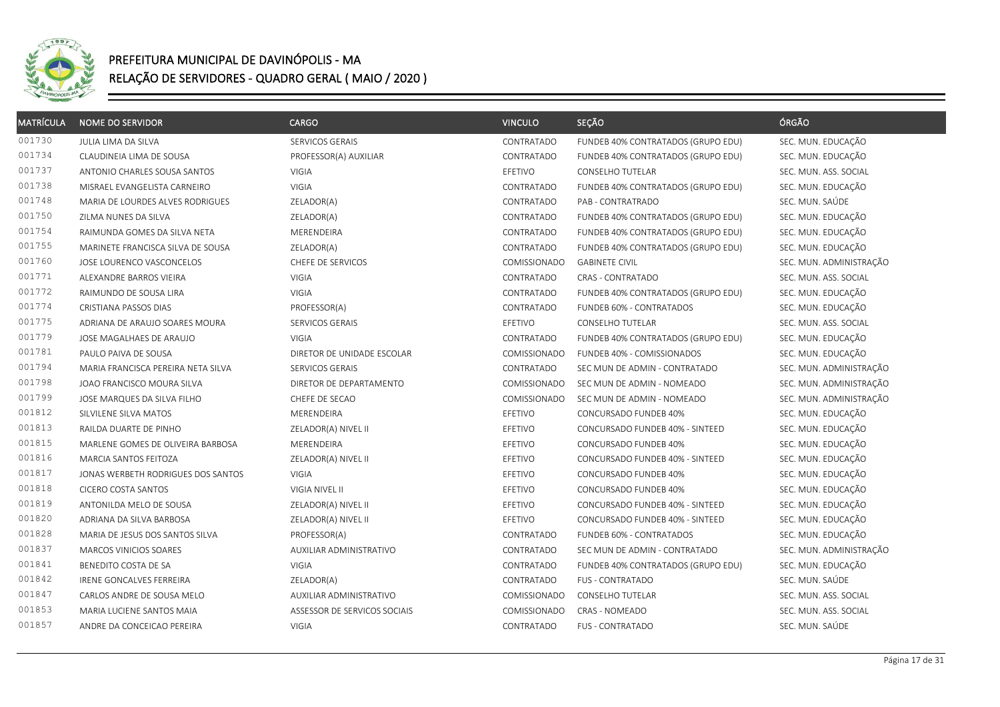

| <b>MATRÍCULA</b> | <b>NOME DO SERVIDOR</b>            | <b>CARGO</b>                 | <b>VINCULO</b> | SEÇÃO                              | ÓRGÃO                   |
|------------------|------------------------------------|------------------------------|----------------|------------------------------------|-------------------------|
| 001730           | JULIA LIMA DA SILVA                | SERVICOS GERAIS              | CONTRATADO     | FUNDEB 40% CONTRATADOS (GRUPO EDU) | SEC. MUN. EDUCAÇÃO      |
| 001734           | CLAUDINEIA LIMA DE SOUSA           | PROFESSOR(A) AUXILIAR        | CONTRATADO     | FUNDEB 40% CONTRATADOS (GRUPO EDU) | SEC. MUN. EDUCAÇÃO      |
| 001737           | ANTONIO CHARLES SOUSA SANTOS       | VIGIA                        | EFETIVO        | CONSELHO TUTELAR                   | SEC. MUN. ASS. SOCIAL   |
| 001738           | MISRAEL EVANGELISTA CARNEIRO       | VIGIA                        | CONTRATADO     | FUNDEB 40% CONTRATADOS (GRUPO EDU) | SEC. MUN. EDUCAÇÃO      |
| 001748           | MARIA DE LOURDES ALVES RODRIGUES   | ZELADOR(A)                   | CONTRATADO     | PAB - CONTRATRADO                  | SEC. MUN. SAÚDE         |
| 001750           | ZILMA NUNES DA SILVA               | ZELADOR(A)                   | CONTRATADO     | FUNDEB 40% CONTRATADOS (GRUPO EDU) | SEC. MUN. EDUCAÇÃO      |
| 001754           | RAIMUNDA GOMES DA SILVA NETA       | MERENDEIRA                   | CONTRATADO     | FUNDEB 40% CONTRATADOS (GRUPO EDU) | SEC. MUN. EDUCAÇÃO      |
| 001755           | MARINETE FRANCISCA SILVA DE SOUSA  | ZELADOR(A)                   | CONTRATADO     | FUNDEB 40% CONTRATADOS (GRUPO EDU) | SEC. MUN. EDUCAÇÃO      |
| 001760           | JOSE LOURENCO VASCONCELOS          | CHEFE DE SERVICOS            | COMISSIONADO   | <b>GABINETE CIVIL</b>              | SEC. MUN. ADMINISTRAÇÃO |
| 001771           | ALEXANDRE BARROS VIEIRA            | VIGIA                        | CONTRATADO     | <b>CRAS - CONTRATADO</b>           | SEC. MUN. ASS. SOCIAL   |
| 001772           | RAIMUNDO DE SOUSA LIRA             | VIGIA                        | CONTRATADO     | FUNDEB 40% CONTRATADOS (GRUPO EDU) | SEC. MUN. EDUCAÇÃO      |
| 001774           | CRISTIANA PASSOS DIAS              | PROFESSOR(A)                 | CONTRATADO     | FUNDEB 60% - CONTRATADOS           | SEC. MUN. EDUCAÇÃO      |
| 001775           | ADRIANA DE ARAUJO SOARES MOURA     | SERVICOS GERAIS              | EFETIVO        | <b>CONSELHO TUTELAR</b>            | SEC. MUN. ASS. SOCIAL   |
| 001779           | JOSE MAGALHAES DE ARAUJO           | <b>VIGIA</b>                 | CONTRATADO     | FUNDEB 40% CONTRATADOS (GRUPO EDU) | SEC. MUN. EDUCAÇÃO      |
| 001781           | PAULO PAIVA DE SOUSA               | DIRETOR DE UNIDADE ESCOLAR   | COMISSIONADO   | FUNDEB 40% - COMISSIONADOS         | SEC. MUN. EDUCAÇÃO      |
| 001794           | MARIA FRANCISCA PEREIRA NETA SILVA | SERVICOS GERAIS              | CONTRATADO     | SEC MUN DE ADMIN - CONTRATADO      | SEC. MUN. ADMINISTRAÇÃO |
| 001798           | JOAO FRANCISCO MOURA SILVA         | DIRETOR DE DEPARTAMENTO      | COMISSIONADO   | SEC MUN DE ADMIN - NOMEADO         | SEC. MUN. ADMINISTRAÇÃO |
| 001799           | JOSE MARQUES DA SILVA FILHO        | CHEFE DE SECAO               | COMISSIONADO   | SEC MUN DE ADMIN - NOMEADO         | SEC. MUN. ADMINISTRAÇÃO |
| 001812           | SILVILENE SILVA MATOS              | MERENDEIRA                   | EFETIVO        | CONCURSADO FUNDEB 40%              | SEC. MUN. EDUCAÇÃO      |
| 001813           | RAILDA DUARTE DE PINHO             | ZELADOR(A) NIVEL II          | EFETIVO        | CONCURSADO FUNDEB 40% - SINTEED    | SEC. MUN. EDUCAÇÃO      |
| 001815           | MARLENE GOMES DE OLIVEIRA BARBOSA  | MERENDEIRA                   | EFETIVO        | CONCURSADO FUNDEB 40%              | SEC. MUN. EDUCAÇÃO      |
| 001816           | MARCIA SANTOS FEITOZA              | ZELADOR(A) NIVEL II          | EFETIVO        | CONCURSADO FUNDEB 40% - SINTEED    | SEC. MUN. EDUCAÇÃO      |
| 001817           | JONAS WERBETH RODRIGUES DOS SANTOS | VIGIA                        | EFETIVO        | CONCURSADO FUNDEB 40%              | SEC. MUN. EDUCAÇÃO      |
| 001818           | CICERO COSTA SANTOS                | VIGIA NIVEL II               | EFETIVO        | CONCURSADO FUNDEB 40%              | SEC. MUN. EDUCAÇÃO      |
| 001819           | ANTONILDA MELO DE SOUSA            | ZELADOR(A) NIVEL II          | EFETIVO        | CONCURSADO FUNDEB 40% - SINTEED    | SEC. MUN. EDUCAÇÃO      |
| 001820           | ADRIANA DA SILVA BARBOSA           | ZELADOR(A) NIVEL II          | EFETIVO        | CONCURSADO FUNDEB 40% - SINTEED    | SEC. MUN. EDUCAÇÃO      |
| 001828           | MARIA DE JESUS DOS SANTOS SILVA    | PROFESSOR(A)                 | CONTRATADO     | FUNDEB 60% - CONTRATADOS           | SEC. MUN. EDUCAÇÃO      |
| 001837           | MARCOS VINICIOS SOARES             | AUXILIAR ADMINISTRATIVO      | CONTRATADO     | SEC MUN DE ADMIN - CONTRATADO      | SEC. MUN. ADMINISTRAÇÃO |
| 001841           | BENEDITO COSTA DE SA               | <b>VIGIA</b>                 | CONTRATADO     | FUNDEB 40% CONTRATADOS (GRUPO EDU) | SEC. MUN. EDUCAÇÃO      |
| 001842           | IRENE GONCALVES FERREIRA           | ZELADOR(A)                   | CONTRATADO     | <b>FUS - CONTRATADO</b>            | SEC. MUN. SAÚDE         |
| 001847           | CARLOS ANDRE DE SOUSA MELO         | AUXILIAR ADMINISTRATIVO      | COMISSIONADO   | <b>CONSELHO TUTELAR</b>            | SEC. MUN. ASS. SOCIAL   |
| 001853           | MARIA LUCIENE SANTOS MAIA          | ASSESSOR DE SERVICOS SOCIAIS | COMISSIONADO   | CRAS - NOMEADO                     | SEC. MUN. ASS. SOCIAL   |
| 001857           | ANDRE DA CONCEICAO PEREIRA         | VIGIA                        | CONTRATADO     | FUS - CONTRATADO                   | SEC. MUN. SAÚDE         |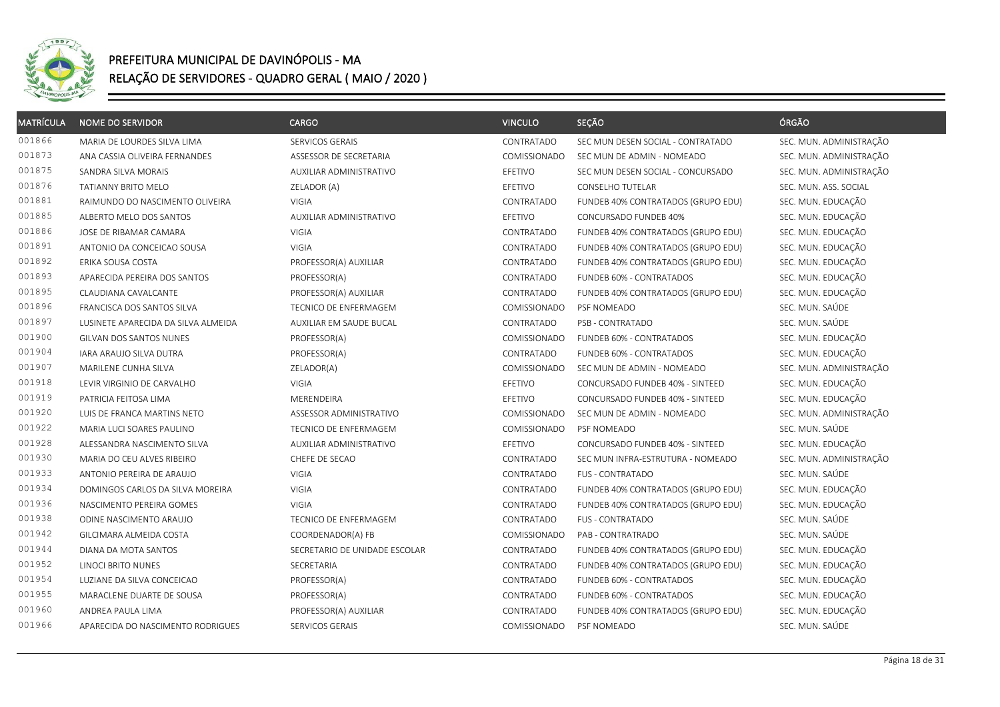

| <b>MATRÍCULA</b> | <b>NOME DO SERVIDOR</b>             | <b>CARGO</b>                   | <b>VINCULO</b> | SEÇÃO                              | ÓRGÃO                   |
|------------------|-------------------------------------|--------------------------------|----------------|------------------------------------|-------------------------|
| 001866           | MARIA DE LOURDES SILVA LIMA         | SERVICOS GERAIS                | CONTRATADO     | SEC MUN DESEN SOCIAL - CONTRATADO  | SEC. MUN. ADMINISTRAÇÃO |
| 001873           | ANA CASSIA OLIVEIRA FERNANDES       | ASSESSOR DE SECRETARIA         | COMISSIONADO   | SEC MUN DE ADMIN - NOMEADO         | SEC. MUN. ADMINISTRAÇÃO |
| 001875           | SANDRA SILVA MORAIS                 | <b>AUXILIAR ADMINISTRATIVO</b> | EFETIVO        | SEC MUN DESEN SOCIAL - CONCURSADO  | SEC. MUN. ADMINISTRAÇÃO |
| 001876           | TATIANNY BRITO MELO                 | ZELADOR (A)                    | EFETIVO        | CONSELHO TUTELAR                   | SEC. MUN. ASS. SOCIAL   |
| 001881           | RAIMUNDO DO NASCIMENTO OLIVEIRA     | <b>VIGIA</b>                   | CONTRATADO     | FUNDEB 40% CONTRATADOS (GRUPO EDU) | SEC. MUN. EDUCAÇÃO      |
| 001885           | ALBERTO MELO DOS SANTOS             | AUXILIAR ADMINISTRATIVO        | EFETIVO        | CONCURSADO FUNDEB 40%              | SEC. MUN. EDUCAÇÃO      |
| 001886           | JOSE DE RIBAMAR CAMARA              | <b>VIGIA</b>                   | CONTRATADO     | FUNDEB 40% CONTRATADOS (GRUPO EDU) | SEC. MUN. EDUCAÇÃO      |
| 001891           | ANTONIO DA CONCEICAO SOUSA          | <b>VIGIA</b>                   | CONTRATADO     | FUNDEB 40% CONTRATADOS (GRUPO EDU) | SEC. MUN. EDUCAÇÃO      |
| 001892           | ERIKA SOUSA COSTA                   | PROFESSOR(A) AUXILIAR          | CONTRATADO     | FUNDEB 40% CONTRATADOS (GRUPO EDU) | SEC. MUN. EDUCAÇÃO      |
| 001893           | APARECIDA PEREIRA DOS SANTOS        | PROFESSOR(A)                   | CONTRATADO     | FUNDEB 60% - CONTRATADOS           | SEC. MUN. EDUCAÇÃO      |
| 001895           | CLAUDIANA CAVALCANTE                | PROFESSOR(A) AUXILIAR          | CONTRATADO     | FUNDEB 40% CONTRATADOS (GRUPO EDU) | SEC. MUN. EDUCAÇÃO      |
| 001896           | FRANCISCA DOS SANTOS SILVA          | TECNICO DE ENFERMAGEM          | COMISSIONADO   | PSF NOMEADO                        | SEC. MUN. SAÚDE         |
| 001897           | LUSINETE APARECIDA DA SILVA ALMEIDA | AUXILIAR EM SAUDE BUCAL        | CONTRATADO     | PSB - CONTRATADO                   | SEC. MUN. SAÚDE         |
| 001900           | GILVAN DOS SANTOS NUNES             | PROFESSOR(A)                   | COMISSIONADO   | FUNDEB 60% - CONTRATADOS           | SEC. MUN. EDUCAÇÃO      |
| 001904           | IARA ARAUJO SILVA DUTRA             | PROFESSOR(A)                   | CONTRATADO     | FUNDEB 60% - CONTRATADOS           | SEC. MUN. EDUCAÇÃO      |
| 001907           | MARILENE CUNHA SILVA                | ZELADOR(A)                     | COMISSIONADO   | SEC MUN DE ADMIN - NOMEADO         | SEC. MUN. ADMINISTRAÇÃO |
| 001918           | LEVIR VIRGINIO DE CARVALHO          | VIGIA                          | EFETIVO        | CONCURSADO FUNDEB 40% - SINTEED    | SEC. MUN. EDUCAÇÃO      |
| 001919           | PATRICIA FEITOSA LIMA               | MERENDEIRA                     | EFETIVO        | CONCURSADO FUNDEB 40% - SINTEED    | SEC. MUN. EDUCAÇÃO      |
| 001920           | LUIS DE FRANCA MARTINS NETO         | ASSESSOR ADMINISTRATIVO        | COMISSIONADO   | SEC MUN DE ADMIN - NOMEADO         | SEC. MUN. ADMINISTRAÇÃO |
| 001922           | MARIA LUCI SOARES PAULINO           | TECNICO DE ENFERMAGEM          | COMISSIONADO   | PSF NOMEADO                        | SEC. MUN. SAÚDE         |
| 001928           | ALESSANDRA NASCIMENTO SILVA         | AUXILIAR ADMINISTRATIVO        | EFETIVO        | CONCURSADO FUNDEB 40% - SINTEED    | SEC. MUN. EDUCAÇÃO      |
| 001930           | MARIA DO CEU ALVES RIBEIRO          | CHEFE DE SECAO                 | CONTRATADO     | SEC MUN INFRA-ESTRUTURA - NOMEADO  | SEC. MUN. ADMINISTRAÇÃO |
| 001933           | ANTONIO PEREIRA DE ARAUJO           | VIGIA                          | CONTRATADO     | FUS - CONTRATADO                   | SEC. MUN. SAÚDE         |
| 001934           | DOMINGOS CARLOS DA SILVA MOREIRA    | VIGIA                          | CONTRATADO     | FUNDEB 40% CONTRATADOS (GRUPO EDU) | SEC. MUN. EDUCAÇÃO      |
| 001936           | NASCIMENTO PEREIRA GOMES            | VIGIA                          | CONTRATADO     | FUNDEB 40% CONTRATADOS (GRUPO EDU) | SEC. MUN. EDUCAÇÃO      |
| 001938           | ODINE NASCIMENTO ARAUJO             | TECNICO DE ENFERMAGEM          | CONTRATADO     | <b>FUS - CONTRATADO</b>            | SEC. MUN. SAÚDE         |
| 001942           | GILCIMARA ALMEIDA COSTA             | COORDENADOR(A) FB              | COMISSIONADO   | PAB - CONTRATRADO                  | SEC. MUN. SAÚDE         |
| 001944           | DIANA DA MOTA SANTOS                | SECRETARIO DE UNIDADE ESCOLAR  | CONTRATADO     | FUNDEB 40% CONTRATADOS (GRUPO EDU) | SEC. MUN. EDUCAÇÃO      |
| 001952           | LINOCI BRITO NUNES                  | SECRETARIA                     | CONTRATADO     | FUNDEB 40% CONTRATADOS (GRUPO EDU) | SEC. MUN. EDUCAÇÃO      |
| 001954           | LUZIANE DA SILVA CONCEICAO          | PROFESSOR(A)                   | CONTRATADO     | FUNDEB 60% - CONTRATADOS           | SEC. MUN. EDUCAÇÃO      |
| 001955           | MARACLENE DUARTE DE SOUSA           | PROFESSOR(A)                   | CONTRATADO     | FUNDEB 60% - CONTRATADOS           | SEC. MUN. EDUCAÇÃO      |
| 001960           | ANDREA PAULA LIMA                   | PROFESSOR(A) AUXILIAR          | CONTRATADO     | FUNDEB 40% CONTRATADOS (GRUPO EDU) | SEC. MUN. EDUCAÇÃO      |
| 001966           | APARECIDA DO NASCIMENTO RODRIGUES   | SERVICOS GERAIS                | COMISSIONADO   | PSF NOMEADO                        | SEC. MUN. SAÚDE         |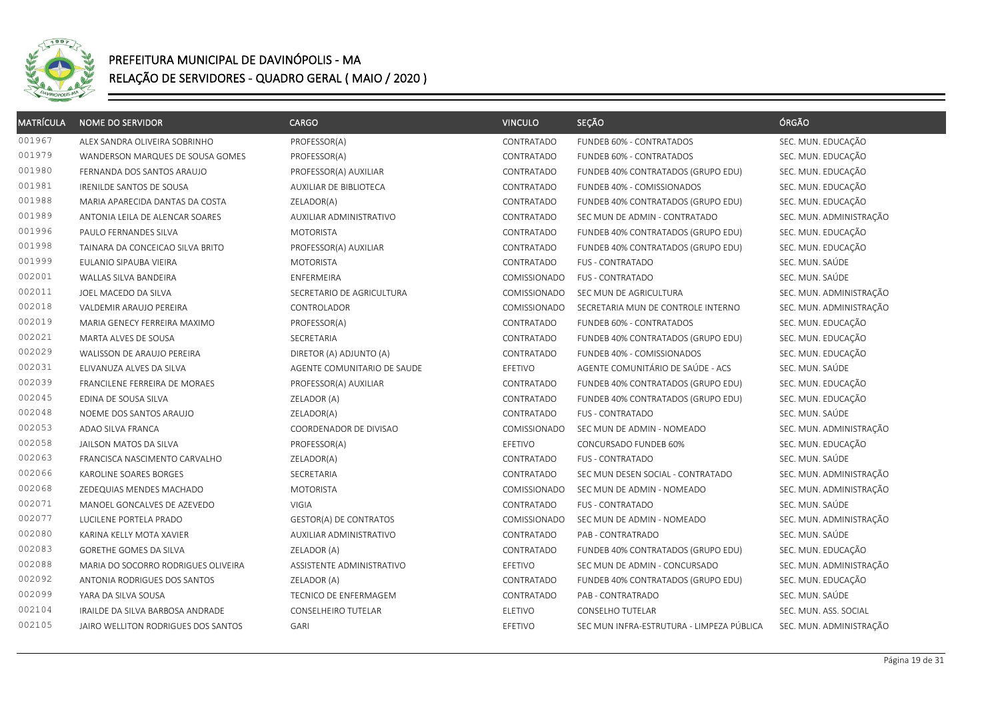

| <b>MATRÍCULA</b> | <b>NOME DO SERVIDOR</b>             | <b>CARGO</b>                | <b>VINCULO</b> | SEÇÃO                                     | ÓRGÃO                   |
|------------------|-------------------------------------|-----------------------------|----------------|-------------------------------------------|-------------------------|
| 001967           | ALEX SANDRA OLIVEIRA SOBRINHO       | PROFESSOR(A)                | CONTRATADO     | FUNDEB 60% - CONTRATADOS                  | SEC. MUN. EDUCAÇÃO      |
| 001979           | WANDERSON MARQUES DE SOUSA GOMES    | PROFESSOR(A)                | CONTRATADO     | FUNDEB 60% - CONTRATADOS                  | SEC. MUN. EDUCAÇÃO      |
| 001980           | FERNANDA DOS SANTOS ARAUJO          | PROFESSOR(A) AUXILIAR       | CONTRATADO     | FUNDEB 40% CONTRATADOS (GRUPO EDU)        | SEC. MUN. EDUCAÇÃO      |
| 001981           | IRENILDE SANTOS DE SOUSA            | AUXILIAR DE BIBLIOTECA      | CONTRATADO     | FUNDEB 40% - COMISSIONADOS                | SEC. MUN. EDUCAÇÃO      |
| 001988           | MARIA APARECIDA DANTAS DA COSTA     | ZELADOR(A)                  | CONTRATADO     | FUNDEB 40% CONTRATADOS (GRUPO EDU)        | SEC. MUN. EDUCAÇÃO      |
| 001989           | ANTONIA LEILA DE ALENCAR SOARES     | AUXILIAR ADMINISTRATIVO     | CONTRATADO     | SEC MUN DE ADMIN - CONTRATADO             | SEC. MUN. ADMINISTRAÇÃO |
| 001996           | PAULO FERNANDES SILVA               | <b>MOTORISTA</b>            | CONTRATADO     | FUNDEB 40% CONTRATADOS (GRUPO EDU)        | SEC. MUN. EDUCAÇÃO      |
| 001998           | TAINARA DA CONCEICAO SILVA BRITO    | PROFESSOR(A) AUXILIAR       | CONTRATADO     | FUNDEB 40% CONTRATADOS (GRUPO EDU)        | SEC. MUN. EDUCAÇÃO      |
| 001999           | EULANIO SIPAUBA VIEIRA              | <b>MOTORISTA</b>            | CONTRATADO     | <b>FUS - CONTRATADO</b>                   | SEC. MUN. SAÚDE         |
| 002001           | WALLAS SILVA BANDEIRA               | ENFERMEIRA                  | COMISSIONADO   | <b>FUS - CONTRATADO</b>                   | SEC. MUN. SAÚDE         |
| 002011           | JOEL MACEDO DA SILVA                | SECRETARIO DE AGRICULTURA   | COMISSIONADO   | SEC MUN DE AGRICULTURA                    | SEC. MUN. ADMINISTRAÇÃO |
| 002018           | VALDEMIR ARAUJO PEREIRA             | CONTROLADOR                 | COMISSIONADO   | SECRETARIA MUN DE CONTROLE INTERNO        | SEC. MUN. ADMINISTRAÇÃO |
| 002019           | MARIA GENECY FERREIRA MAXIMO        | PROFESSOR(A)                | CONTRATADO     | FUNDEB 60% - CONTRATADOS                  | SEC. MUN. EDUCAÇÃO      |
| 002021           | MARTA ALVES DE SOUSA                | SECRETARIA                  | CONTRATADO     | FUNDEB 40% CONTRATADOS (GRUPO EDU)        | SEC. MUN. EDUCAÇÃO      |
| 002029           | WALISSON DE ARAUJO PEREIRA          | DIRETOR (A) ADJUNTO (A)     | CONTRATADO     | FUNDEB 40% - COMISSIONADOS                | SEC. MUN. EDUCAÇÃO      |
| 002031           | ELIVANUZA ALVES DA SILVA            | AGENTE COMUNITARIO DE SAUDE | EFETIVO        | AGENTE COMUNITÁRIO DE SAÚDE - ACS         | SEC. MUN. SAÚDE         |
| 002039           | FRANCILENE FERREIRA DE MORAES       | PROFESSOR(A) AUXILIAR       | CONTRATADO     | FUNDEB 40% CONTRATADOS (GRUPO EDU)        | SEC. MUN. EDUCAÇÃO      |
| 002045           | EDINA DE SOUSA SILVA                | ZELADOR (A)                 | CONTRATADO     | FUNDEB 40% CONTRATADOS (GRUPO EDU)        | SEC. MUN. EDUCAÇÃO      |
| 002048           | NOEME DOS SANTOS ARAUJO             | ZELADOR(A)                  | CONTRATADO     | <b>FUS - CONTRATADO</b>                   | SEC. MUN. SAÚDE         |
| 002053           | ADAO SILVA FRANCA                   | COORDENADOR DE DIVISAO      | COMISSIONADO   | SEC MUN DE ADMIN - NOMEADO                | SEC. MUN. ADMINISTRAÇÃO |
| 002058           | JAILSON MATOS DA SILVA              | PROFESSOR(A)                | EFETIVO        | CONCURSADO FUNDEB 60%                     | SEC. MUN. EDUCAÇÃO      |
| 002063           | FRANCISCA NASCIMENTO CARVALHO       | ZELADOR(A)                  | CONTRATADO     | <b>FUS - CONTRATADO</b>                   | SEC. MUN. SAÚDE         |
| 002066           | KAROLINE SOARES BORGES              | SECRETARIA                  | CONTRATADO     | SEC MUN DESEN SOCIAL - CONTRATADO         | SEC. MUN. ADMINISTRAÇÃO |
| 002068           | ZEDEQUIAS MENDES MACHADO            | <b>MOTORISTA</b>            | COMISSIONADO   | SEC MUN DE ADMIN - NOMEADO                | SEC. MUN. ADMINISTRAÇÃO |
| 002071           | MANOEL GONCALVES DE AZEVEDO         | <b>VIGIA</b>                | CONTRATADO     | <b>FUS - CONTRATADO</b>                   | SEC. MUN. SAÚDE         |
| 002077           | LUCILENE PORTELA PRADO              | GESTOR(A) DE CONTRATOS      | COMISSIONADO   | SEC MUN DE ADMIN - NOMEADO                | SEC. MUN. ADMINISTRAÇÃO |
| 002080           | KARINA KELLY MOTA XAVIER            | AUXILIAR ADMINISTRATIVO     | CONTRATADO     | PAB - CONTRATRADO                         | SEC. MUN. SAÚDE         |
| 002083           | GORETHE GOMES DA SILVA              | ZELADOR (A)                 | CONTRATADO     | FUNDEB 40% CONTRATADOS (GRUPO EDU)        | SEC. MUN. EDUCAÇÃO      |
| 002088           | MARIA DO SOCORRO RODRIGUES OLIVEIRA | ASSISTENTE ADMINISTRATIVO   | EFETIVO        | SEC MUN DE ADMIN - CONCURSADO             | SEC. MUN. ADMINISTRAÇÃO |
| 002092           | ANTONIA RODRIGUES DOS SANTOS        | ZELADOR (A)                 | CONTRATADO     | FUNDEB 40% CONTRATADOS (GRUPO EDU)        | SEC. MUN. EDUCAÇÃO      |
| 002099           | YARA DA SILVA SOUSA                 | TECNICO DE ENFERMAGEM       | CONTRATADO     | PAB - CONTRATRADO                         | SEC. MUN. SAÚDE         |
| 002104           | IRAILDE DA SILVA BARBOSA ANDRADE    | <b>CONSELHEIRO TUTELAR</b>  | <b>ELETIVO</b> | CONSELHO TUTELAR                          | SEC. MUN. ASS. SOCIAL   |
| 002105           | JAIRO WELLITON RODRIGUES DOS SANTOS | <b>GARI</b>                 | EFETIVO        | SEC MUN INFRA-ESTRUTURA - LIMPEZA PÚBLICA | SEC. MUN. ADMINISTRAÇÃO |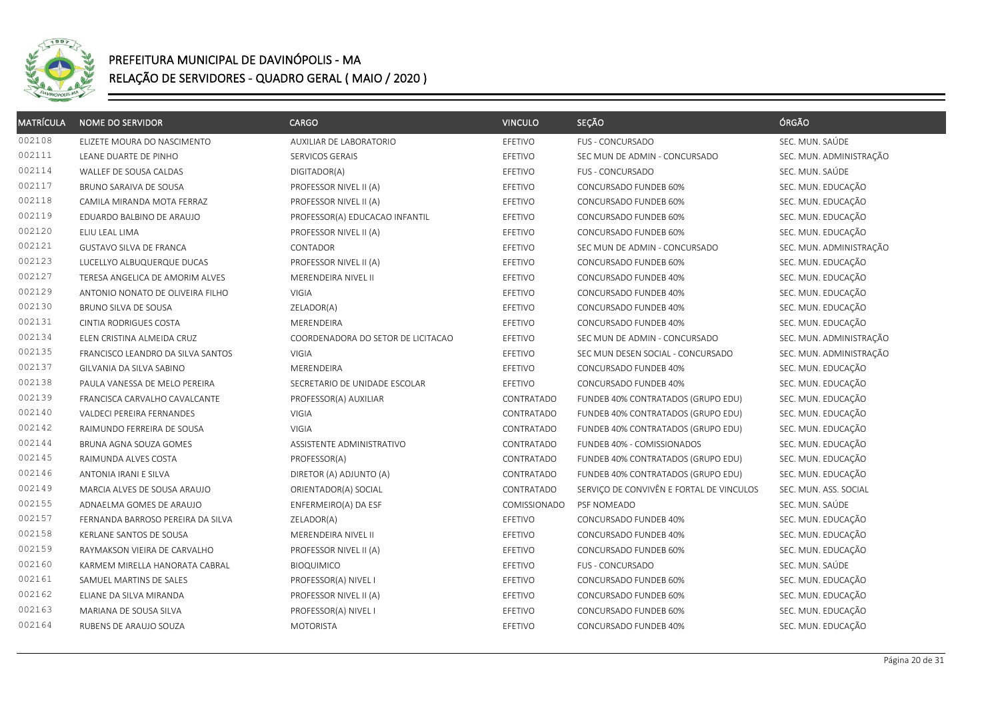

| <b>MATRÍCULA</b> | <b>NOME DO SERVIDOR</b>           | <b>CARGO</b>                       | <b>VINCULO</b> | SEÇÃO                                    | ÓRGÃO                   |
|------------------|-----------------------------------|------------------------------------|----------------|------------------------------------------|-------------------------|
| 002108           | ELIZETE MOURA DO NASCIMENTO       | AUXILIAR DE LABORATORIO            | EFETIVO        | <b>FUS - CONCURSADO</b>                  | SEC. MUN. SAÚDE         |
| 002111           | LEANE DUARTE DE PINHO             | SERVICOS GERAIS                    | EFETIVO        | SEC MUN DE ADMIN - CONCURSADO            | SEC. MUN. ADMINISTRAÇÃO |
| 002114           | WALLEF DE SOUSA CALDAS            | DIGITADOR(A)                       | EFETIVO        | <b>FUS - CONCURSADO</b>                  | SEC. MUN. SAÚDE         |
| 002117           | BRUNO SARAIVA DE SOUSA            | PROFESSOR NIVEL II (A)             | EFETIVO        | CONCURSADO FUNDEB 60%                    | SEC. MUN. EDUCAÇÃO      |
| 002118           | CAMILA MIRANDA MOTA FERRAZ        | PROFESSOR NIVEL II (A)             | EFETIVO        | CONCURSADO FUNDEB 60%                    | SEC. MUN. EDUCAÇÃO      |
| 002119           | EDUARDO BALBINO DE ARAUJO         | PROFESSOR(A) EDUCACAO INFANTIL     | EFETIVO        | CONCURSADO FUNDEB 60%                    | SEC. MUN. EDUCAÇÃO      |
| 002120           | ELIU LEAL LIMA                    | PROFESSOR NIVEL II (A)             | EFETIVO        | CONCURSADO FUNDEB 60%                    | SEC. MUN. EDUCAÇÃO      |
| 002121           | <b>GUSTAVO SILVA DE FRANCA</b>    | CONTADOR                           | EFETIVO        | SEC MUN DE ADMIN - CONCURSADO            | SEC. MUN. ADMINISTRAÇÃO |
| 002123           | LUCELLYO ALBUQUERQUE DUCAS        | PROFESSOR NIVEL II (A)             | EFETIVO        | CONCURSADO FUNDEB 60%                    | SEC. MUN. EDUCAÇÃO      |
| 002127           | TERESA ANGELICA DE AMORIM ALVES   | MERENDEIRA NIVEL II                | EFETIVO        | CONCURSADO FUNDEB 40%                    | SEC. MUN. EDUCAÇÃO      |
| 002129           | ANTONIO NONATO DE OLIVEIRA FILHO  | VIGIA                              | EFETIVO        | CONCURSADO FUNDEB 40%                    | SEC. MUN. EDUCAÇÃO      |
| 002130           | BRUNO SILVA DE SOUSA              | ZELADOR(A)                         | EFETIVO        | CONCURSADO FUNDEB 40%                    | SEC. MUN. EDUCAÇÃO      |
| 002131           | CINTIA RODRIGUES COSTA            | MERENDEIRA                         | EFETIVO        | CONCURSADO FUNDEB 40%                    | SEC. MUN. EDUCAÇÃO      |
| 002134           | ELEN CRISTINA ALMEIDA CRUZ        | COORDENADORA DO SETOR DE LICITACAO | EFETIVO        | SEC MUN DE ADMIN - CONCURSADO            | SEC. MUN. ADMINISTRAÇÃO |
| 002135           | FRANCISCO LEANDRO DA SILVA SANTOS | <b>VIGIA</b>                       | EFETIVO        | SEC MUN DESEN SOCIAL - CONCURSADO        | SEC. MUN. ADMINISTRAÇÃO |
| 002137           | GILVANIA DA SILVA SABINO          | MERENDEIRA                         | EFETIVO        | CONCURSADO FUNDEB 40%                    | SEC. MUN. EDUCAÇÃO      |
| 002138           | PAULA VANESSA DE MELO PEREIRA     | SECRETARIO DE UNIDADE ESCOLAR      | EFETIVO        | CONCURSADO FUNDEB 40%                    | SEC. MUN. EDUCAÇÃO      |
| 002139           | FRANCISCA CARVALHO CAVALCANTE     | PROFESSOR(A) AUXILIAR              | CONTRATADO     | FUNDEB 40% CONTRATADOS (GRUPO EDU)       | SEC. MUN. EDUCAÇÃO      |
| 002140           | VALDECI PEREIRA FERNANDES         | VIGIA                              | CONTRATADO     | FUNDEB 40% CONTRATADOS (GRUPO EDU)       | SEC. MUN. EDUCAÇÃO      |
| 002142           | RAIMUNDO FERREIRA DE SOUSA        | <b>VIGIA</b>                       | CONTRATADO     | FUNDEB 40% CONTRATADOS (GRUPO EDU)       | SEC. MUN. EDUCAÇÃO      |
| 002144           | BRUNA AGNA SOUZA GOMES            | ASSISTENTE ADMINISTRATIVO          | CONTRATADO     | FUNDEB 40% - COMISSIONADOS               | SEC. MUN. EDUCAÇÃO      |
| 002145           | RAIMUNDA ALVES COSTA              | PROFESSOR(A)                       | CONTRATADO     | FUNDEB 40% CONTRATADOS (GRUPO EDU)       | SEC. MUN. EDUCAÇÃO      |
| 002146           | ANTONIA IRANI E SILVA             | DIRETOR (A) ADJUNTO (A)            | CONTRATADO     | FUNDEB 40% CONTRATADOS (GRUPO EDU)       | SEC. MUN. EDUCAÇÃO      |
| 002149           | MARCIA ALVES DE SOUSA ARAUJO      | ORIENTADOR(A) SOCIAL               | CONTRATADO     | SERVIÇO DE CONVIVÊN E FORTAL DE VINCULOS | SEC. MUN. ASS. SOCIAL   |
| 002155           | ADNAELMA GOMES DE ARAUJO          | ENFERMEIRO(A) DA ESF               | COMISSIONADO   | PSF NOMEADO                              | SEC. MUN. SAÚDE         |
| 002157           | FERNANDA BARROSO PEREIRA DA SILVA | ZELADOR(A)                         | EFETIVO        | CONCURSADO FUNDEB 40%                    | SEC. MUN. EDUCAÇÃO      |
| 002158           | KERLANE SANTOS DE SOUSA           | MERENDEIRA NIVEL II                | EFETIVO        | CONCURSADO FUNDEB 40%                    | SEC. MUN. EDUCAÇÃO      |
| 002159           | RAYMAKSON VIEIRA DE CARVALHO      | PROFESSOR NIVEL II (A)             | EFETIVO        | CONCURSADO FUNDEB 60%                    | SEC. MUN. EDUCAÇÃO      |
| 002160           | KARMEM MIRELLA HANORATA CABRAL    | <b>BIOQUIMICO</b>                  | EFETIVO        | FUS - CONCURSADO                         | SEC. MUN. SAÚDE         |
| 002161           | SAMUEL MARTINS DE SALES           | PROFESSOR(A) NIVEL I               | EFETIVO        | CONCURSADO FUNDEB 60%                    | SEC. MUN. EDUCAÇÃO      |
| 002162           | ELIANE DA SILVA MIRANDA           | PROFESSOR NIVEL II (A)             | EFETIVO        | CONCURSADO FUNDEB 60%                    | SEC. MUN. EDUCAÇÃO      |
| 002163           | MARIANA DE SOUSA SILVA            | PROFESSOR(A) NIVEL I               | EFETIVO        | CONCURSADO FUNDEB 60%                    | SEC. MUN. EDUCAÇÃO      |
| 002164           | RUBENS DE ARAUJO SOUZA            | MOTORISTA                          | EFETIVO        | CONCURSADO FUNDEB 40%                    | SEC. MUN. EDUCAÇÃO      |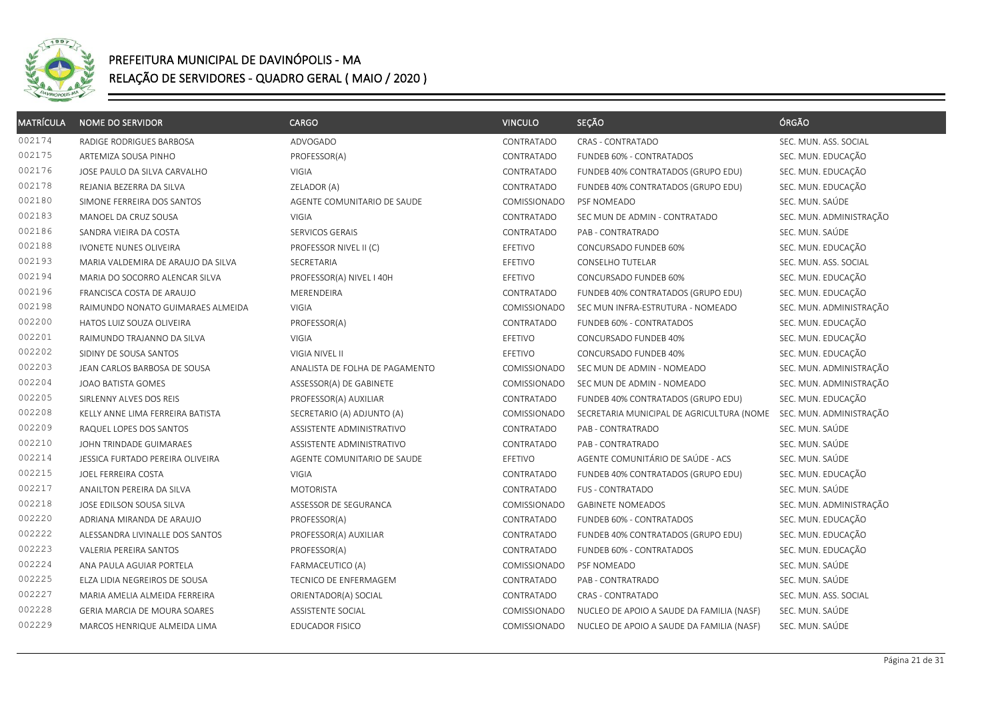

| <b>MATRÍCULA</b> | <b>NOME DO SERVIDOR</b>            | <b>CARGO</b>                   | <b>VINCULO</b> | SEÇÃO                                     | ÓRGÃO                   |
|------------------|------------------------------------|--------------------------------|----------------|-------------------------------------------|-------------------------|
| 002174           | RADIGE RODRIGUES BARBOSA           | <b>ADVOGADO</b>                | CONTRATADO     | <b>CRAS - CONTRATADO</b>                  | SEC. MUN. ASS. SOCIAL   |
| 002175           | ARTEMIZA SOUSA PINHO               | PROFESSOR(A)                   | CONTRATADO     | FUNDEB 60% - CONTRATADOS                  | SEC. MUN. EDUCAÇÃO      |
| 002176           | JOSE PAULO DA SILVA CARVALHO       | <b>VIGIA</b>                   | CONTRATADO     | FUNDEB 40% CONTRATADOS (GRUPO EDU)        | SEC. MUN. EDUCAÇÃO      |
| 002178           | REJANIA BEZERRA DA SILVA           | ZELADOR (A)                    | CONTRATADO     | FUNDEB 40% CONTRATADOS (GRUPO EDU)        | SEC. MUN. EDUCAÇÃO      |
| 002180           | SIMONE FERREIRA DOS SANTOS         | AGENTE COMUNITARIO DE SAUDE    | COMISSIONADO   | PSF NOMEADO                               | SEC. MUN. SAÚDE         |
| 002183           | MANOEL DA CRUZ SOUSA               | <b>VIGIA</b>                   | CONTRATADO     | SEC MUN DE ADMIN - CONTRATADO             | SEC. MUN. ADMINISTRAÇÃO |
| 002186           | SANDRA VIEIRA DA COSTA             | SERVICOS GERAIS                | CONTRATADO     | PAB - CONTRATRADO                         | SEC. MUN. SAÚDE         |
| 002188           | IVONETE NUNES OLIVEIRA             | PROFESSOR NIVEL II (C)         | EFETIVO        | CONCURSADO FUNDEB 60%                     | SEC. MUN. EDUCAÇÃO      |
| 002193           | MARIA VALDEMIRA DE ARAUJO DA SILVA | SECRETARIA                     | EFETIVO        | CONSELHO TUTELAR                          | SEC. MUN. ASS. SOCIAL   |
| 002194           | MARIA DO SOCORRO ALENCAR SILVA     | PROFESSOR(A) NIVEL I 40H       | EFETIVO        | CONCURSADO FUNDEB 60%                     | SEC. MUN. EDUCAÇÃO      |
| 002196           | FRANCISCA COSTA DE ARAUJO          | MERENDEIRA                     | CONTRATADO     | FUNDEB 40% CONTRATADOS (GRUPO EDU)        | SEC. MUN. EDUCAÇÃO      |
| 002198           | RAIMUNDO NONATO GUIMARAES ALMEIDA  | <b>VIGIA</b>                   | COMISSIONADO   | SEC MUN INFRA-ESTRUTURA - NOMEADO         | SEC. MUN. ADMINISTRAÇÃO |
| 002200           | HATOS LUIZ SOUZA OLIVEIRA          | PROFESSOR(A)                   | CONTRATADO     | FUNDEB 60% - CONTRATADOS                  | SEC. MUN. EDUCAÇÃO      |
| 002201           | RAIMUNDO TRAJANNO DA SILVA         | <b>VIGIA</b>                   | EFETIVO        | CONCURSADO FUNDEB 40%                     | SEC. MUN. EDUCAÇÃO      |
| 002202           | SIDINY DE SOUSA SANTOS             | VIGIA NIVEL II                 | EFETIVO        | CONCURSADO FUNDEB 40%                     | SEC. MUN. EDUCAÇÃO      |
| 002203           | JEAN CARLOS BARBOSA DE SOUSA       | ANALISTA DE FOLHA DE PAGAMENTO | COMISSIONADO   | SEC MUN DE ADMIN - NOMEADO                | SEC. MUN. ADMINISTRAÇÃO |
| 002204           | JOAO BATISTA GOMES                 | ASSESSOR(A) DE GABINETE        | COMISSIONADO   | SEC MUN DE ADMIN - NOMEADO                | SEC. MUN. ADMINISTRAÇÃO |
| 002205           | SIRLENNY ALVES DOS REIS            | PROFESSOR(A) AUXILIAR          | CONTRATADO     | FUNDEB 40% CONTRATADOS (GRUPO EDU)        | SEC. MUN. EDUCAÇÃO      |
| 002208           | KELLY ANNE LIMA FERREIRA BATISTA   | SECRETARIO (A) ADJUNTO (A)     | COMISSIONADO   | SECRETARIA MUNICIPAL DE AGRICULTURA (NOME | SEC. MUN. ADMINISTRAÇÃO |
| 002209           | RAQUEL LOPES DOS SANTOS            | ASSISTENTE ADMINISTRATIVO      | CONTRATADO     | PAB - CONTRATRADO                         | SEC. MUN. SAÚDE         |
| 002210           | JOHN TRINDADE GUIMARAES            | ASSISTENTE ADMINISTRATIVO      | CONTRATADO     | PAB - CONTRATRADO                         | SEC. MUN. SAÚDE         |
| 002214           | JESSICA FURTADO PEREIRA OLIVEIRA   | AGENTE COMUNITARIO DE SAUDE    | EFETIVO        | AGENTE COMUNITÁRIO DE SAÚDE - ACS         | SEC. MUN. SAÚDE         |
| 002215           | JOEL FERREIRA COSTA                | <b>VIGIA</b>                   | CONTRATADO     | FUNDEB 40% CONTRATADOS (GRUPO EDU)        | SEC. MUN. EDUCAÇÃO      |
| 002217           | ANAILTON PEREIRA DA SILVA          | <b>MOTORISTA</b>               | CONTRATADO     | <b>FUS - CONTRATADO</b>                   | SEC. MUN. SAÚDE         |
| 002218           | JOSE EDILSON SOUSA SILVA           | ASSESSOR DE SEGURANCA          | COMISSIONADO   | <b>GABINETE NOMEADOS</b>                  | SEC. MUN. ADMINISTRAÇÃO |
| 002220           | ADRIANA MIRANDA DE ARAUJO          | PROFESSOR(A)                   | CONTRATADO     | FUNDEB 60% - CONTRATADOS                  | SEC. MUN. EDUCAÇÃO      |
| 002222           | ALESSANDRA LIVINALLE DOS SANTOS    | PROFESSOR(A) AUXILIAR          | CONTRATADO     | FUNDEB 40% CONTRATADOS (GRUPO EDU)        | SEC. MUN. EDUCAÇÃO      |
| 002223           | <b>VALERIA PEREIRA SANTOS</b>      | PROFESSOR(A)                   | CONTRATADO     | FUNDEB 60% - CONTRATADOS                  | SEC. MUN. EDUCAÇÃO      |
| 002224           | ANA PAULA AGUIAR PORTELA           | FARMACEUTICO (A)               | COMISSIONADO   | PSF NOMEADO                               | SEC. MUN. SAÚDE         |
| 002225           | ELZA LIDIA NEGREIROS DE SOUSA      | <b>TECNICO DE ENFERMAGEM</b>   | CONTRATADO     | PAB - CONTRATRADO                         | SEC. MUN. SAÚDE         |
| 002227           | MARIA AMELIA ALMEIDA FERREIRA      | ORIENTADOR(A) SOCIAL           | CONTRATADO     | CRAS - CONTRATADO                         | SEC. MUN. ASS. SOCIAL   |
| 002228           | GERIA MARCIA DE MOURA SOARES       | ASSISTENTE SOCIAL              | COMISSIONADO   | NUCLEO DE APOIO A SAUDE DA FAMILIA (NASF) | SEC. MUN. SAÚDE         |
| 002229           | MARCOS HENRIQUE ALMEIDA LIMA       | <b>EDUCADOR FISICO</b>         | COMISSIONADO   | NUCLEO DE APOIO A SAUDE DA FAMILIA (NASF) | SEC. MUN. SAÚDE         |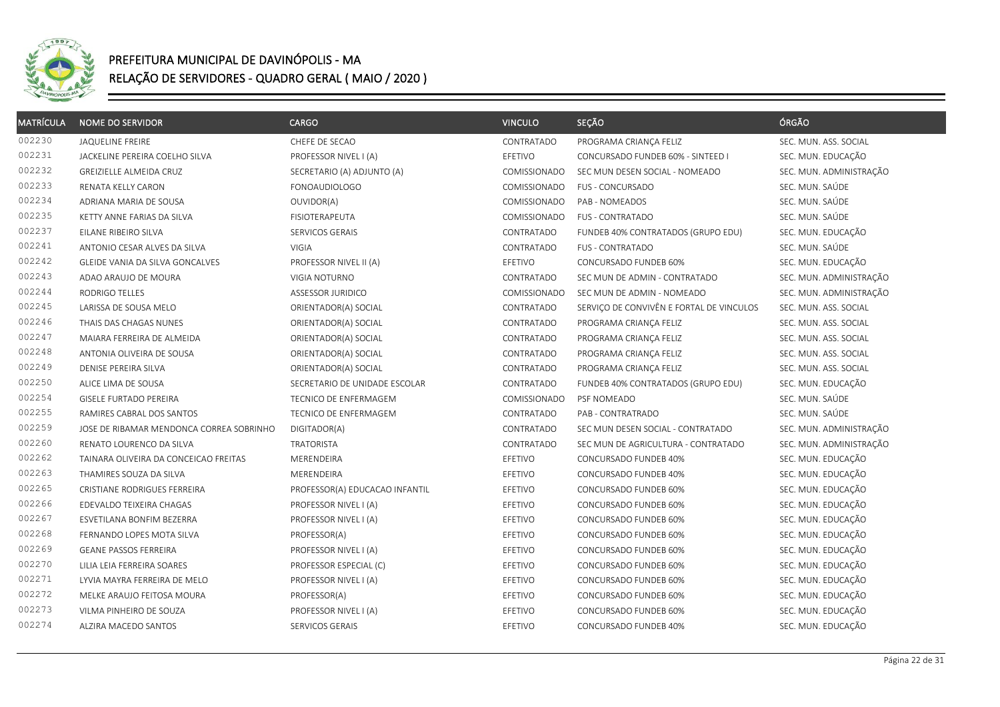

| <b>MATRÍCULA</b> | <b>NOME DO SERVIDOR</b>                  | <b>CARGO</b>                   | <b>VINCULO</b> | SEÇÃO                                    | ÓRGÃO                   |
|------------------|------------------------------------------|--------------------------------|----------------|------------------------------------------|-------------------------|
| 002230           | JAQUELINE FREIRE                         | CHEFE DE SECAO                 | CONTRATADO     | PROGRAMA CRIANÇA FELIZ                   | SEC. MUN. ASS. SOCIAL   |
| 002231           | JACKELINE PEREIRA COELHO SILVA           | PROFESSOR NIVEL I (A)          | EFETIVO        | CONCURSADO FUNDEB 60% - SINTEED I        | SEC. MUN. EDUCAÇÃO      |
| 002232           | GREIZIELLE ALMEIDA CRUZ                  | SECRETARIO (A) ADJUNTO (A)     | COMISSIONADO   | SEC MUN DESEN SOCIAL - NOMEADO           | SEC. MUN. ADMINISTRAÇÃO |
| 002233           | RENATA KELLY CARON                       | <b>FONOAUDIOLOGO</b>           | COMISSIONADO   | <b>FUS - CONCURSADO</b>                  | SEC. MUN. SAÚDE         |
| 002234           | ADRIANA MARIA DE SOUSA                   | OUVIDOR(A)                     | COMISSIONADO   | PAB - NOMEADOS                           | SEC. MUN. SAÚDE         |
| 002235           | KETTY ANNE FARIAS DA SILVA               | <b>FISIOTERAPEUTA</b>          | COMISSIONADO   | <b>FUS - CONTRATADO</b>                  | SEC. MUN. SAÚDE         |
| 002237           | EILANE RIBEIRO SILVA                     | SERVICOS GERAIS                | CONTRATADO     | FUNDEB 40% CONTRATADOS (GRUPO EDU)       | SEC. MUN. EDUCAÇÃO      |
| 002241           | ANTONIO CESAR ALVES DA SILVA             | VIGIA                          | CONTRATADO     | <b>FUS - CONTRATADO</b>                  | SEC. MUN. SAÚDE         |
| 002242           | GLEIDE VANIA DA SILVA GONCALVES          | PROFESSOR NIVEL II (A)         | EFETIVO        | CONCURSADO FUNDEB 60%                    | SEC. MUN. EDUCAÇÃO      |
| 002243           | ADAO ARAUJO DE MOURA                     | VIGIA NOTURNO                  | CONTRATADO     | SEC MUN DE ADMIN - CONTRATADO            | SEC. MUN. ADMINISTRAÇÃO |
| 002244           | RODRIGO TELLES                           | <b>ASSESSOR JURIDICO</b>       | COMISSIONADO   | SEC MUN DE ADMIN - NOMEADO               | SEC. MUN. ADMINISTRAÇÃO |
| 002245           | LARISSA DE SOUSA MELO                    | ORIENTADOR(A) SOCIAL           | CONTRATADO     | SERVIÇO DE CONVIVÊN E FORTAL DE VINCULOS | SEC. MUN. ASS. SOCIAL   |
| 002246           | THAIS DAS CHAGAS NUNES                   | ORIENTADOR(A) SOCIAL           | CONTRATADO     | PROGRAMA CRIANÇA FELIZ                   | SEC. MUN. ASS. SOCIAL   |
| 002247           | MAIARA FERREIRA DE ALMEIDA               | ORIENTADOR(A) SOCIAL           | CONTRATADO     | PROGRAMA CRIANÇA FELIZ                   | SEC. MUN. ASS. SOCIAL   |
| 002248           | ANTONIA OLIVEIRA DE SOUSA                | ORIENTADOR(A) SOCIAL           | CONTRATADO     | PROGRAMA CRIANCA FELIZ                   | SEC. MUN. ASS. SOCIAL   |
| 002249           | DENISE PEREIRA SILVA                     | ORIENTADOR(A) SOCIAL           | CONTRATADO     | PROGRAMA CRIANÇA FELIZ                   | SEC. MUN. ASS. SOCIAL   |
| 002250           | ALICE LIMA DE SOUSA                      | SECRETARIO DE UNIDADE ESCOLAR  | CONTRATADO     | FUNDEB 40% CONTRATADOS (GRUPO EDU)       | SEC. MUN. EDUCAÇÃO      |
| 002254           | GISELE FURTADO PEREIRA                   | TECNICO DE ENFERMAGEM          | COMISSIONADO   | PSF NOMEADO                              | SEC. MUN. SAÚDE         |
| 002255           | RAMIRES CABRAL DOS SANTOS                | TECNICO DE ENFERMAGEM          | CONTRATADO     | PAB - CONTRATRADO                        | SEC. MUN. SAÚDE         |
| 002259           | JOSE DE RIBAMAR MENDONCA CORREA SOBRINHO | DIGITADOR(A)                   | CONTRATADO     | SEC MUN DESEN SOCIAL - CONTRATADO        | SEC. MUN. ADMINISTRAÇÃO |
| 002260           | RENATO LOURENCO DA SILVA                 | <b>TRATORISTA</b>              | CONTRATADO     | SEC MUN DE AGRICULTURA - CONTRATADO      | SEC. MUN. ADMINISTRAÇÃO |
| 002262           | TAINARA OLIVEIRA DA CONCEICAO FREITAS    | MERENDEIRA                     | EFETIVO        | CONCURSADO FUNDEB 40%                    | SEC. MUN. EDUCAÇÃO      |
| 002263           | THAMIRES SOUZA DA SILVA                  | MERENDEIRA                     | EFETIVO        | CONCURSADO FUNDEB 40%                    | SEC. MUN. EDUCAÇÃO      |
| 002265           | CRISTIANE RODRIGUES FERREIRA             | PROFESSOR(A) EDUCACAO INFANTIL | EFETIVO        | CONCURSADO FUNDEB 60%                    | SEC. MUN. EDUCAÇÃO      |
| 002266           | EDEVALDO TEIXEIRA CHAGAS                 | PROFESSOR NIVEL I (A)          | EFETIVO        | CONCURSADO FUNDEB 60%                    | SEC. MUN. EDUCAÇÃO      |
| 002267           | ESVETILANA BONFIM BEZERRA                | PROFESSOR NIVEL I (A)          | EFETIVO        | CONCURSADO FUNDEB 60%                    | SEC. MUN. EDUCAÇÃO      |
| 002268           | FERNANDO LOPES MOTA SILVA                | PROFESSOR(A)                   | EFETIVO        | CONCURSADO FUNDEB 60%                    | SEC. MUN. EDUCAÇÃO      |
| 002269           | <b>GEANE PASSOS FERREIRA</b>             | PROFESSOR NIVEL I (A)          | EFETIVO        | CONCURSADO FUNDEB 60%                    | SEC. MUN. EDUCAÇÃO      |
| 002270           | LILIA LEIA FERREIRA SOARES               | PROFESSOR ESPECIAL (C)         | EFETIVO        | CONCURSADO FUNDEB 60%                    | SEC. MUN. EDUCAÇÃO      |
| 002271           | LYVIA MAYRA FERREIRA DE MELO             | PROFESSOR NIVEL I (A)          | EFETIVO        | CONCURSADO FUNDEB 60%                    | SEC. MUN. EDUCAÇÃO      |
| 002272           | MELKE ARAUJO FEITOSA MOURA               | PROFESSOR(A)                   | EFETIVO        | CONCURSADO FUNDEB 60%                    | SEC. MUN. EDUCAÇÃO      |
| 002273           | VILMA PINHEIRO DE SOUZA                  | PROFESSOR NIVEL I (A)          | EFETIVO        | CONCURSADO FUNDEB 60%                    | SEC. MUN. EDUCAÇÃO      |
| 002274           | ALZIRA MACEDO SANTOS                     | SERVICOS GERAIS                | EFETIVO        | CONCURSADO FUNDEB 40%                    | SEC. MUN. EDUCAÇÃO      |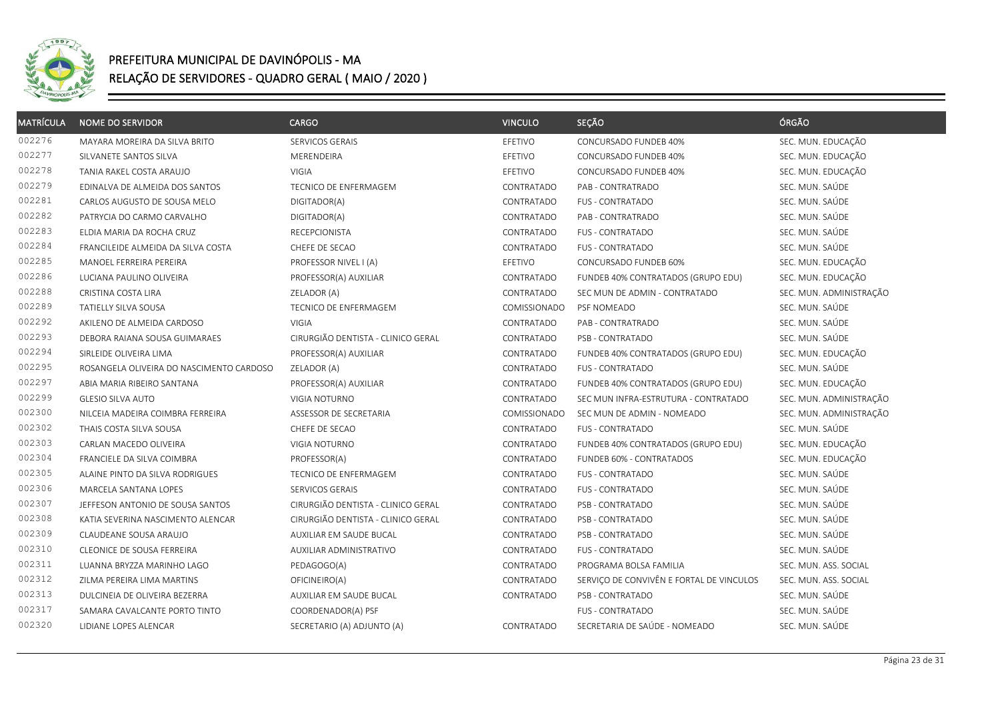

| <b>MATRÍCULA</b> | <b>NOME DO SERVIDOR</b>                  | <b>CARGO</b>                       | <b>VINCULO</b> | SEÇÃO                                    | ÓRGÃO                   |
|------------------|------------------------------------------|------------------------------------|----------------|------------------------------------------|-------------------------|
| 002276           | MAYARA MOREIRA DA SILVA BRITO            | SERVICOS GERAIS                    | EFETIVO        | CONCURSADO FUNDEB 40%                    | SEC. MUN. EDUCAÇÃO      |
| 002277           | SILVANETE SANTOS SILVA                   | MERENDEIRA                         | EFETIVO        | CONCURSADO FUNDEB 40%                    | SEC. MUN. EDUCAÇÃO      |
| 002278           | TANIA RAKEL COSTA ARAUJO                 | <b>VIGIA</b>                       | EFETIVO        | CONCURSADO FUNDEB 40%                    | SEC. MUN. EDUCAÇÃO      |
| 002279           | EDINALVA DE ALMEIDA DOS SANTOS           | TECNICO DE ENFERMAGEM              | CONTRATADO     | PAB - CONTRATRADO                        | SEC. MUN. SAÚDE         |
| 002281           | CARLOS AUGUSTO DE SOUSA MELO             | DIGITADOR(A)                       | CONTRATADO     | <b>FUS - CONTRATADO</b>                  | SEC. MUN. SAÚDE         |
| 002282           | PATRYCIA DO CARMO CARVALHO               | DIGITADOR(A)                       | CONTRATADO     | PAB - CONTRATRADO                        | SEC. MUN. SAÚDE         |
| 002283           | ELDIA MARIA DA ROCHA CRUZ                | <b>RECEPCIONISTA</b>               | CONTRATADO     | <b>FUS - CONTRATADO</b>                  | SEC. MUN. SAÚDE         |
| 002284           | FRANCILEIDE ALMEIDA DA SILVA COSTA       | CHEFE DE SECAO                     | CONTRATADO     | <b>FUS - CONTRATADO</b>                  | SEC. MUN. SAÚDE         |
| 002285           | MANOEL FERREIRA PEREIRA                  | PROFESSOR NIVEL I (A)              | EFETIVO        | CONCURSADO FUNDEB 60%                    | SEC. MUN. EDUCAÇÃO      |
| 002286           | LUCIANA PAULINO OLIVEIRA                 | PROFESSOR(A) AUXILIAR              | CONTRATADO     | FUNDEB 40% CONTRATADOS (GRUPO EDU)       | SEC. MUN. EDUCAÇÃO      |
| 002288           | CRISTINA COSTA LIRA                      | ZELADOR (A)                        | CONTRATADO     | SEC MUN DE ADMIN - CONTRATADO            | SEC. MUN. ADMINISTRAÇÃO |
| 002289           | TATIELLY SILVA SOUSA                     | TECNICO DE ENFERMAGEM              | COMISSIONADO   | PSF NOMEADO                              | SEC. MUN. SAÚDE         |
| 002292           | AKILENO DE ALMEIDA CARDOSO               | <b>VIGIA</b>                       | CONTRATADO     | PAB - CONTRATRADO                        | SEC. MUN. SAÚDE         |
| 002293           | DEBORA RAIANA SOUSA GUIMARAES            | CIRURGIÃO DENTISTA - CLINICO GERAL | CONTRATADO     | PSB - CONTRATADO                         | SEC. MUN. SAÚDE         |
| 002294           | SIRLEIDE OLIVEIRA LIMA                   | PROFESSOR(A) AUXILIAR              | CONTRATADO     | FUNDEB 40% CONTRATADOS (GRUPO EDU)       | SEC. MUN. EDUCAÇÃO      |
| 002295           | ROSANGELA OLIVEIRA DO NASCIMENTO CARDOSO | ZELADOR (A)                        | CONTRATADO     | FUS - CONTRATADO                         | SEC. MUN. SAÚDE         |
| 002297           | ABIA MARIA RIBEIRO SANTANA               | PROFESSOR(A) AUXILIAR              | CONTRATADO     | FUNDEB 40% CONTRATADOS (GRUPO EDU)       | SEC. MUN. EDUCAÇÃO      |
| 002299           | <b>GLESIO SILVA AUTO</b>                 | VIGIA NOTURNO                      | CONTRATADO     | SEC MUN INFRA-ESTRUTURA - CONTRATADO     | SEC. MUN. ADMINISTRAÇÃO |
| 002300           | NILCEIA MADEIRA COIMBRA FERREIRA         | ASSESSOR DE SECRETARIA             | COMISSIONADO   | SEC MUN DE ADMIN - NOMEADO               | SEC. MUN. ADMINISTRAÇÃO |
| 002302           | THAIS COSTA SILVA SOUSA                  | CHEFE DE SECAO                     | CONTRATADO     | <b>FUS - CONTRATADO</b>                  | SEC. MUN. SAÚDE         |
| 002303           | CARLAN MACEDO OLIVEIRA                   | VIGIA NOTURNO                      | CONTRATADO     | FUNDEB 40% CONTRATADOS (GRUPO EDU)       | SEC. MUN. EDUCAÇÃO      |
| 002304           | FRANCIELE DA SILVA COIMBRA               | PROFESSOR(A)                       | CONTRATADO     | FUNDEB 60% - CONTRATADOS                 | SEC. MUN. EDUCAÇÃO      |
| 002305           | ALAINE PINTO DA SILVA RODRIGUES          | TECNICO DE ENFERMAGEM              | CONTRATADO     | <b>FUS - CONTRATADO</b>                  | SEC. MUN. SAÚDE         |
| 002306           | MARCELA SANTANA LOPES                    | SERVICOS GERAIS                    | CONTRATADO     | <b>FUS - CONTRATADO</b>                  | SEC. MUN. SAÚDE         |
| 002307           | JEFFESON ANTONIO DE SOUSA SANTOS         | CIRURGIÃO DENTISTA - CLINICO GERAL | CONTRATADO     | PSB - CONTRATADO                         | SEC. MUN. SAÚDE         |
| 002308           | KATIA SEVERINA NASCIMENTO ALENCAR        | CIRURGIÃO DENTISTA - CLINICO GERAL | CONTRATADO     | PSB - CONTRATADO                         | SEC. MUN. SAÚDE         |
| 002309           | CLAUDEANE SOUSA ARAUJO                   | AUXILIAR EM SAUDE BUCAL            | CONTRATADO     | PSB - CONTRATADO                         | SEC. MUN. SAÚDE         |
| 002310           | CLEONICE DE SOUSA FERREIRA               | AUXILIAR ADMINISTRATIVO            | CONTRATADO     | <b>FUS - CONTRATADO</b>                  | SEC. MUN. SAÚDE         |
| 002311           | LUANNA BRYZZA MARINHO LAGO               | PEDAGOGO(A)                        | CONTRATADO     | PROGRAMA BOLSA FAMILIA                   | SEC. MUN. ASS. SOCIAL   |
| 002312           | ZILMA PEREIRA LIMA MARTINS               | OFICINEIRO(A)                      | CONTRATADO     | SERVIÇO DE CONVIVÊN E FORTAL DE VINCULOS | SEC. MUN. ASS. SOCIAL   |
| 002313           | DULCINEIA DE OLIVEIRA BEZERRA            | AUXILIAR EM SAUDE BUCAL            | CONTRATADO     | PSB - CONTRATADO                         | SEC. MUN. SAÚDE         |
| 002317           | SAMARA CAVALCANTE PORTO TINTO            | COORDENADOR(A) PSF                 |                | <b>FUS - CONTRATADO</b>                  | SEC. MUN. SAÚDE         |
| 002320           | LIDIANE LOPES ALENCAR                    | SECRETARIO (A) ADJUNTO (A)         | CONTRATADO     | SECRETARIA DE SAÚDE - NOMEADO            | SEC. MUN. SAÚDE         |
|                  |                                          |                                    |                |                                          |                         |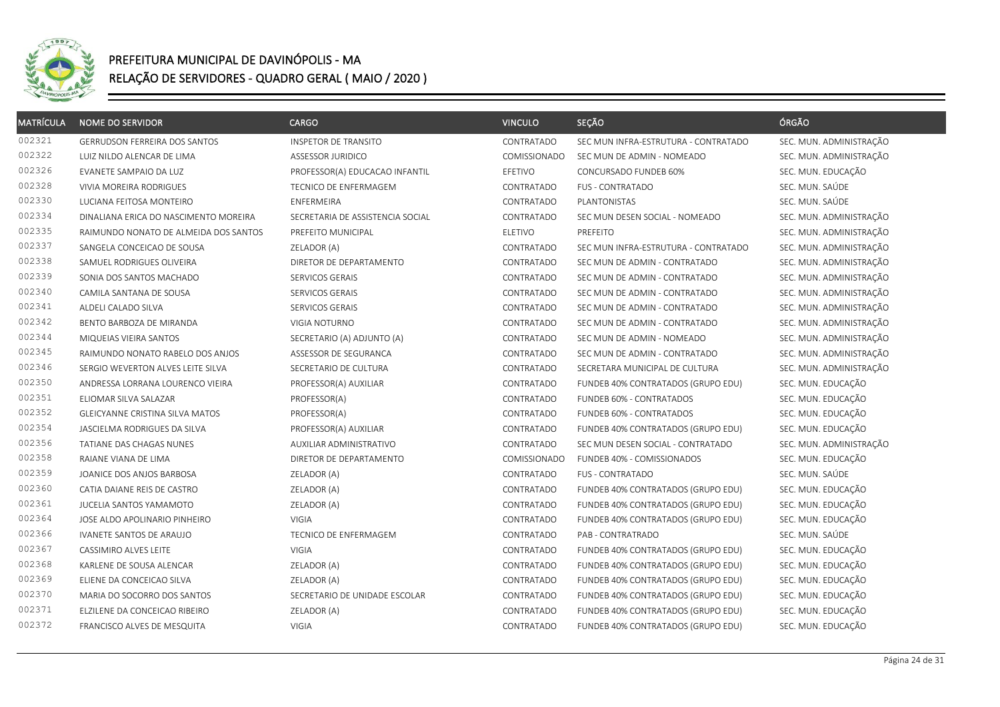

| <b>MATRÍCULA</b> | <b>NOME DO SERVIDOR</b>               | <b>CARGO</b>                     | <b>VINCULO</b>      | SEÇÃO                                | ÓRGÃO                   |
|------------------|---------------------------------------|----------------------------------|---------------------|--------------------------------------|-------------------------|
| 002321           | <b>GERRUDSON FERREIRA DOS SANTOS</b>  | <b>INSPETOR DE TRANSITO</b>      | CONTRATADO          | SEC MUN INFRA-ESTRUTURA - CONTRATADO | SEC. MUN. ADMINISTRAÇÃO |
| 002322           | LUIZ NILDO ALENCAR DE LIMA            | <b>ASSESSOR JURIDICO</b>         | <b>COMISSIONADO</b> | SEC MUN DE ADMIN - NOMEADO           | SEC. MUN. ADMINISTRAÇÃO |
| 002326           | EVANETE SAMPAIO DA LUZ                | PROFESSOR(A) EDUCACAO INFANTIL   | EFETIVO             | CONCURSADO FUNDEB 60%                | SEC. MUN. EDUCAÇÃO      |
| 002328           | VIVIA MOREIRA RODRIGUES               | TECNICO DE ENFERMAGEM            | CONTRATADO          | <b>FUS - CONTRATADO</b>              | SEC. MUN. SAÚDE         |
| 002330           | LUCIANA FEITOSA MONTEIRO              | <b>ENFERMEIRA</b>                | CONTRATADO          | PLANTONISTAS                         | SEC. MUN. SAÚDE         |
| 002334           | DINALIANA ERICA DO NASCIMENTO MOREIRA | SECRETARIA DE ASSISTENCIA SOCIAL | CONTRATADO          | SEC MUN DESEN SOCIAL - NOMEADO       | SEC. MUN. ADMINISTRAÇÃO |
| 002335           | RAIMUNDO NONATO DE ALMEIDA DOS SANTOS | PREFEITO MUNICIPAL               | ELETIVO             | PREFEITO                             | SEC. MUN. ADMINISTRAÇÃO |
| 002337           | SANGELA CONCEICAO DE SOUSA            | ZELADOR (A)                      | CONTRATADO          | SEC MUN INFRA-ESTRUTURA - CONTRATADO | SEC. MUN. ADMINISTRAÇÃO |
| 002338           | SAMUEL RODRIGUES OLIVEIRA             | DIRETOR DE DEPARTAMENTO          | CONTRATADO          | SEC MUN DE ADMIN - CONTRATADO        | SEC. MUN. ADMINISTRAÇÃO |
| 002339           | SONIA DOS SANTOS MACHADO              | SERVICOS GERAIS                  | CONTRATADO          | SEC MUN DE ADMIN - CONTRATADO        | SEC. MUN. ADMINISTRAÇÃO |
| 002340           | CAMILA SANTANA DE SOUSA               | SERVICOS GERAIS                  | CONTRATADO          | SEC MUN DE ADMIN - CONTRATADO        | SEC. MUN. ADMINISTRAÇÃO |
| 002341           | ALDELI CALADO SILVA                   | SERVICOS GERAIS                  | CONTRATADO          | SEC MUN DE ADMIN - CONTRATADO        | SEC. MUN. ADMINISTRAÇÃO |
| 002342           | BENTO BARBOZA DE MIRANDA              | VIGIA NOTURNO                    | CONTRATADO          | SEC MUN DE ADMIN - CONTRATADO        | SEC. MUN. ADMINISTRAÇÃO |
| 002344           | MIQUEIAS VIEIRA SANTOS                | SECRETARIO (A) ADJUNTO (A)       | CONTRATADO          | SEC MUN DE ADMIN - NOMEADO           | SEC. MUN. ADMINISTRAÇÃO |
| 002345           | RAIMUNDO NONATO RABELO DOS ANJOS      | ASSESSOR DE SEGURANCA            | CONTRATADO          | SEC MUN DE ADMIN - CONTRATADO        | SEC. MUN. ADMINISTRAÇÃO |
| 002346           | SERGIO WEVERTON ALVES LEITE SILVA     | SECRETARIO DE CULTURA            | CONTRATADO          | SECRETARA MUNICIPAL DE CULTURA       | SEC. MUN. ADMINISTRAÇÃO |
| 002350           | ANDRESSA LORRANA LOURENCO VIEIRA      | PROFESSOR(A) AUXILIAR            | CONTRATADO          | FUNDEB 40% CONTRATADOS (GRUPO EDU)   | SEC. MUN. EDUCAÇÃO      |
| 002351           | ELIOMAR SILVA SALAZAR                 | PROFESSOR(A)                     | CONTRATADO          | FUNDEB 60% - CONTRATADOS             | SEC. MUN. EDUCAÇÃO      |
| 002352           | GLEICYANNE CRISTINA SILVA MATOS       | PROFESSOR(A)                     | CONTRATADO          | FUNDEB 60% - CONTRATADOS             | SEC. MUN. EDUCAÇÃO      |
| 002354           | JASCIELMA RODRIGUES DA SILVA          | PROFESSOR(A) AUXILIAR            | CONTRATADO          | FUNDEB 40% CONTRATADOS (GRUPO EDU)   | SEC. MUN. EDUCAÇÃO      |
| 002356           | TATIANE DAS CHAGAS NUNES              | AUXILIAR ADMINISTRATIVO          | CONTRATADO          | SEC MUN DESEN SOCIAL - CONTRATADO    | SEC. MUN. ADMINISTRAÇÃO |
| 002358           | RAIANE VIANA DE LIMA                  | DIRETOR DE DEPARTAMENTO          | <b>COMISSIONADO</b> | FUNDEB 40% - COMISSIONADOS           | SEC. MUN. EDUCAÇÃO      |
| 002359           | JOANICE DOS ANJOS BARBOSA             | ZELADOR (A)                      | CONTRATADO          | <b>FUS - CONTRATADO</b>              | SEC. MUN. SAÚDE         |
| 002360           | CATIA DAIANE REIS DE CASTRO           | ZELADOR (A)                      | CONTRATADO          | FUNDEB 40% CONTRATADOS (GRUPO EDU)   | SEC. MUN. EDUCAÇÃO      |
| 002361           | JUCELIA SANTOS YAMAMOTO               | ZELADOR (A)                      | CONTRATADO          | FUNDEB 40% CONTRATADOS (GRUPO EDU)   | SEC. MUN. EDUCAÇÃO      |
| 002364           | JOSE ALDO APOLINARIO PINHEIRO         | VIGIA                            | CONTRATADO          | FUNDEB 40% CONTRATADOS (GRUPO EDU)   | SEC. MUN. EDUCAÇÃO      |
| 002366           | IVANETE SANTOS DE ARAUJO              | TECNICO DE ENFERMAGEM            | CONTRATADO          | PAB - CONTRATRADO                    | SEC. MUN. SAÚDE         |
| 002367           | <b>CASSIMIRO ALVES LEITE</b>          | <b>VIGIA</b>                     | CONTRATADO          | FUNDEB 40% CONTRATADOS (GRUPO EDU)   | SEC. MUN. EDUCAÇÃO      |
| 002368           | KARLENE DE SOUSA ALENCAR              | ZELADOR (A)                      | CONTRATADO          | FUNDEB 40% CONTRATADOS (GRUPO EDU)   | SEC. MUN. EDUCAÇÃO      |
| 002369           | ELIENE DA CONCEICAO SILVA             | ZELADOR (A)                      | CONTRATADO          | FUNDEB 40% CONTRATADOS (GRUPO EDU)   | SEC. MUN. EDUCAÇÃO      |
| 002370           | MARIA DO SOCORRO DOS SANTOS           | SECRETARIO DE UNIDADE ESCOLAR    | CONTRATADO          | FUNDEB 40% CONTRATADOS (GRUPO EDU)   | SEC. MUN. EDUCAÇÃO      |
| 002371           | ELZILENE DA CONCEICAO RIBEIRO         | ZELADOR (A)                      | CONTRATADO          | FUNDEB 40% CONTRATADOS (GRUPO EDU)   | SEC. MUN. EDUCAÇÃO      |
| 002372           | FRANCISCO ALVES DE MESQUITA           | VIGIA                            | CONTRATADO          | FUNDEB 40% CONTRATADOS (GRUPO EDU)   | SEC. MUN. EDUCAÇÃO      |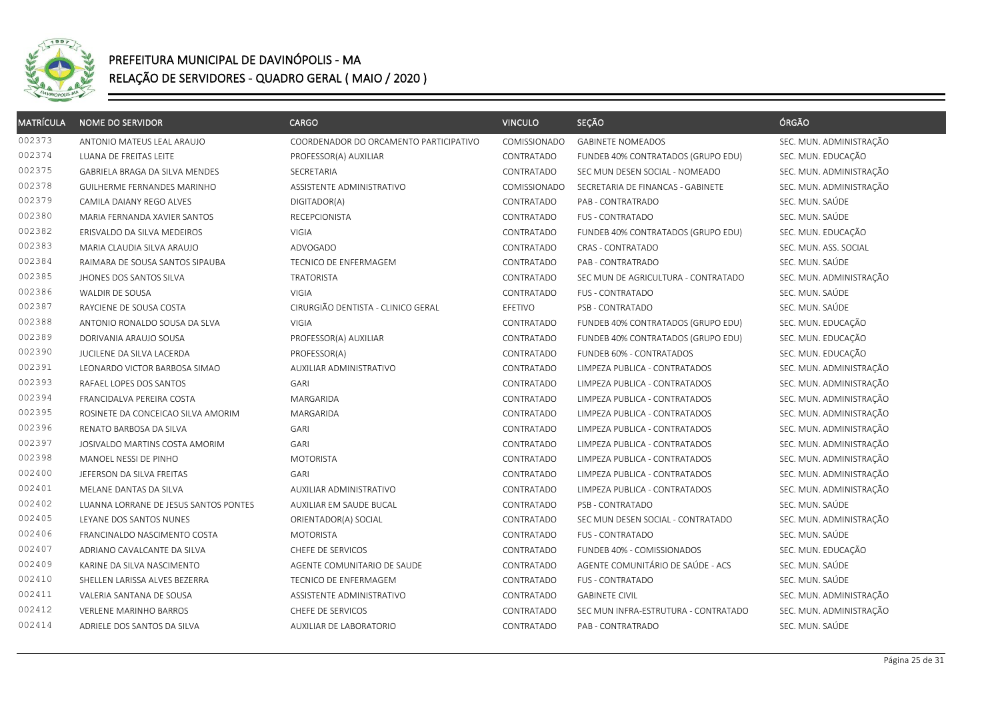

| <b>MATRÍCULA</b> | <b>NOME DO SERVIDOR</b>               | <b>CARGO</b>                           | <b>VINCULO</b> | SEÇÃO                                | ÓRGÃO                   |
|------------------|---------------------------------------|----------------------------------------|----------------|--------------------------------------|-------------------------|
| 002373           | ANTONIO MATEUS LEAL ARAUJO            | COORDENADOR DO ORCAMENTO PARTICIPATIVO | COMISSIONADO   | <b>GABINETE NOMEADOS</b>             | SEC. MUN. ADMINISTRAÇÃO |
| 002374           | LUANA DE FREITAS LEITE                | PROFESSOR(A) AUXILIAR                  | CONTRATADO     | FUNDEB 40% CONTRATADOS (GRUPO EDU)   | SEC. MUN. EDUCAÇÃO      |
| 002375           | <b>GABRIELA BRAGA DA SILVA MENDES</b> | SECRETARIA                             | CONTRATADO     | SEC MUN DESEN SOCIAL - NOMEADO       | SEC. MUN. ADMINISTRAÇÃO |
| 002378           | <b>GUILHERME FERNANDES MARINHO</b>    | ASSISTENTE ADMINISTRATIVO              | COMISSIONADO   | SECRETARIA DE FINANCAS - GABINETE    | SEC. MUN. ADMINISTRAÇÃO |
| 002379           | CAMILA DAIANY REGO ALVES              | DIGITADOR(A)                           | CONTRATADO     | PAB - CONTRATRADO                    | SEC. MUN. SAÚDE         |
| 002380           | MARIA FERNANDA XAVIER SANTOS          | RECEPCIONISTA                          | CONTRATADO     | <b>FUS - CONTRATADO</b>              | SEC. MUN. SAÚDE         |
| 002382           | ERISVALDO DA SILVA MEDEIROS           | VIGIA                                  | CONTRATADO     | FUNDEB 40% CONTRATADOS (GRUPO EDU)   | SEC. MUN. EDUCAÇÃO      |
| 002383           | MARIA CLAUDIA SILVA ARAUJO            | ADVOGADO                               | CONTRATADO     | <b>CRAS - CONTRATADO</b>             | SEC. MUN. ASS. SOCIAL   |
| 002384           | RAIMARA DE SOUSA SANTOS SIPAUBA       | TECNICO DE ENFERMAGEM                  | CONTRATADO     | PAB - CONTRATRADO                    | SEC. MUN. SAÚDE         |
| 002385           | JHONES DOS SANTOS SILVA               | <b>TRATORISTA</b>                      | CONTRATADO     | SEC MUN DE AGRICULTURA - CONTRATADO  | SEC. MUN. ADMINISTRAÇÃO |
| 002386           | WALDIR DE SOUSA                       | VIGIA                                  | CONTRATADO     | <b>FUS - CONTRATADO</b>              | SEC. MUN. SAÚDE         |
| 002387           | RAYCIENE DE SOUSA COSTA               | CIRURGIÃO DENTISTA - CLINICO GERAL     | EFETIVO        | PSB - CONTRATADO                     | SEC. MUN. SAÚDE         |
| 002388           | ANTONIO RONALDO SOUSA DA SLVA         | <b>VIGIA</b>                           | CONTRATADO     | FUNDEB 40% CONTRATADOS (GRUPO EDU)   | SEC. MUN. EDUCAÇÃO      |
| 002389           | DORIVANIA ARAUJO SOUSA                | PROFESSOR(A) AUXILIAR                  | CONTRATADO     | FUNDEB 40% CONTRATADOS (GRUPO EDU)   | SEC. MUN. EDUCAÇÃO      |
| 002390           | JUCILENE DA SILVA LACERDA             | PROFESSOR(A)                           | CONTRATADO     | FUNDEB 60% - CONTRATADOS             | SEC. MUN. EDUCAÇÃO      |
| 002391           | LEONARDO VICTOR BARBOSA SIMAO         | AUXILIAR ADMINISTRATIVO                | CONTRATADO     | LIMPEZA PUBLICA - CONTRATADOS        | SEC. MUN. ADMINISTRAÇÃO |
| 002393           | RAFAEL LOPES DOS SANTOS               | <b>GARI</b>                            | CONTRATADO     | LIMPEZA PUBLICA - CONTRATADOS        | SEC. MUN. ADMINISTRAÇÃO |
| 002394           | FRANCIDALVA PEREIRA COSTA             | MARGARIDA                              | CONTRATADO     | LIMPEZA PUBLICA - CONTRATADOS        | SEC. MUN. ADMINISTRAÇÃO |
| 002395           | ROSINETE DA CONCEICAO SILVA AMORIM    | MARGARIDA                              | CONTRATADO     | LIMPEZA PUBLICA - CONTRATADOS        | SEC. MUN. ADMINISTRAÇÃO |
| 002396           | RENATO BARBOSA DA SILVA               | GARI                                   | CONTRATADO     | LIMPEZA PUBLICA - CONTRATADOS        | SEC. MUN. ADMINISTRAÇÃO |
| 002397           | JOSIVALDO MARTINS COSTA AMORIM        | <b>GARI</b>                            | CONTRATADO     | LIMPEZA PUBLICA - CONTRATADOS        | SEC. MUN. ADMINISTRAÇÃO |
| 002398           | MANOEL NESSI DE PINHO                 | <b>MOTORISTA</b>                       | CONTRATADO     | LIMPEZA PUBLICA - CONTRATADOS        | SEC. MUN. ADMINISTRAÇÃO |
| 002400           | JEFERSON DA SILVA FREITAS             | GARI                                   | CONTRATADO     | LIMPEZA PUBLICA - CONTRATADOS        | SEC. MUN. ADMINISTRAÇÃO |
| 002401           | MELANE DANTAS DA SILVA                | AUXILIAR ADMINISTRATIVO                | CONTRATADO     | LIMPEZA PUBLICA - CONTRATADOS        | SEC. MUN. ADMINISTRAÇÃO |
| 002402           | LUANNA LORRANE DE JESUS SANTOS PONTES | AUXILIAR EM SAUDE BUCAL                | CONTRATADO     | PSB - CONTRATADO                     | SEC. MUN. SAÚDE         |
| 002405           | LEYANE DOS SANTOS NUNES               | ORIENTADOR(A) SOCIAL                   | CONTRATADO     | SEC MUN DESEN SOCIAL - CONTRATADO    | SEC. MUN. ADMINISTRAÇÃO |
| 002406           | FRANCINALDO NASCIMENTO COSTA          | <b>MOTORISTA</b>                       | CONTRATADO     | <b>FUS - CONTRATADO</b>              | SEC. MUN. SAÚDE         |
| 002407           | ADRIANO CAVALCANTE DA SILVA           | CHEFE DE SERVICOS                      | CONTRATADO     | FUNDEB 40% - COMISSIONADOS           | SEC. MUN. EDUCAÇÃO      |
| 002409           | KARINE DA SILVA NASCIMENTO            | AGENTE COMUNITARIO DE SAUDE            | CONTRATADO     | AGENTE COMUNITÁRIO DE SAÚDE - ACS    | SEC. MUN. SAÚDE         |
| 002410           | SHELLEN LARISSA ALVES BEZERRA         | <b>TECNICO DE ENFERMAGEM</b>           | CONTRATADO     | <b>FUS - CONTRATADO</b>              | SEC. MUN. SAÚDE         |
| 002411           | VALERIA SANTANA DE SOUSA              | ASSISTENTE ADMINISTRATIVO              | CONTRATADO     | <b>GABINETE CIVIL</b>                | SEC. MUN. ADMINISTRAÇÃO |
| 002412           | <b>VERLENE MARINHO BARROS</b>         | CHEFE DE SERVICOS                      | CONTRATADO     | SEC MUN INFRA-ESTRUTURA - CONTRATADO | SEC. MUN. ADMINISTRAÇÃO |
| 002414           | ADRIELE DOS SANTOS DA SILVA           | AUXILIAR DE LABORATORIO                | CONTRATADO     | PAB - CONTRATRADO                    | SEC. MUN. SAÚDE         |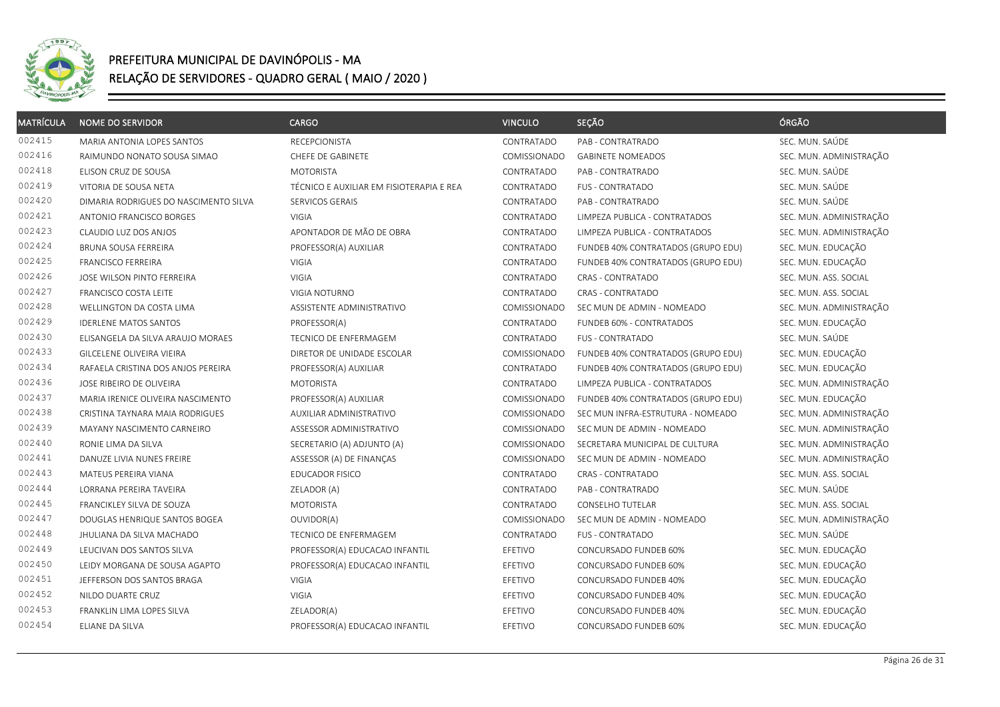

| <b>MATRÍCULA</b> | <b>NOME DO SERVIDOR</b>               | <b>CARGO</b>                             | <b>VINCULO</b>      | SEÇÃO                              | ÓRGÃO                   |
|------------------|---------------------------------------|------------------------------------------|---------------------|------------------------------------|-------------------------|
| 002415           | MARIA ANTONIA LOPES SANTOS            | RECEPCIONISTA                            | CONTRATADO          | PAB - CONTRATRADO                  | SEC. MUN. SAÚDE         |
| 002416           | RAIMUNDO NONATO SOUSA SIMAO           | CHEFE DE GABINETE                        | <b>COMISSIONADO</b> | <b>GABINETE NOMEADOS</b>           | SEC. MUN. ADMINISTRAÇÃO |
| 002418           | ELISON CRUZ DE SOUSA                  | <b>MOTORISTA</b>                         | CONTRATADO          | PAB - CONTRATRADO                  | SEC. MUN. SAÚDE         |
| 002419           | VITORIA DE SOUSA NETA                 | TÉCNICO E AUXILIAR EM FISIOTERAPIA E REA | CONTRATADO          | <b>FUS - CONTRATADO</b>            | SEC. MUN. SAÚDE         |
| 002420           | DIMARIA RODRIGUES DO NASCIMENTO SILVA | SERVICOS GERAIS                          | CONTRATADO          | PAB - CONTRATRADO                  | SEC. MUN. SAÚDE         |
| 002421           | ANTONIO FRANCISCO BORGES              | <b>VIGIA</b>                             | CONTRATADO          | LIMPEZA PUBLICA - CONTRATADOS      | SEC. MUN. ADMINISTRAÇÃO |
| 002423           | CLAUDIO LUZ DOS ANJOS                 | APONTADOR DE MÃO DE OBRA                 | CONTRATADO          | LIMPEZA PUBLICA - CONTRATADOS      | SEC. MUN. ADMINISTRAÇÃO |
| 002424           | BRUNA SOUSA FERREIRA                  | PROFESSOR(A) AUXILIAR                    | CONTRATADO          | FUNDEB 40% CONTRATADOS (GRUPO EDU) | SEC. MUN. EDUCAÇÃO      |
| 002425           | <b>FRANCISCO FERREIRA</b>             | VIGIA                                    | CONTRATADO          | FUNDEB 40% CONTRATADOS (GRUPO EDU) | SEC. MUN. EDUCAÇÃO      |
| 002426           | JOSE WILSON PINTO FERREIRA            | VIGIA                                    | CONTRATADO          | CRAS - CONTRATADO                  | SEC. MUN. ASS. SOCIAL   |
| 002427           | FRANCISCO COSTA LEITE                 | VIGIA NOTURNO                            | CONTRATADO          | CRAS - CONTRATADO                  | SEC. MUN. ASS. SOCIAL   |
| 002428           | WELLINGTON DA COSTA LIMA              | ASSISTENTE ADMINISTRATIVO                | COMISSIONADO        | SEC MUN DE ADMIN - NOMEADO         | SEC. MUN. ADMINISTRAÇÃO |
| 002429           | <b>IDERLENE MATOS SANTOS</b>          | PROFESSOR(A)                             | CONTRATADO          | FUNDEB 60% - CONTRATADOS           | SEC. MUN. EDUCAÇÃO      |
| 002430           | ELISANGELA DA SILVA ARAUJO MORAES     | <b>TECNICO DE ENFERMAGEM</b>             | CONTRATADO          | <b>FUS - CONTRATADO</b>            | SEC. MUN. SAÚDE         |
| 002433           | GILCELENE OLIVEIRA VIEIRA             | DIRETOR DE UNIDADE ESCOLAR               | COMISSIONADO        | FUNDEB 40% CONTRATADOS (GRUPO EDU) | SEC. MUN. EDUCAÇÃO      |
| 002434           | RAFAELA CRISTINA DOS ANJOS PEREIRA    | PROFESSOR(A) AUXILIAR                    | CONTRATADO          | FUNDEB 40% CONTRATADOS (GRUPO EDU) | SEC. MUN. EDUCAÇÃO      |
| 002436           | JOSE RIBEIRO DE OLIVEIRA              | <b>MOTORISTA</b>                         | CONTRATADO          | LIMPEZA PUBLICA - CONTRATADOS      | SEC. MUN. ADMINISTRAÇÃO |
| 002437           | MARIA IRENICE OLIVEIRA NASCIMENTO     | PROFESSOR(A) AUXILIAR                    | COMISSIONADO        | FUNDEB 40% CONTRATADOS (GRUPO EDU) | SEC. MUN. EDUCAÇÃO      |
| 002438           | CRISTINA TAYNARA MAIA RODRIGUES       | AUXILIAR ADMINISTRATIVO                  | <b>COMISSIONADO</b> | SEC MUN INFRA-ESTRUTURA - NOMEADO  | SEC. MUN. ADMINISTRAÇÃO |
| 002439           | MAYANY NASCIMENTO CARNEIRO            | ASSESSOR ADMINISTRATIVO                  | COMISSIONADO        | SEC MUN DE ADMIN - NOMEADO         | SEC. MUN. ADMINISTRAÇÃO |
| 002440           | RONIE LIMA DA SILVA                   | SECRETARIO (A) ADJUNTO (A)               | COMISSIONADO        | SECRETARA MUNICIPAL DE CULTURA     | SEC. MUN. ADMINISTRAÇÃO |
| 002441           | DANUZE LIVIA NUNES FREIRE             | ASSESSOR (A) DE FINANÇAS                 | <b>COMISSIONADO</b> | SEC MUN DE ADMIN - NOMEADO         | SEC. MUN. ADMINISTRAÇÃO |
| 002443           | MATEUS PEREIRA VIANA                  | <b>EDUCADOR FISICO</b>                   | CONTRATADO          | CRAS - CONTRATADO                  | SEC. MUN. ASS. SOCIAL   |
| 002444           | LORRANA PEREIRA TAVEIRA               | ZELADOR (A)                              | CONTRATADO          | PAB - CONTRATRADO                  | SEC. MUN. SAÚDE         |
| 002445           | FRANCIKLEY SILVA DE SOUZA             | <b>MOTORISTA</b>                         | CONTRATADO          | <b>CONSELHO TUTELAR</b>            | SEC. MUN. ASS. SOCIAL   |
| 002447           | DOUGLAS HENRIQUE SANTOS BOGEA         | OUVIDOR(A)                               | COMISSIONADO        | SEC MUN DE ADMIN - NOMEADO         | SEC. MUN. ADMINISTRAÇÃO |
| 002448           | JHULIANA DA SILVA MACHADO             | TECNICO DE ENFERMAGEM                    | CONTRATADO          | <b>FUS - CONTRATADO</b>            | SEC. MUN. SAÚDE         |
| 002449           | LEUCIVAN DOS SANTOS SILVA             | PROFESSOR(A) EDUCACAO INFANTIL           | EFETIVO             | CONCURSADO FUNDEB 60%              | SEC. MUN. EDUCAÇÃO      |
| 002450           | LEIDY MORGANA DE SOUSA AGAPTO         | PROFESSOR(A) EDUCACAO INFANTIL           | EFETIVO             | CONCURSADO FUNDEB 60%              | SEC. MUN. EDUCAÇÃO      |
| 002451           | JEFFERSON DOS SANTOS BRAGA            | VIGIA                                    | EFETIVO             | CONCURSADO FUNDEB 40%              | SEC. MUN. EDUCAÇÃO      |
| 002452           | NILDO DUARTE CRUZ                     | <b>VIGIA</b>                             | EFETIVO             | CONCURSADO FUNDEB 40%              | SEC. MUN. EDUCAÇÃO      |
| 002453           | FRANKLIN LIMA LOPES SILVA             | ZELADOR(A)                               | EFETIVO             | CONCURSADO FUNDEB 40%              | SEC. MUN. EDUCAÇÃO      |
| 002454           | ELIANE DA SILVA                       | PROFESSOR(A) EDUCACAO INFANTIL           | EFETIVO             | CONCURSADO FUNDEB 60%              | SEC. MUN. EDUCAÇÃO      |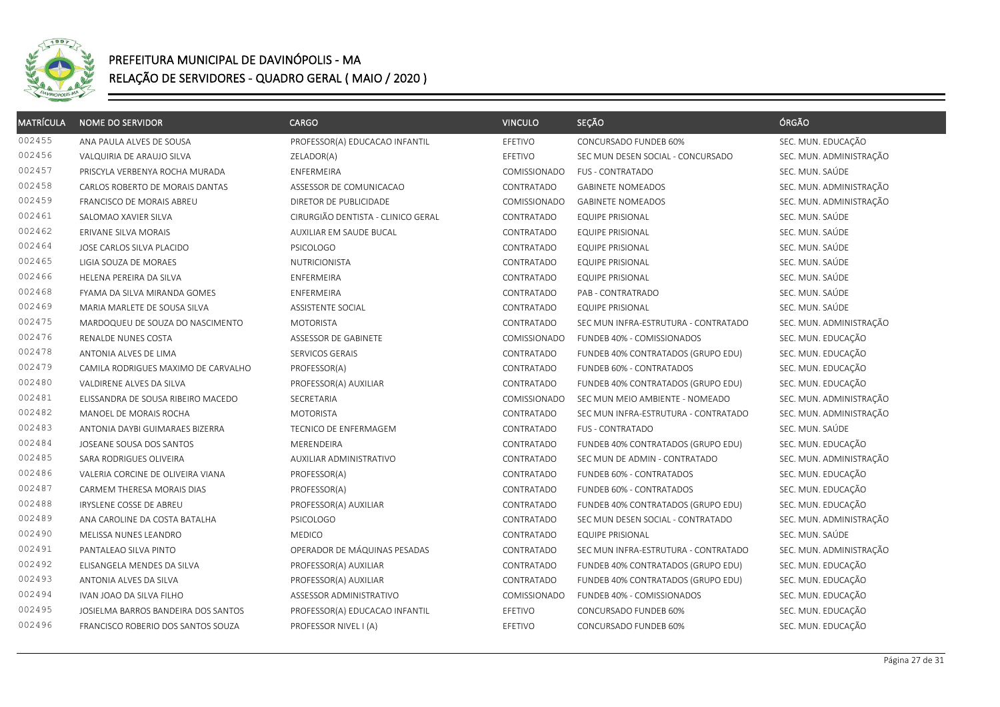

| <b>MATRÍCULA</b> | <b>NOME DO SERVIDOR</b>             | <b>CARGO</b>                       | <b>VINCULO</b> | SEÇÃO                                | ÓRGÃO                   |
|------------------|-------------------------------------|------------------------------------|----------------|--------------------------------------|-------------------------|
| 002455           | ANA PAULA ALVES DE SOUSA            | PROFESSOR(A) EDUCACAO INFANTIL     | EFETIVO        | CONCURSADO FUNDEB 60%                | SEC. MUN. EDUCAÇÃO      |
| 002456           | VALQUIRIA DE ARAUJO SILVA           | ZELADOR(A)                         | EFETIVO        | SEC MUN DESEN SOCIAL - CONCURSADO    | SEC. MUN. ADMINISTRAÇÃO |
| 002457           | PRISCYLA VERBENYA ROCHA MURADA      | ENFERMEIRA                         | COMISSIONADO   | <b>FUS - CONTRATADO</b>              | SEC. MUN. SAÚDE         |
| 002458           | CARLOS ROBERTO DE MORAIS DANTAS     | ASSESSOR DE COMUNICACAO            | CONTRATADO     | <b>GABINETE NOMEADOS</b>             | SEC. MUN. ADMINISTRAÇÃO |
| 002459           | FRANCISCO DE MORAIS ABREU           | DIRETOR DE PUBLICIDADE             | COMISSIONADO   | <b>GABINETE NOMEADOS</b>             | SEC. MUN. ADMINISTRAÇÃO |
| 002461           | SALOMAO XAVIER SILVA                | CIRURGIÃO DENTISTA - CLINICO GERAL | CONTRATADO     | <b>EQUIPE PRISIONAL</b>              | SEC. MUN. SAÚDE         |
| 002462           | ERIVANE SILVA MORAIS                | AUXILIAR EM SAUDE BUCAL            | CONTRATADO     | <b>EQUIPE PRISIONAL</b>              | SEC. MUN. SAÚDE         |
| 002464           | JOSE CARLOS SILVA PLACIDO           | <b>PSICOLOGO</b>                   | CONTRATADO     | <b>EQUIPE PRISIONAL</b>              | SEC. MUN. SAÚDE         |
| 002465           | LIGIA SOUZA DE MORAES               | NUTRICIONISTA                      | CONTRATADO     | EQUIPE PRISIONAL                     | SEC. MUN. SAÚDE         |
| 002466           | HELENA PEREIRA DA SILVA             | ENFERMEIRA                         | CONTRATADO     | EQUIPE PRISIONAL                     | SEC. MUN. SAÚDE         |
| 002468           | FYAMA DA SILVA MIRANDA GOMES        | ENFERMEIRA                         | CONTRATADO     | PAB - CONTRATRADO                    | SEC. MUN. SAÚDE         |
| 002469           | MARIA MARLETE DE SOUSA SILVA        | ASSISTENTE SOCIAL                  | CONTRATADO     | <b>EQUIPE PRISIONAL</b>              | SEC. MUN. SAÚDE         |
| 002475           | MARDOQUEU DE SOUZA DO NASCIMENTO    | <b>MOTORISTA</b>                   | CONTRATADO     | SEC MUN INFRA-ESTRUTURA - CONTRATADO | SEC. MUN. ADMINISTRAÇÃO |
| 002476           | RENALDE NUNES COSTA                 | ASSESSOR DE GABINETE               | COMISSIONADO   | FUNDEB 40% - COMISSIONADOS           | SEC. MUN. EDUCAÇÃO      |
| 002478           | ANTONIA ALVES DE LIMA               | SERVICOS GERAIS                    | CONTRATADO     | FUNDEB 40% CONTRATADOS (GRUPO EDU)   | SEC. MUN. EDUCAÇÃO      |
| 002479           | CAMILA RODRIGUES MAXIMO DE CARVALHO | PROFESSOR(A)                       | CONTRATADO     | FUNDEB 60% - CONTRATADOS             | SEC. MUN. EDUCAÇÃO      |
| 002480           | VALDIRENE ALVES DA SILVA            | PROFESSOR(A) AUXILIAR              | CONTRATADO     | FUNDEB 40% CONTRATADOS (GRUPO EDU)   | SEC. MUN. EDUCAÇÃO      |
| 002481           | ELISSANDRA DE SOUSA RIBEIRO MACEDO  | SECRETARIA                         | COMISSIONADO   | SEC MUN MEIO AMBIENTE - NOMEADO      | SEC. MUN. ADMINISTRAÇÃO |
| 002482           | MANOEL DE MORAIS ROCHA              | <b>MOTORISTA</b>                   | CONTRATADO     | SEC MUN INFRA-ESTRUTURA - CONTRATADO | SEC. MUN. ADMINISTRAÇÃO |
| 002483           | ANTONIA DAYBI GUIMARAES BIZERRA     | TECNICO DE ENFERMAGEM              | CONTRATADO     | FUS - CONTRATADO                     | SEC. MUN. SAÚDE         |
| 002484           | JOSEANE SOUSA DOS SANTOS            | MERENDEIRA                         | CONTRATADO     | FUNDEB 40% CONTRATADOS (GRUPO EDU)   | SEC. MUN. EDUCAÇÃO      |
| 002485           | SARA RODRIGUES OLIVEIRA             | AUXILIAR ADMINISTRATIVO            | CONTRATADO     | SEC MUN DE ADMIN - CONTRATADO        | SEC. MUN. ADMINISTRAÇÃO |
| 002486           | VALERIA CORCINE DE OLIVEIRA VIANA   | PROFESSOR(A)                       | CONTRATADO     | FUNDEB 60% - CONTRATADOS             | SEC. MUN. EDUCAÇÃO      |
| 002487           | CARMEM THERESA MORAIS DIAS          | PROFESSOR(A)                       | CONTRATADO     | FUNDEB 60% - CONTRATADOS             | SEC. MUN. EDUCAÇÃO      |
| 002488           | IRYSLENE COSSE DE ABREU             | PROFESSOR(A) AUXILIAR              | CONTRATADO     | FUNDEB 40% CONTRATADOS (GRUPO EDU)   | SEC. MUN. EDUCAÇÃO      |
| 002489           | ANA CAROLINE DA COSTA BATALHA       | <b>PSICOLOGO</b>                   | CONTRATADO     | SEC MUN DESEN SOCIAL - CONTRATADO    | SEC. MUN. ADMINISTRAÇÃO |
| 002490           | MELISSA NUNES LEANDRO               | <b>MEDICO</b>                      | CONTRATADO     | <b>EQUIPE PRISIONAL</b>              | SEC. MUN. SAÚDE         |
| 002491           | PANTALEAO SILVA PINTO               | OPERADOR DE MÁQUINAS PESADAS       | CONTRATADO     | SEC MUN INFRA-ESTRUTURA - CONTRATADO | SEC. MUN. ADMINISTRAÇÃO |
| 002492           | ELISANGELA MENDES DA SILVA          | PROFESSOR(A) AUXILIAR              | CONTRATADO     | FUNDEB 40% CONTRATADOS (GRUPO EDU)   | SEC. MUN. EDUCAÇÃO      |
| 002493           | ANTONIA ALVES DA SILVA              | PROFESSOR(A) AUXILIAR              | CONTRATADO     | FUNDEB 40% CONTRATADOS (GRUPO EDU)   | SEC. MUN. EDUCAÇÃO      |
| 002494           | IVAN JOAO DA SILVA FILHO            | ASSESSOR ADMINISTRATIVO            | COMISSIONADO   | FUNDEB 40% - COMISSIONADOS           | SEC. MUN. EDUCAÇÃO      |
| 002495           | JOSIELMA BARROS BANDEIRA DOS SANTOS | PROFESSOR(A) EDUCACAO INFANTIL     | EFETIVO        | CONCURSADO FUNDEB 60%                | SEC. MUN. EDUCAÇÃO      |
| 002496           | FRANCISCO ROBERIO DOS SANTOS SOUZA  | PROFESSOR NIVEL I (A)              | EFETIVO        | CONCURSADO FUNDEB 60%                | SEC. MUN. EDUCAÇÃO      |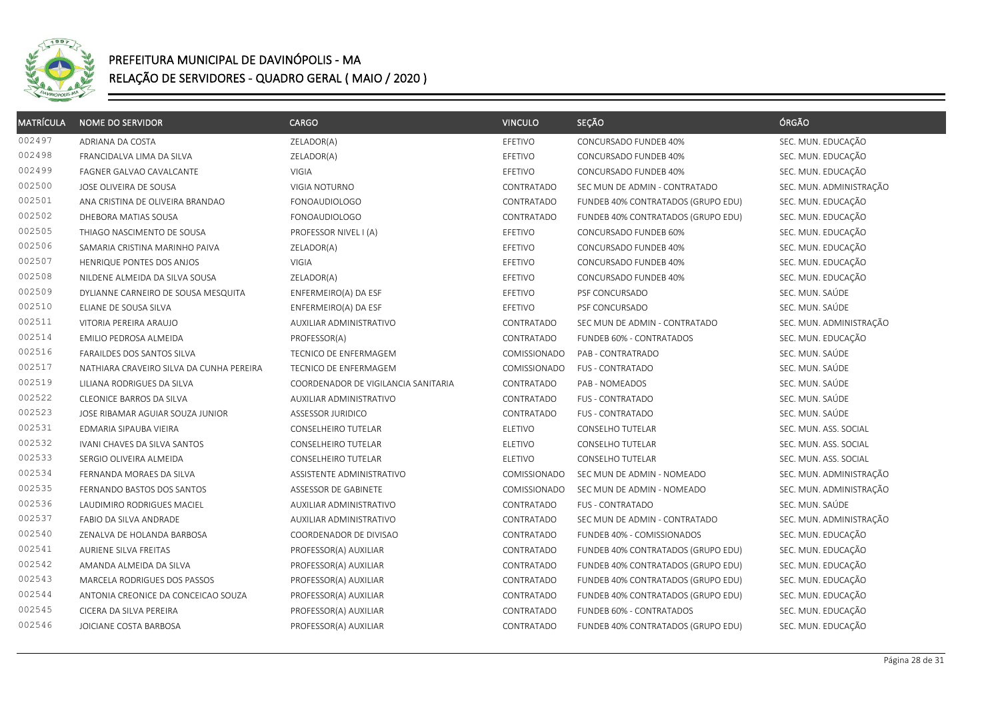

| <b>MATRÍCULA</b> | <b>NOME DO SERVIDOR</b>                  | <b>CARGO</b>                        | <b>VINCULO</b> | SEÇÃO                              | ÓRGÃO                   |
|------------------|------------------------------------------|-------------------------------------|----------------|------------------------------------|-------------------------|
| 002497           | ADRIANA DA COSTA                         | ZELADOR(A)                          | EFETIVO        | CONCURSADO FUNDEB 40%              | SEC. MUN. EDUCAÇÃO      |
| 002498           | FRANCIDALVA LIMA DA SILVA                | ZELADOR(A)                          | EFETIVO        | CONCURSADO FUNDEB 40%              | SEC. MUN. EDUCAÇÃO      |
| 002499           | FAGNER GALVAO CAVALCANTE                 | VIGIA                               | EFETIVO        | CONCURSADO FUNDEB 40%              | SEC. MUN. EDUCAÇÃO      |
| 002500           | JOSE OLIVEIRA DE SOUSA                   | <b>VIGIA NOTURNO</b>                | CONTRATADO     | SEC MUN DE ADMIN - CONTRATADO      | SEC. MUN. ADMINISTRAÇÃO |
| 002501           | ANA CRISTINA DE OLIVEIRA BRANDAO         | <b>FONOAUDIOLOGO</b>                | CONTRATADO     | FUNDEB 40% CONTRATADOS (GRUPO EDU) | SEC. MUN. EDUCAÇÃO      |
| 002502           | DHEBORA MATIAS SOUSA                     | <b>FONOAUDIOLOGO</b>                | CONTRATADO     | FUNDEB 40% CONTRATADOS (GRUPO EDU) | SEC. MUN. EDUCAÇÃO      |
| 002505           | THIAGO NASCIMENTO DE SOUSA               | PROFESSOR NIVEL I (A)               | EFETIVO        | CONCURSADO FUNDEB 60%              | SEC. MUN. EDUCAÇÃO      |
| 002506           | SAMARIA CRISTINA MARINHO PAIVA           | ZELADOR(A)                          | EFETIVO        | CONCURSADO FUNDEB 40%              | SEC. MUN. EDUCAÇÃO      |
| 002507           | HENRIQUE PONTES DOS ANJOS                | VIGIA                               | EFETIVO        | CONCURSADO FUNDEB 40%              | SEC. MUN. EDUCAÇÃO      |
| 002508           | NILDENE ALMEIDA DA SILVA SOUSA           | ZELADOR(A)                          | EFETIVO        | CONCURSADO FUNDEB 40%              | SEC. MUN. EDUCAÇÃO      |
| 002509           | DYLIANNE CARNEIRO DE SOUSA MESQUITA      | ENFERMEIRO(A) DA ESF                | EFETIVO        | PSF CONCURSADO                     | SEC. MUN. SAÚDE         |
| 002510           | ELIANE DE SOUSA SILVA                    | ENFERMEIRO(A) DA ESF                | EFETIVO        | <b>PSF CONCURSADO</b>              | SEC. MUN. SAÚDE         |
| 002511           | VITORIA PEREIRA ARAUJO                   | AUXILIAR ADMINISTRATIVO             | CONTRATADO     | SEC MUN DE ADMIN - CONTRATADO      | SEC. MUN. ADMINISTRAÇÃO |
| 002514           | EMILIO PEDROSA ALMEIDA                   | PROFESSOR(A)                        | CONTRATADO     | FUNDEB 60% - CONTRATADOS           | SEC. MUN. EDUCAÇÃO      |
| 002516           | FARAILDES DOS SANTOS SILVA               | TECNICO DE ENFERMAGEM               | COMISSIONADO   | PAB - CONTRATRADO                  | SEC. MUN. SAÚDE         |
| 002517           | NATHIARA CRAVEIRO SILVA DA CUNHA PEREIRA | TECNICO DE ENFERMAGEM               | COMISSIONADO   | <b>FUS - CONTRATADO</b>            | SEC. MUN. SAÚDE         |
| 002519           | LILIANA RODRIGUES DA SILVA               | COORDENADOR DE VIGILANCIA SANITARIA | CONTRATADO     | PAB - NOMEADOS                     | SEC. MUN. SAÚDE         |
| 002522           | CLEONICE BARROS DA SILVA                 | AUXILIAR ADMINISTRATIVO             | CONTRATADO     | <b>FUS - CONTRATADO</b>            | SEC. MUN. SAÚDE         |
| 002523           | JOSE RIBAMAR AGUIAR SOUZA JUNIOR         | ASSESSOR JURIDICO                   | CONTRATADO     | <b>FUS - CONTRATADO</b>            | SEC. MUN. SAÚDE         |
| 002531           | EDMARIA SIPAUBA VIEIRA                   | CONSELHEIRO TUTELAR                 | ELETIVO        | <b>CONSELHO TUTELAR</b>            | SEC. MUN. ASS. SOCIAL   |
| 002532           | IVANI CHAVES DA SILVA SANTOS             | CONSELHEIRO TUTELAR                 | ELETIVO        | <b>CONSELHO TUTELAR</b>            | SEC. MUN. ASS. SOCIAL   |
| 002533           | SERGIO OLIVEIRA ALMEIDA                  | CONSELHEIRO TUTELAR                 | ELETIVO        | <b>CONSELHO TUTELAR</b>            | SEC. MUN. ASS. SOCIAL   |
| 002534           | FERNANDA MORAES DA SILVA                 | ASSISTENTE ADMINISTRATIVO           | COMISSIONADO   | SEC MUN DE ADMIN - NOMEADO         | SEC. MUN. ADMINISTRAÇÃO |
| 002535           | FERNANDO BASTOS DOS SANTOS               | ASSESSOR DE GABINETE                | COMISSIONADO   | SEC MUN DE ADMIN - NOMEADO         | SEC. MUN. ADMINISTRAÇÃO |
| 002536           | LAUDIMIRO RODRIGUES MACIEL               | AUXILIAR ADMINISTRATIVO             | CONTRATADO     | <b>FUS - CONTRATADO</b>            | SEC. MUN. SAÚDE         |
| 002537           | FABIO DA SILVA ANDRADE                   | AUXILIAR ADMINISTRATIVO             | CONTRATADO     | SEC MUN DE ADMIN - CONTRATADO      | SEC. MUN. ADMINISTRAÇÃO |
| 002540           | ZENALVA DE HOLANDA BARBOSA               | COORDENADOR DE DIVISAO              | CONTRATADO     | FUNDEB 40% - COMISSIONADOS         | SEC. MUN. EDUCAÇÃO      |
| 002541           | AURIENE SILVA FREITAS                    | PROFESSOR(A) AUXILIAR               | CONTRATADO     | FUNDEB 40% CONTRATADOS (GRUPO EDU) | SEC. MUN. EDUCAÇÃO      |
| 002542           | AMANDA ALMEIDA DA SILVA                  | PROFESSOR(A) AUXILIAR               | CONTRATADO     | FUNDEB 40% CONTRATADOS (GRUPO EDU) | SEC. MUN. EDUCAÇÃO      |
| 002543           | MARCELA RODRIGUES DOS PASSOS             | PROFESSOR(A) AUXILIAR               | CONTRATADO     | FUNDEB 40% CONTRATADOS (GRUPO EDU) | SEC. MUN. EDUCAÇÃO      |
| 002544           | ANTONIA CREONICE DA CONCEICAO SOUZA      | PROFESSOR(A) AUXILIAR               | CONTRATADO     | FUNDEB 40% CONTRATADOS (GRUPO EDU) | SEC. MUN. EDUCAÇÃO      |
| 002545           | CICERA DA SILVA PEREIRA                  | PROFESSOR(A) AUXILIAR               | CONTRATADO     | FUNDEB 60% - CONTRATADOS           | SEC. MUN. EDUCAÇÃO      |
| 002546           | JOICIANE COSTA BARBOSA                   | PROFESSOR(A) AUXILIAR               | CONTRATADO     | FUNDEB 40% CONTRATADOS (GRUPO EDU) | SEC. MUN. EDUCAÇÃO      |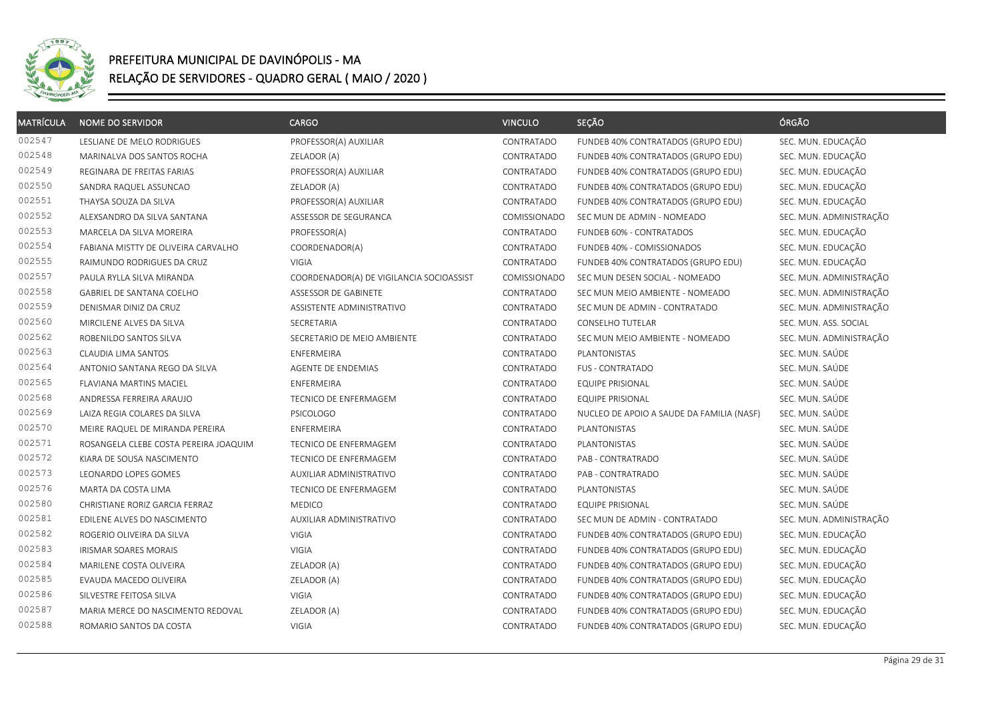

| <b>MATRÍCULA</b> | <b>NOME DO SERVIDOR</b>               | <b>CARGO</b>                             | <b>VINCULO</b> | SEÇÃO                                     | ÓRGÃO                   |
|------------------|---------------------------------------|------------------------------------------|----------------|-------------------------------------------|-------------------------|
| 002547           | LESLIANE DE MELO RODRIGUES            | PROFESSOR(A) AUXILIAR                    | CONTRATADO     | FUNDEB 40% CONTRATADOS (GRUPO EDU)        | SEC. MUN. EDUCAÇÃO      |
| 002548           | MARINALVA DOS SANTOS ROCHA            | ZELADOR (A)                              | CONTRATADO     | FUNDEB 40% CONTRATADOS (GRUPO EDU)        | SEC. MUN. EDUCAÇÃO      |
| 002549           | REGINARA DE FREITAS FARIAS            | PROFESSOR(A) AUXILIAR                    | CONTRATADO     | FUNDEB 40% CONTRATADOS (GRUPO EDU)        | SEC. MUN. EDUCAÇÃO      |
| 002550           | SANDRA RAQUEL ASSUNCAO                | ZELADOR (A)                              | CONTRATADO     | FUNDEB 40% CONTRATADOS (GRUPO EDU)        | SEC. MUN. EDUCAÇÃO      |
| 002551           | THAYSA SOUZA DA SILVA                 | PROFESSOR(A) AUXILIAR                    | CONTRATADO     | FUNDEB 40% CONTRATADOS (GRUPO EDU)        | SEC. MUN. EDUCAÇÃO      |
| 002552           | ALEXSANDRO DA SILVA SANTANA           | ASSESSOR DE SEGURANCA                    | COMISSIONADO   | SEC MUN DE ADMIN - NOMEADO                | SEC. MUN. ADMINISTRAÇÃO |
| 002553           | MARCELA DA SILVA MOREIRA              | PROFESSOR(A)                             | CONTRATADO     | FUNDEB 60% - CONTRATADOS                  | SEC. MUN. EDUCAÇÃO      |
| 002554           | FABIANA MISTTY DE OLIVEIRA CARVALHO   | COORDENADOR(A)                           | CONTRATADO     | FUNDEB 40% - COMISSIONADOS                | SEC. MUN. EDUCAÇÃO      |
| 002555           | RAIMUNDO RODRIGUES DA CRUZ            | VIGIA                                    | CONTRATADO     | FUNDEB 40% CONTRATADOS (GRUPO EDU)        | SEC. MUN. EDUCAÇÃO      |
| 002557           | PAULA RYLLA SILVA MIRANDA             | COORDENADOR(A) DE VIGILANCIA SOCIOASSIST | COMISSIONADO   | SEC MUN DESEN SOCIAL - NOMEADO            | SEC. MUN. ADMINISTRAÇÃO |
| 002558           | GABRIEL DE SANTANA COELHO             | ASSESSOR DE GABINETE                     | CONTRATADO     | SEC MUN MEIO AMBIENTE - NOMEADO           | SEC. MUN. ADMINISTRAÇÃO |
| 002559           | DENISMAR DINIZ DA CRUZ                | ASSISTENTE ADMINISTRATIVO                | CONTRATADO     | SEC MUN DE ADMIN - CONTRATADO             | SEC. MUN. ADMINISTRAÇÃO |
| 002560           | MIRCILENE ALVES DA SILVA              | SECRETARIA                               | CONTRATADO     | <b>CONSELHO TUTELAR</b>                   | SEC. MUN. ASS. SOCIAL   |
| 002562           | ROBENILDO SANTOS SILVA                | SECRETARIO DE MEIO AMBIENTE              | CONTRATADO     | SEC MUN MEIO AMBIENTE - NOMEADO           | SEC. MUN. ADMINISTRAÇÃO |
| 002563           | CLAUDIA LIMA SANTOS                   | ENFERMEIRA                               | CONTRATADO     | PLANTONISTAS                              | SEC. MUN. SAÚDE         |
| 002564           | ANTONIO SANTANA REGO DA SILVA         | AGENTE DE ENDEMIAS                       | CONTRATADO     | <b>FUS - CONTRATADO</b>                   | SEC. MUN. SAÚDE         |
| 002565           | FLAVIANA MARTINS MACIEL               | ENFERMEIRA                               | CONTRATADO     | <b>EQUIPE PRISIONAL</b>                   | SEC. MUN. SAÚDE         |
| 002568           | ANDRESSA FERREIRA ARAUJO              | TECNICO DE ENFERMAGEM                    | CONTRATADO     | <b>EQUIPE PRISIONAL</b>                   | SEC. MUN. SAÚDE         |
| 002569           | LAIZA REGIA COLARES DA SILVA          | <b>PSICOLOGO</b>                         | CONTRATADO     | NUCLEO DE APOIO A SAUDE DA FAMILIA (NASF) | SEC. MUN. SAÚDE         |
| 002570           | MEIRE RAQUEL DE MIRANDA PEREIRA       | ENFERMEIRA                               | CONTRATADO     | PLANTONISTAS                              | SEC. MUN. SAÚDE         |
| 002571           | ROSANGELA CLEBE COSTA PEREIRA JOAQUIM | TECNICO DE ENFERMAGEM                    | CONTRATADO     | PLANTONISTAS                              | SEC. MUN. SAÚDE         |
| 002572           | KIARA DE SOUSA NASCIMENTO             | TECNICO DE ENFERMAGEM                    | CONTRATADO     | PAB - CONTRATRADO                         | SEC. MUN. SAÚDE         |
| 002573           | LEONARDO LOPES GOMES                  | AUXILIAR ADMINISTRATIVO                  | CONTRATADO     | PAB - CONTRATRADO                         | SEC. MUN. SAÚDE         |
| 002576           | MARTA DA COSTA LIMA                   | TECNICO DE ENFERMAGEM                    | CONTRATADO     | PLANTONISTAS                              | SEC. MUN. SAÚDE         |
| 002580           | CHRISTIANE RORIZ GARCIA FERRAZ        | <b>MEDICO</b>                            | CONTRATADO     | <b>EQUIPE PRISIONAL</b>                   | SEC. MUN. SAÚDE         |
| 002581           | EDILENE ALVES DO NASCIMENTO           | AUXILIAR ADMINISTRATIVO                  | CONTRATADO     | SEC MUN DE ADMIN - CONTRATADO             | SEC. MUN. ADMINISTRAÇÃO |
| 002582           | ROGERIO OLIVEIRA DA SILVA             | VIGIA                                    | CONTRATADO     | FUNDEB 40% CONTRATADOS (GRUPO EDU)        | SEC. MUN. EDUCAÇÃO      |
| 002583           | <b>IRISMAR SOARES MORAIS</b>          | <b>VIGIA</b>                             | CONTRATADO     | FUNDEB 40% CONTRATADOS (GRUPO EDU)        | SEC. MUN. EDUCAÇÃO      |
| 002584           | MARILENE COSTA OLIVEIRA               | ZELADOR (A)                              | CONTRATADO     | FUNDEB 40% CONTRATADOS (GRUPO EDU)        | SEC. MUN. EDUCAÇÃO      |
| 002585           | EVAUDA MACEDO OLIVEIRA                | ZELADOR (A)                              | CONTRATADO     | FUNDEB 40% CONTRATADOS (GRUPO EDU)        | SEC. MUN. EDUCAÇÃO      |
| 002586           | SILVESTRE FEITOSA SILVA               | VIGIA                                    | CONTRATADO     | FUNDEB 40% CONTRATADOS (GRUPO EDU)        | SEC. MUN. EDUCAÇÃO      |
| 002587           | MARIA MERCE DO NASCIMENTO REDOVAL     | ZELADOR (A)                              | CONTRATADO     | FUNDEB 40% CONTRATADOS (GRUPO EDU)        | SEC. MUN. EDUCAÇÃO      |
| 002588           | ROMARIO SANTOS DA COSTA               | VIGIA                                    | CONTRATADO     | FUNDEB 40% CONTRATADOS (GRUPO EDU)        | SEC. MUN. EDUCAÇÃO      |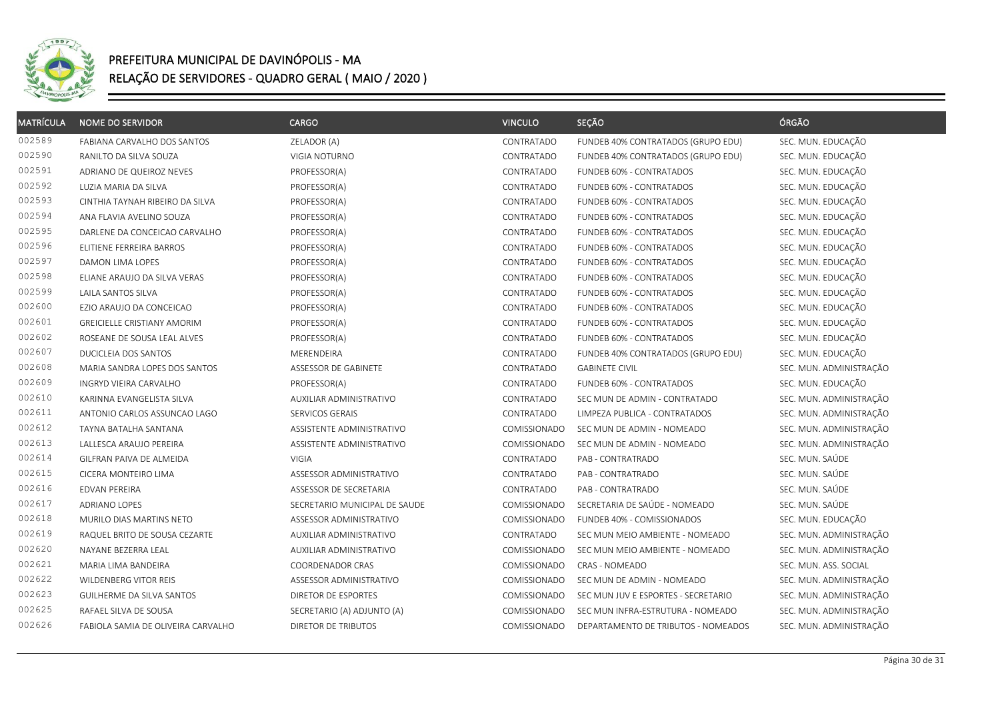

| <b>MATRÍCULA</b> | <b>NOME DO SERVIDOR</b>            | CARGO                         | <b>VINCULO</b> | SEÇÃO                               | ÓRGÃO                   |
|------------------|------------------------------------|-------------------------------|----------------|-------------------------------------|-------------------------|
| 002589           | FABIANA CARVALHO DOS SANTOS        | ZELADOR (A)                   | CONTRATADO     | FUNDEB 40% CONTRATADOS (GRUPO EDU)  | SEC. MUN. EDUCAÇÃO      |
| 002590           | RANILTO DA SILVA SOUZA             | VIGIA NOTURNO                 | CONTRATADO     | FUNDEB 40% CONTRATADOS (GRUPO EDU)  | SEC. MUN. EDUCAÇÃO      |
| 002591           | ADRIANO DE QUEIROZ NEVES           | PROFESSOR(A)                  | CONTRATADO     | FUNDEB 60% - CONTRATADOS            | SEC. MUN. EDUCAÇÃO      |
| 002592           | LUZIA MARIA DA SILVA               | PROFESSOR(A)                  | CONTRATADO     | FUNDEB 60% - CONTRATADOS            | SEC. MUN. EDUCAÇÃO      |
| 002593           | CINTHIA TAYNAH RIBEIRO DA SILVA    | PROFESSOR(A)                  | CONTRATADO     | FUNDEB 60% - CONTRATADOS            | SEC. MUN. EDUCAÇÃO      |
| 002594           | ANA FLAVIA AVELINO SOUZA           | PROFESSOR(A)                  | CONTRATADO     | FUNDEB 60% - CONTRATADOS            | SEC. MUN. EDUCAÇÃO      |
| 002595           | DARLENE DA CONCEICAO CARVALHO      | PROFESSOR(A)                  | CONTRATADO     | FUNDEB 60% - CONTRATADOS            | SEC. MUN. EDUCAÇÃO      |
| 002596           | ELITIENE FERREIRA BARROS           | PROFESSOR(A)                  | CONTRATADO     | FUNDEB 60% - CONTRATADOS            | SEC. MUN. EDUCAÇÃO      |
| 002597           | DAMON LIMA LOPES                   | PROFESSOR(A)                  | CONTRATADO     | FUNDEB 60% - CONTRATADOS            | SEC. MUN. EDUCAÇÃO      |
| 002598           | ELIANE ARAUJO DA SILVA VERAS       | PROFESSOR(A)                  | CONTRATADO     | FUNDEB 60% - CONTRATADOS            | SEC. MUN. EDUCAÇÃO      |
| 002599           | LAILA SANTOS SILVA                 | PROFESSOR(A)                  | CONTRATADO     | FUNDEB 60% - CONTRATADOS            | SEC. MUN. EDUCAÇÃO      |
| 002600           | EZIO ARAUJO DA CONCEICAO           | PROFESSOR(A)                  | CONTRATADO     | FUNDEB 60% - CONTRATADOS            | SEC. MUN. EDUCAÇÃO      |
| 002601           | <b>GREICIELLE CRISTIANY AMORIM</b> | PROFESSOR(A)                  | CONTRATADO     | FUNDEB 60% - CONTRATADOS            | SEC. MUN. EDUCAÇÃO      |
| 002602           | ROSEANE DE SOUSA LEAL ALVES        | PROFESSOR(A)                  | CONTRATADO     | FUNDEB 60% - CONTRATADOS            | SEC. MUN. EDUCAÇÃO      |
| 002607           | <b>DUCICLEIA DOS SANTOS</b>        | MERENDEIRA                    | CONTRATADO     | FUNDEB 40% CONTRATADOS (GRUPO EDU)  | SEC. MUN. EDUCAÇÃO      |
| 002608           | MARIA SANDRA LOPES DOS SANTOS      | ASSESSOR DE GABINETE          | CONTRATADO     | <b>GABINETE CIVIL</b>               | SEC. MUN. ADMINISTRAÇÃO |
| 002609           | INGRYD VIEIRA CARVALHO             | PROFESSOR(A)                  | CONTRATADO     | FUNDEB 60% - CONTRATADOS            | SEC. MUN. EDUCAÇÃO      |
| 002610           | KARINNA EVANGELISTA SILVA          | AUXILIAR ADMINISTRATIVO       | CONTRATADO     | SEC MUN DE ADMIN - CONTRATADO       | SEC. MUN. ADMINISTRAÇÃO |
| 002611           | ANTONIO CARLOS ASSUNCAO LAGO       | SERVICOS GERAIS               | CONTRATADO     | LIMPEZA PUBLICA - CONTRATADOS       | SEC. MUN. ADMINISTRAÇÃO |
| 002612           | TAYNA BATALHA SANTANA              | ASSISTENTE ADMINISTRATIVO     | COMISSIONADO   | SEC MUN DE ADMIN - NOMEADO          | SEC. MUN. ADMINISTRAÇÃO |
| 002613           | LALLESCA ARAUJO PEREIRA            | ASSISTENTE ADMINISTRATIVO     | COMISSIONADO   | SEC MUN DE ADMIN - NOMEADO          | SEC. MUN. ADMINISTRAÇÃO |
| 002614           | GILFRAN PAIVA DE ALMEIDA           | VIGIA                         | CONTRATADO     | PAB - CONTRATRADO                   | SEC. MUN. SAÚDE         |
| 002615           | CICERA MONTEIRO LIMA               | ASSESSOR ADMINISTRATIVO       | CONTRATADO     | PAB - CONTRATRADO                   | SEC. MUN. SAÚDE         |
| 002616           | <b>EDVAN PEREIRA</b>               | ASSESSOR DE SECRETARIA        | CONTRATADO     | PAB - CONTRATRADO                   | SEC. MUN. SAÚDE         |
| 002617           | ADRIANO LOPES                      | SECRETARIO MUNICIPAL DE SAUDE | COMISSIONADO   | SECRETARIA DE SAÚDE - NOMEADO       | SEC. MUN. SAÚDE         |
| 002618           | MURILO DIAS MARTINS NETO           | ASSESSOR ADMINISTRATIVO       | COMISSIONADO   | FUNDEB 40% - COMISSIONADOS          | SEC. MUN. EDUCAÇÃO      |
| 002619           | RAQUEL BRITO DE SOUSA CEZARTE      | AUXILIAR ADMINISTRATIVO       | CONTRATADO     | SEC MUN MEIO AMBIENTE - NOMEADO     | SEC. MUN. ADMINISTRAÇÃO |
| 002620           | NAYANE BEZERRA LEAL                | AUXILIAR ADMINISTRATIVO       | COMISSIONADO   | SEC MUN MEIO AMBIENTE - NOMEADO     | SEC. MUN. ADMINISTRAÇÃO |
| 002621           | MARIA LIMA BANDEIRA                | COORDENADOR CRAS              | COMISSIONADO   | <b>CRAS - NOMEADO</b>               | SEC. MUN. ASS. SOCIAL   |
| 002622           | WILDENBERG VITOR REIS              | ASSESSOR ADMINISTRATIVO       | COMISSIONADO   | SEC MUN DE ADMIN - NOMEADO          | SEC. MUN. ADMINISTRAÇÃO |
| 002623           | GUILHERME DA SILVA SANTOS          | DIRETOR DE ESPORTES           | COMISSIONADO   | SEC MUN JUV E ESPORTES - SECRETARIO | SEC. MUN. ADMINISTRAÇÃO |
| 002625           | RAFAEL SILVA DE SOUSA              | SECRETARIO (A) ADJUNTO (A)    | COMISSIONADO   | SEC MUN INFRA-ESTRUTURA - NOMEADO   | SEC. MUN. ADMINISTRAÇÃO |
| 002626           | FABIOLA SAMIA DE OLIVEIRA CARVALHO | DIRETOR DE TRIBUTOS           | COMISSIONADO   | DEPARTAMENTO DE TRIBUTOS - NOMEADOS | SEC. MUN. ADMINISTRAÇÃO |